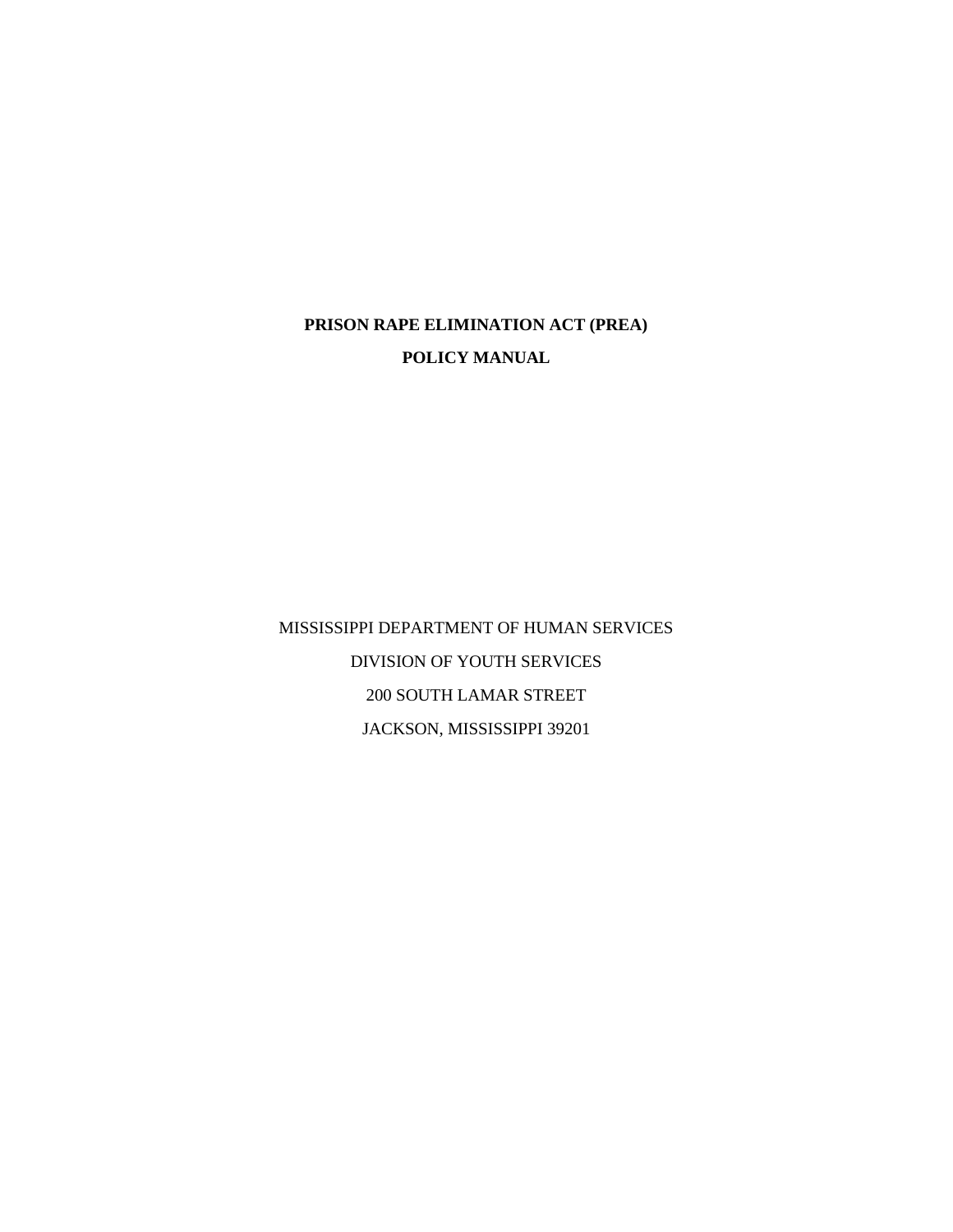# **PRISON RAPE ELIMINATION ACT (PREA) POLICY MANUAL**

MISSISSIPPI DEPARTMENT OF HUMAN SERVICES DIVISION OF YOUTH SERVICES 200 SOUTH LAMAR STREET JACKSON, MISSISSIPPI 39201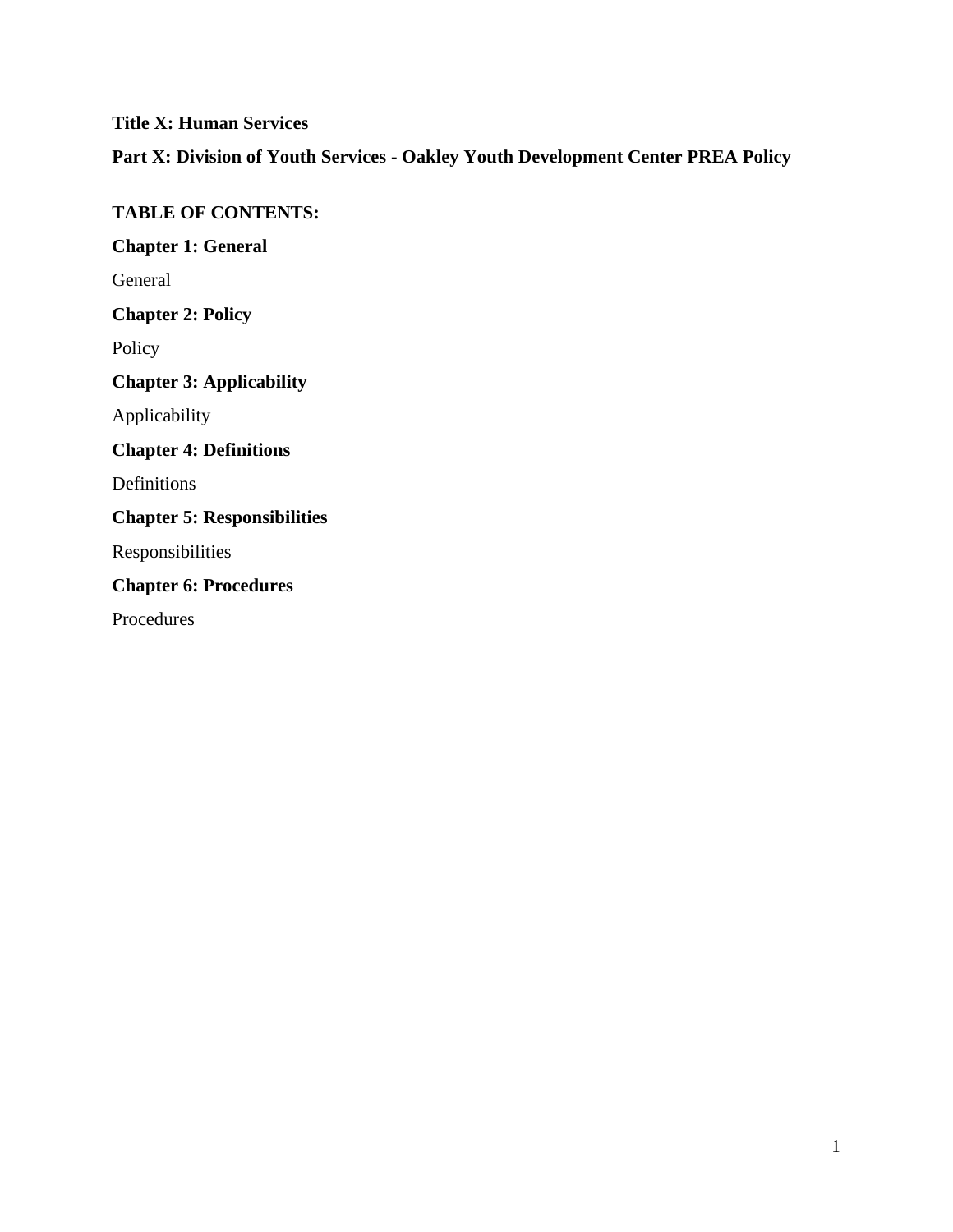**Title X: Human Services Part X: Division of Youth Services - Oakley Youth Development Center PREA Policy TABLE OF CONTENTS:**

**Chapter 1: General** General **Chapter 2: Policy** Policy **Chapter 3: Applicability** Applicability **Chapter 4: Definitions** Definitions **Chapter 5: Responsibilities** Responsibilities **Chapter 6: Procedures** Procedures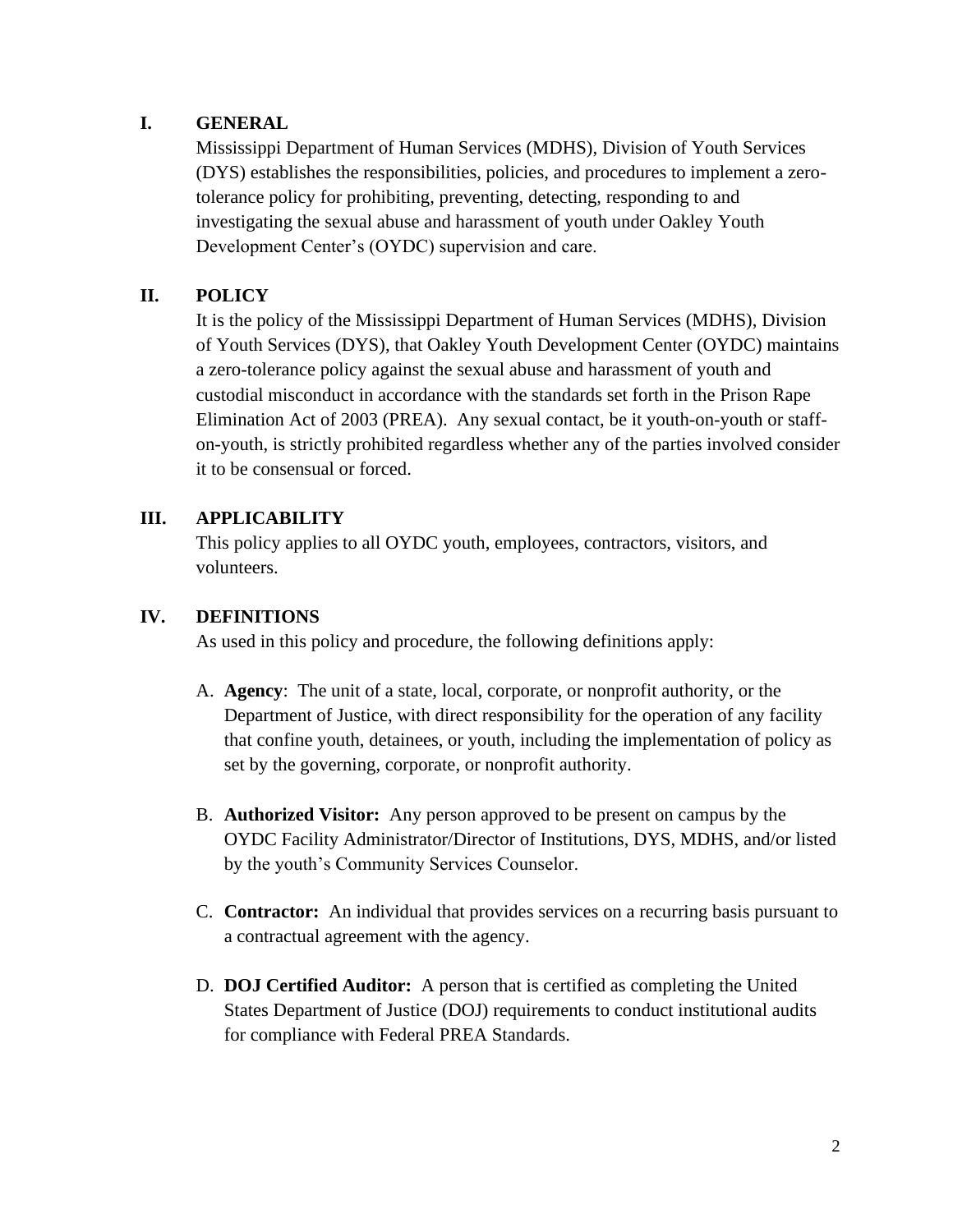## **I. GENERAL**

Mississippi Department of Human Services (MDHS), Division of Youth Services (DYS) establishes the responsibilities, policies, and procedures to implement a zerotolerance policy for prohibiting, preventing, detecting, responding to and investigating the sexual abuse and harassment of youth under Oakley Youth Development Center's (OYDC) supervision and care.

# **II. POLICY**

It is the policy of the Mississippi Department of Human Services (MDHS), Division of Youth Services (DYS), that Oakley Youth Development Center (OYDC) maintains a zero-tolerance policy against the sexual abuse and harassment of youth and custodial misconduct in accordance with the standards set forth in the Prison Rape Elimination Act of 2003 (PREA). Any sexual contact, be it youth-on-youth or staffon-youth, is strictly prohibited regardless whether any of the parties involved consider it to be consensual or forced.

# **III. APPLICABILITY**

This policy applies to all OYDC youth, employees, contractors, visitors, and volunteers.

## **IV. DEFINITIONS**

As used in this policy and procedure, the following definitions apply:

- A. **Agency**: The unit of a state, local, corporate, or nonprofit authority, or the Department of Justice, with direct responsibility for the operation of any facility that confine youth, detainees, or youth, including the implementation of policy as set by the governing, corporate, or nonprofit authority.
- B. **Authorized Visitor:** Any person approved to be present on campus by the OYDC Facility Administrator/Director of Institutions, DYS, MDHS, and/or listed by the youth's Community Services Counselor.
- C. **Contractor:** An individual that provides services on a recurring basis pursuant to a contractual agreement with the agency.
- D. **DOJ Certified Auditor:** A person that is certified as completing the United States Department of Justice (DOJ) requirements to conduct institutional audits for compliance with Federal PREA Standards.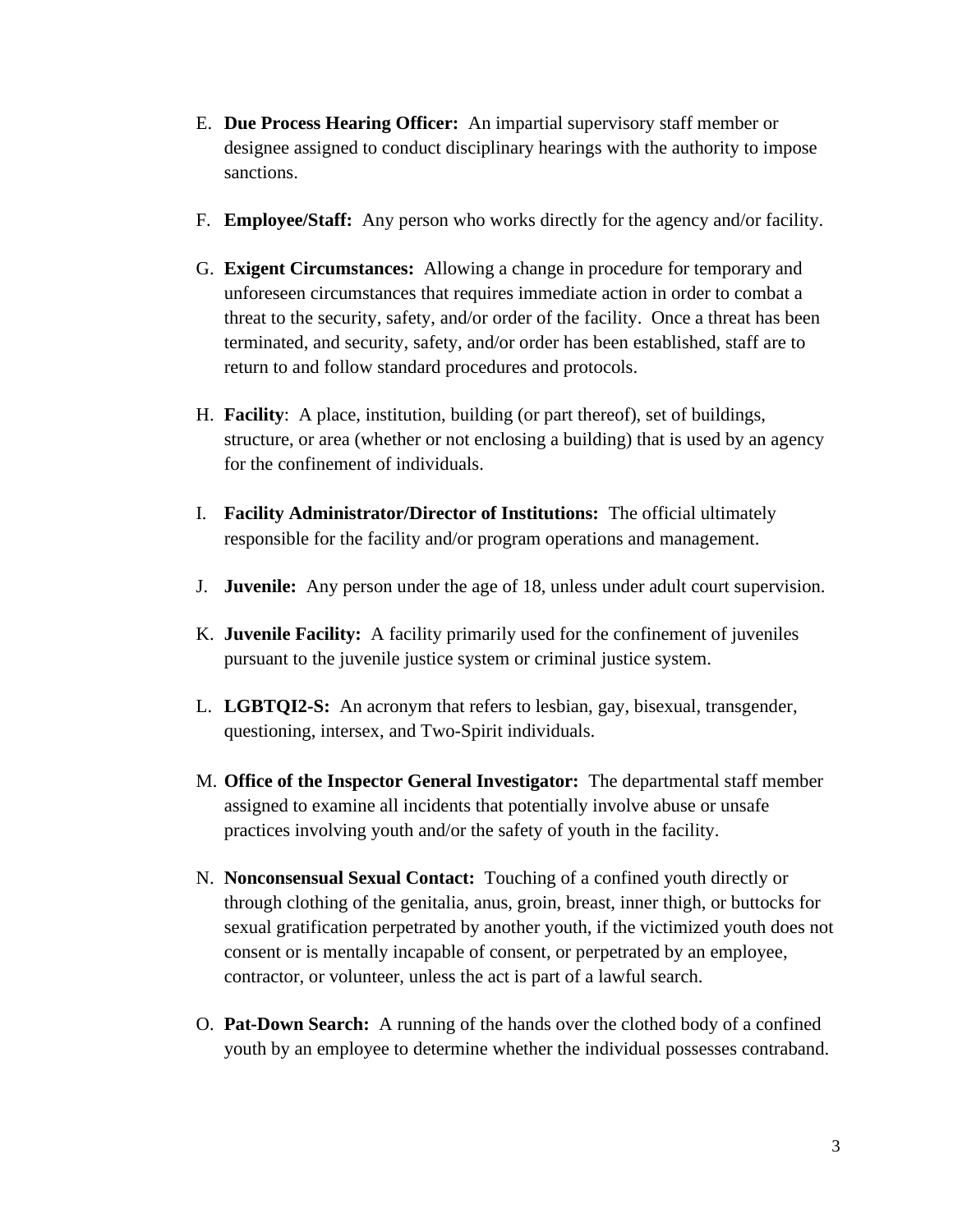- E. **Due Process Hearing Officer:** An impartial supervisory staff member or designee assigned to conduct disciplinary hearings with the authority to impose sanctions.
- F. **Employee/Staff:** Any person who works directly for the agency and/or facility.
- G. **Exigent Circumstances:** Allowing a change in procedure for temporary and unforeseen circumstances that requires immediate action in order to combat a threat to the security, safety, and/or order of the facility. Once a threat has been terminated, and security, safety, and/or order has been established, staff are to return to and follow standard procedures and protocols.
- H. **Facility**: A place, institution, building (or part thereof), set of buildings, structure, or area (whether or not enclosing a building) that is used by an agency for the confinement of individuals.
- I. **Facility Administrator/Director of Institutions:** The official ultimately responsible for the facility and/or program operations and management.
- J. **Juvenile:** Any person under the age of 18, unless under adult court supervision.
- K. **Juvenile Facility:** A facility primarily used for the confinement of juveniles pursuant to the juvenile justice system or criminal justice system.
- L. **LGBTQI2-S:** An acronym that refers to lesbian, gay, bisexual, transgender, questioning, intersex, and Two-Spirit individuals.
- M. **Office of the Inspector General Investigator:** The departmental staff member assigned to examine all incidents that potentially involve abuse or unsafe practices involving youth and/or the safety of youth in the facility.
- N. **Nonconsensual Sexual Contact:** Touching of a confined youth directly or through clothing of the genitalia, anus, groin, breast, inner thigh, or buttocks for sexual gratification perpetrated by another youth, if the victimized youth does not consent or is mentally incapable of consent, or perpetrated by an employee, contractor, or volunteer, unless the act is part of a lawful search.
- O. **Pat-Down Search:** A running of the hands over the clothed body of a confined youth by an employee to determine whether the individual possesses contraband.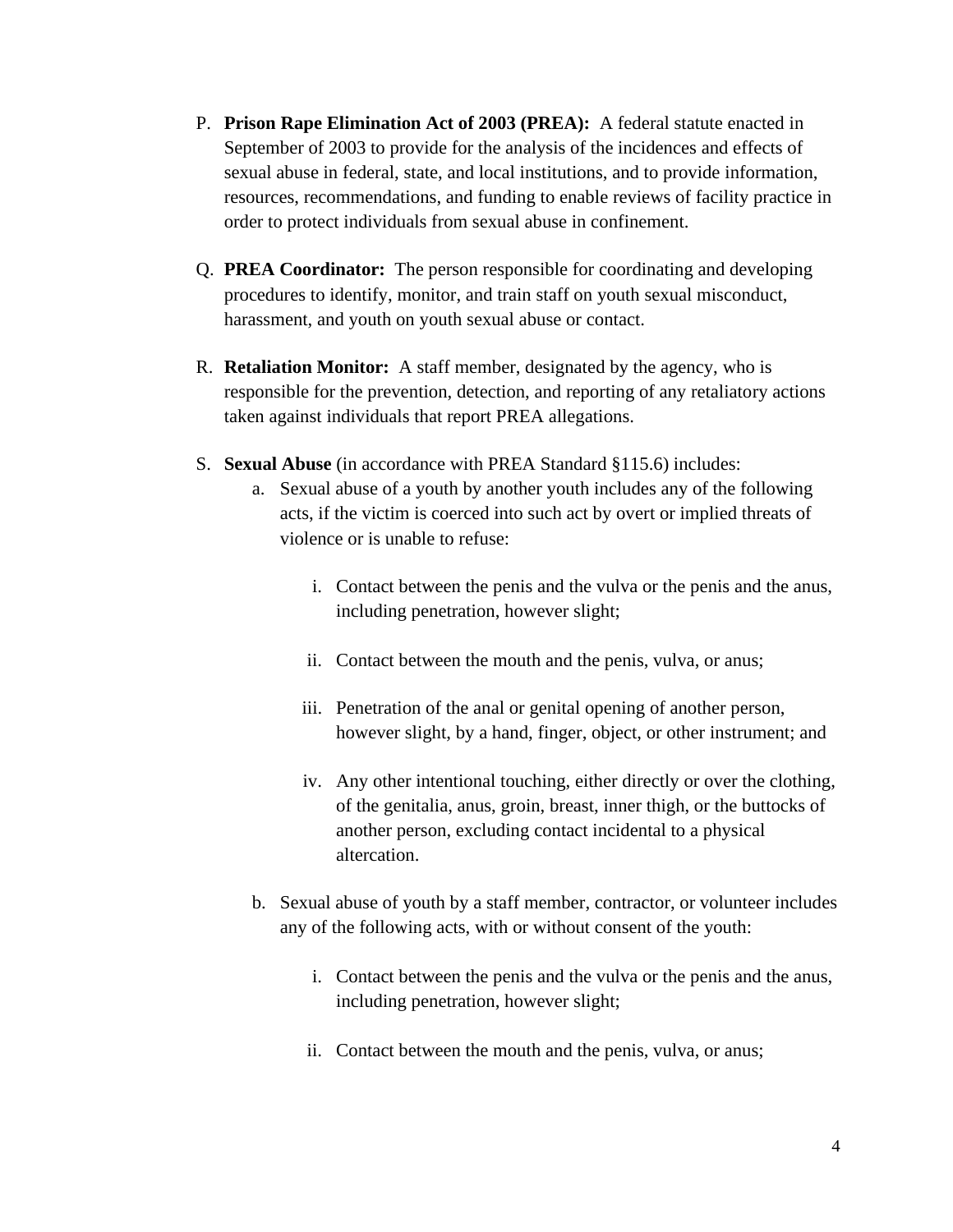- P. **Prison Rape Elimination Act of 2003 (PREA):** A federal statute enacted in September of 2003 to provide for the analysis of the incidences and effects of sexual abuse in federal, state, and local institutions, and to provide information, resources, recommendations, and funding to enable reviews of facility practice in order to protect individuals from sexual abuse in confinement.
- Q. **PREA Coordinator:** The person responsible for coordinating and developing procedures to identify, monitor, and train staff on youth sexual misconduct, harassment, and youth on youth sexual abuse or contact.
- R. **Retaliation Monitor:** A staff member, designated by the agency, who is responsible for the prevention, detection, and reporting of any retaliatory actions taken against individuals that report PREA allegations.
- S. **Sexual Abuse** (in accordance with PREA Standard §115.6) includes:
	- a. Sexual abuse of a youth by another youth includes any of the following acts, if the victim is coerced into such act by overt or implied threats of violence or is unable to refuse:
		- i. Contact between the penis and the vulva or the penis and the anus, including penetration, however slight;
		- ii. Contact between the mouth and the penis, vulva, or anus;
		- iii. Penetration of the anal or genital opening of another person, however slight, by a hand, finger, object, or other instrument; and
		- iv. Any other intentional touching, either directly or over the clothing, of the genitalia, anus, groin, breast, inner thigh, or the buttocks of another person, excluding contact incidental to a physical altercation.
	- b. Sexual abuse of youth by a staff member, contractor, or volunteer includes any of the following acts, with or without consent of the youth:
		- i. Contact between the penis and the vulva or the penis and the anus, including penetration, however slight;
		- ii. Contact between the mouth and the penis, vulva, or anus;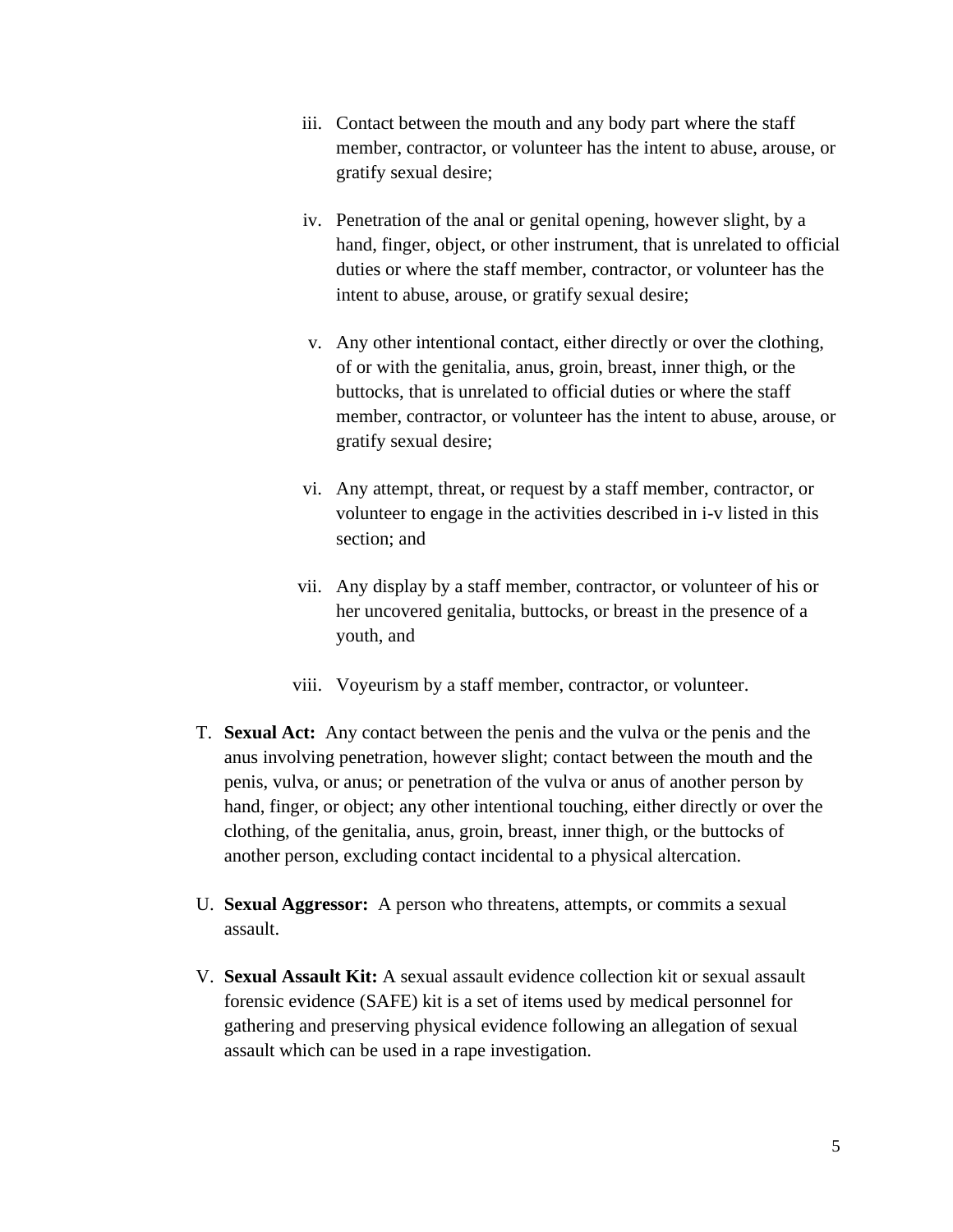- iii. Contact between the mouth and any body part where the staff member, contractor, or volunteer has the intent to abuse, arouse, or gratify sexual desire;
- iv. Penetration of the anal or genital opening, however slight, by a hand, finger, object, or other instrument, that is unrelated to official duties or where the staff member, contractor, or volunteer has the intent to abuse, arouse, or gratify sexual desire;
- v. Any other intentional contact, either directly or over the clothing, of or with the genitalia, anus, groin, breast, inner thigh, or the buttocks, that is unrelated to official duties or where the staff member, contractor, or volunteer has the intent to abuse, arouse, or gratify sexual desire;
- vi. Any attempt, threat, or request by a staff member, contractor, or volunteer to engage in the activities described in i-v listed in this section; and
- vii. Any display by a staff member, contractor, or volunteer of his or her uncovered genitalia, buttocks, or breast in the presence of a youth, and
- viii. Voyeurism by a staff member, contractor, or volunteer.
- T. **Sexual Act:** Any contact between the penis and the vulva or the penis and the anus involving penetration, however slight; contact between the mouth and the penis, vulva, or anus; or penetration of the vulva or anus of another person by hand, finger, or object; any other intentional touching, either directly or over the clothing, of the genitalia, anus, groin, breast, inner thigh, or the buttocks of another person, excluding contact incidental to a physical altercation.
- U. **Sexual Aggressor:** A person who threatens, attempts, or commits a sexual assault.
- V. **Sexual Assault Kit:** A sexual assault evidence collection kit or sexual assault forensic evidence (SAFE) kit is a set of items used by medical personnel for gathering and preserving physical evidence following an allegation of sexual assault which can be used in a rape investigation.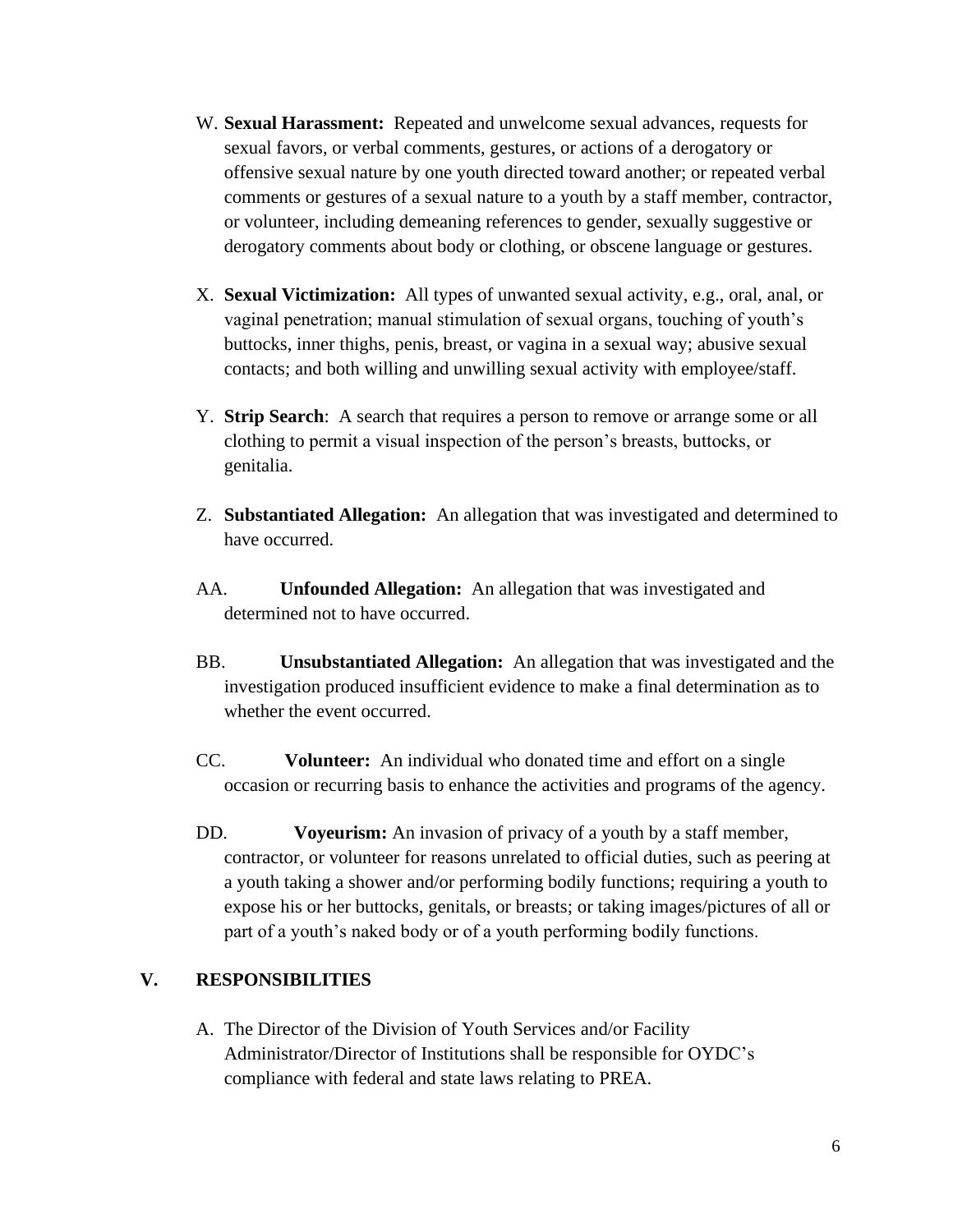- W. **Sexual Harassment:** Repeated and unwelcome sexual advances, requests for sexual favors, or verbal comments, gestures, or actions of a derogatory or offensive sexual nature by one youth directed toward another; or repeated verbal comments or gestures of a sexual nature to a youth by a staff member, contractor, or volunteer, including demeaning references to gender, sexually suggestive or derogatory comments about body or clothing, or obscene language or gestures.
- X. **Sexual Victimization:** All types of unwanted sexual activity, e.g., oral, anal, or vaginal penetration; manual stimulation of sexual organs, touching of youth's buttocks, inner thighs, penis, breast, or vagina in a sexual way; abusive sexual contacts; and both willing and unwilling sexual activity with employee/staff.
- Y. **Strip Search**: A search that requires a person to remove or arrange some or all clothing to permit a visual inspection of the person's breasts, buttocks, or genitalia.
- Z. **Substantiated Allegation:** An allegation that was investigated and determined to have occurred.
- AA. **Unfounded Allegation:** An allegation that was investigated and determined not to have occurred.
- BB. **Unsubstantiated Allegation:** An allegation that was investigated and the investigation produced insufficient evidence to make a final determination as to whether the event occurred.
- CC. **Volunteer:** An individual who donated time and effort on a single occasion or recurring basis to enhance the activities and programs of the agency.
- DD. **Voyeurism:** An invasion of privacy of a youth by a staff member, contractor, or volunteer for reasons unrelated to official duties, such as peering at a youth taking a shower and/or performing bodily functions; requiring a youth to expose his or her buttocks, genitals, or breasts; or taking images/pictures of all or part of a youth's naked body or of a youth performing bodily functions.

#### **V. RESPONSIBILITIES**

A. The Director of the Division of Youth Services and/or Facility Administrator/Director of Institutions shall be responsible for OYDC's compliance with federal and state laws relating to PREA.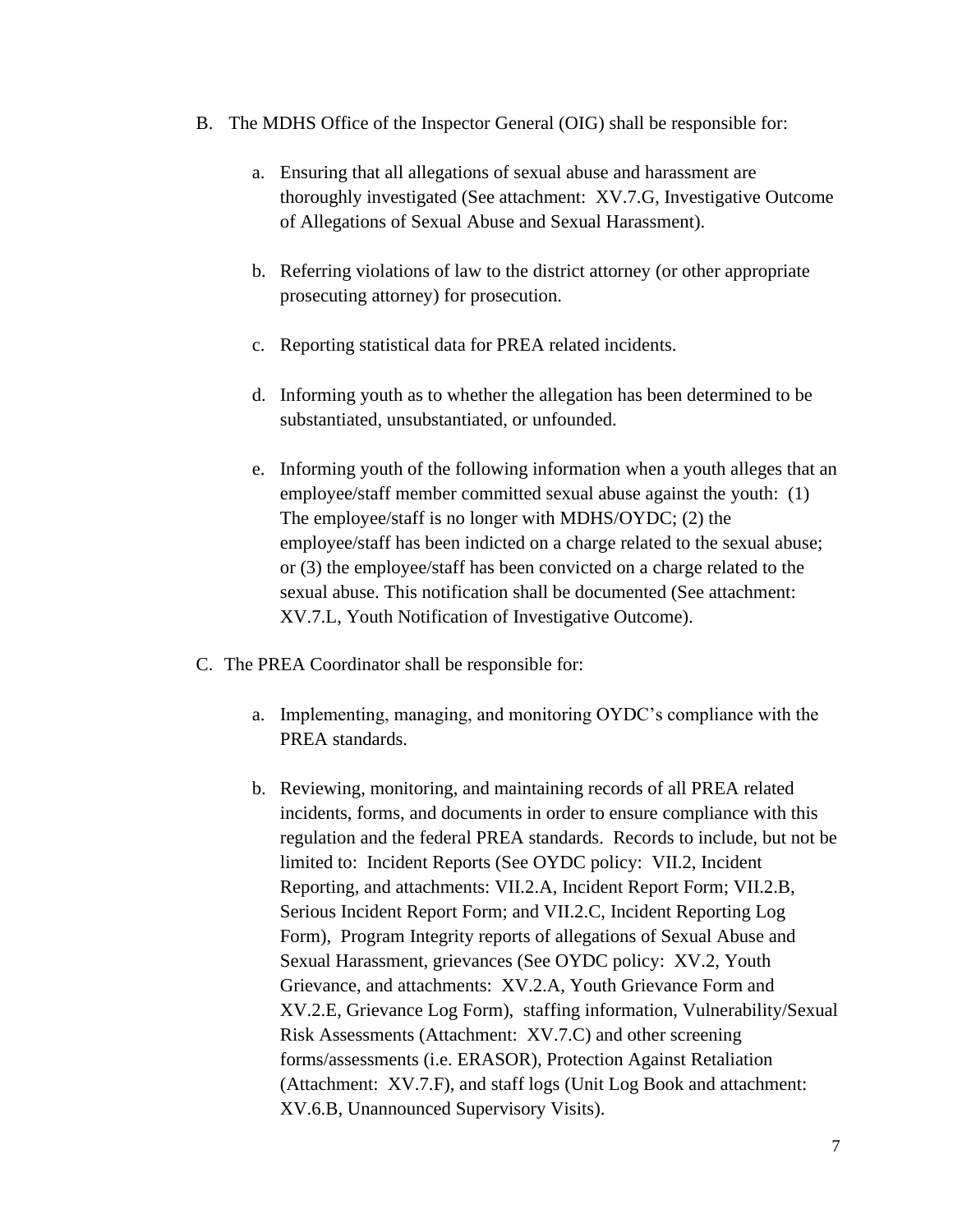- B. The MDHS Office of the Inspector General (OIG) shall be responsible for:
	- a. Ensuring that all allegations of sexual abuse and harassment are thoroughly investigated (See attachment: XV.7.G, Investigative Outcome of Allegations of Sexual Abuse and Sexual Harassment).
	- b. Referring violations of law to the district attorney (or other appropriate prosecuting attorney) for prosecution.
	- c. Reporting statistical data for PREA related incidents.
	- d. Informing youth as to whether the allegation has been determined to be substantiated, unsubstantiated, or unfounded.
	- e. Informing youth of the following information when a youth alleges that an employee/staff member committed sexual abuse against the youth: (1) The employee/staff is no longer with MDHS/OYDC; (2) the employee/staff has been indicted on a charge related to the sexual abuse; or (3) the employee/staff has been convicted on a charge related to the sexual abuse. This notification shall be documented (See attachment: XV.7.L, Youth Notification of Investigative Outcome).
- C. The PREA Coordinator shall be responsible for:
	- a. Implementing, managing, and monitoring OYDC's compliance with the PREA standards.
	- b. Reviewing, monitoring, and maintaining records of all PREA related incidents, forms, and documents in order to ensure compliance with this regulation and the federal PREA standards. Records to include, but not be limited to: Incident Reports (See OYDC policy: VII.2, Incident Reporting, and attachments: VII.2.A, Incident Report Form; VII.2.B, Serious Incident Report Form; and VII.2.C, Incident Reporting Log Form), Program Integrity reports of allegations of Sexual Abuse and Sexual Harassment, grievances (See OYDC policy: XV.2, Youth Grievance, and attachments: XV.2.A, Youth Grievance Form and XV.2.E, Grievance Log Form), staffing information, Vulnerability/Sexual Risk Assessments (Attachment: XV.7.C) and other screening forms/assessments (i.e. ERASOR), Protection Against Retaliation (Attachment: XV.7.F), and staff logs (Unit Log Book and attachment: XV.6.B, Unannounced Supervisory Visits).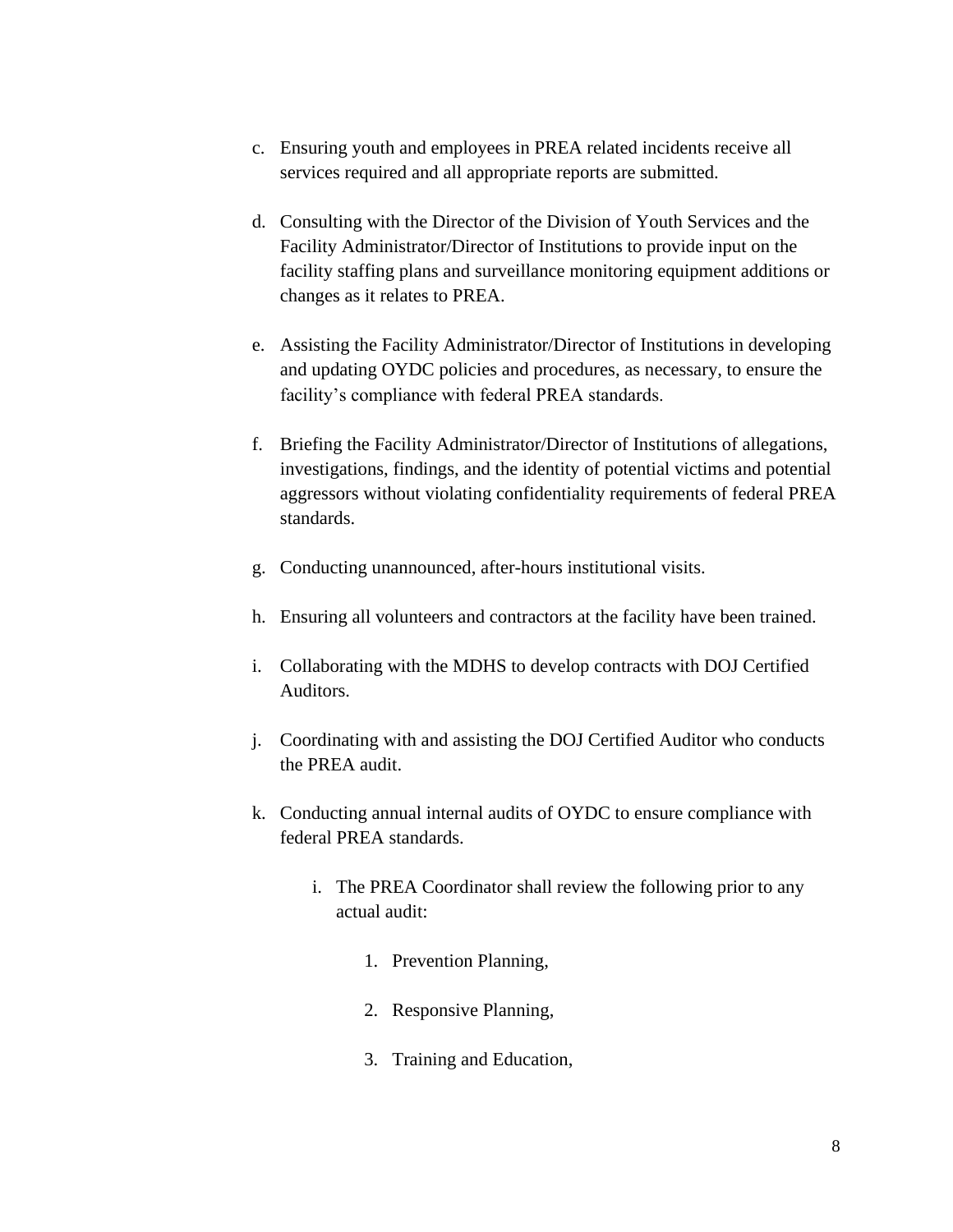- c. Ensuring youth and employees in PREA related incidents receive all services required and all appropriate reports are submitted.
- d. Consulting with the Director of the Division of Youth Services and the Facility Administrator/Director of Institutions to provide input on the facility staffing plans and surveillance monitoring equipment additions or changes as it relates to PREA.
- e. Assisting the Facility Administrator/Director of Institutions in developing and updating OYDC policies and procedures, as necessary, to ensure the facility's compliance with federal PREA standards.
- f. Briefing the Facility Administrator/Director of Institutions of allegations, investigations, findings, and the identity of potential victims and potential aggressors without violating confidentiality requirements of federal PREA standards.
- g. Conducting unannounced, after-hours institutional visits.
- h. Ensuring all volunteers and contractors at the facility have been trained.
- i. Collaborating with the MDHS to develop contracts with DOJ Certified Auditors.
- j. Coordinating with and assisting the DOJ Certified Auditor who conducts the PREA audit.
- k. Conducting annual internal audits of OYDC to ensure compliance with federal PREA standards.
	- i. The PREA Coordinator shall review the following prior to any actual audit:
		- 1. Prevention Planning,
		- 2. Responsive Planning,
		- 3. Training and Education,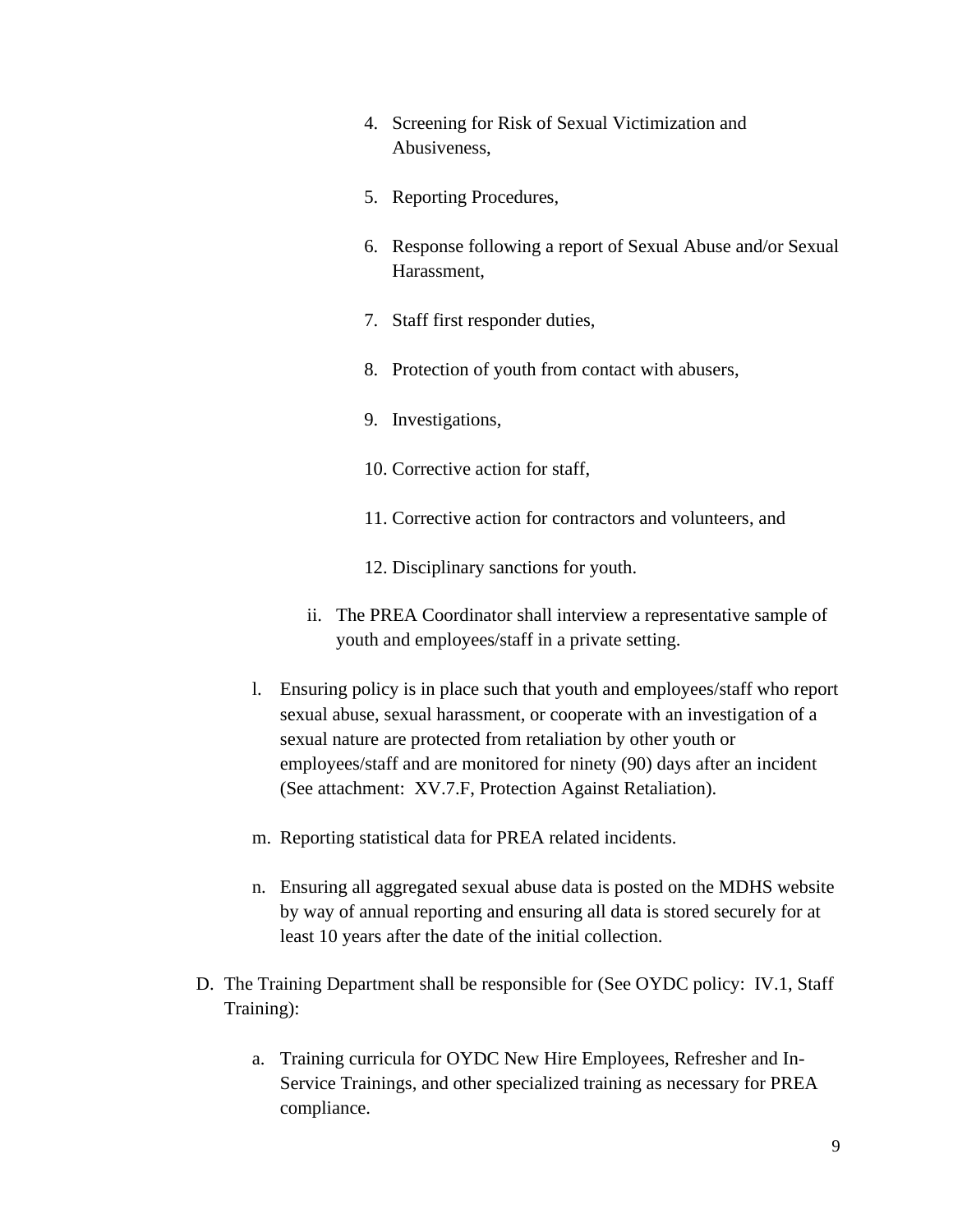- 4. Screening for Risk of Sexual Victimization and Abusiveness,
- 5. Reporting Procedures,
- 6. Response following a report of Sexual Abuse and/or Sexual Harassment,
- 7. Staff first responder duties,
- 8. Protection of youth from contact with abusers,
- 9. Investigations,
- 10. Corrective action for staff,
- 11. Corrective action for contractors and volunteers, and
- 12. Disciplinary sanctions for youth.
- ii. The PREA Coordinator shall interview a representative sample of youth and employees/staff in a private setting.
- l. Ensuring policy is in place such that youth and employees/staff who report sexual abuse, sexual harassment, or cooperate with an investigation of a sexual nature are protected from retaliation by other youth or employees/staff and are monitored for ninety (90) days after an incident (See attachment: XV.7.F, Protection Against Retaliation).
- m. Reporting statistical data for PREA related incidents.
- n. Ensuring all aggregated sexual abuse data is posted on the MDHS website by way of annual reporting and ensuring all data is stored securely for at least 10 years after the date of the initial collection.
- D. The Training Department shall be responsible for (See OYDC policy: IV.1, Staff Training):
	- a. Training curricula for OYDC New Hire Employees, Refresher and In-Service Trainings, and other specialized training as necessary for PREA compliance.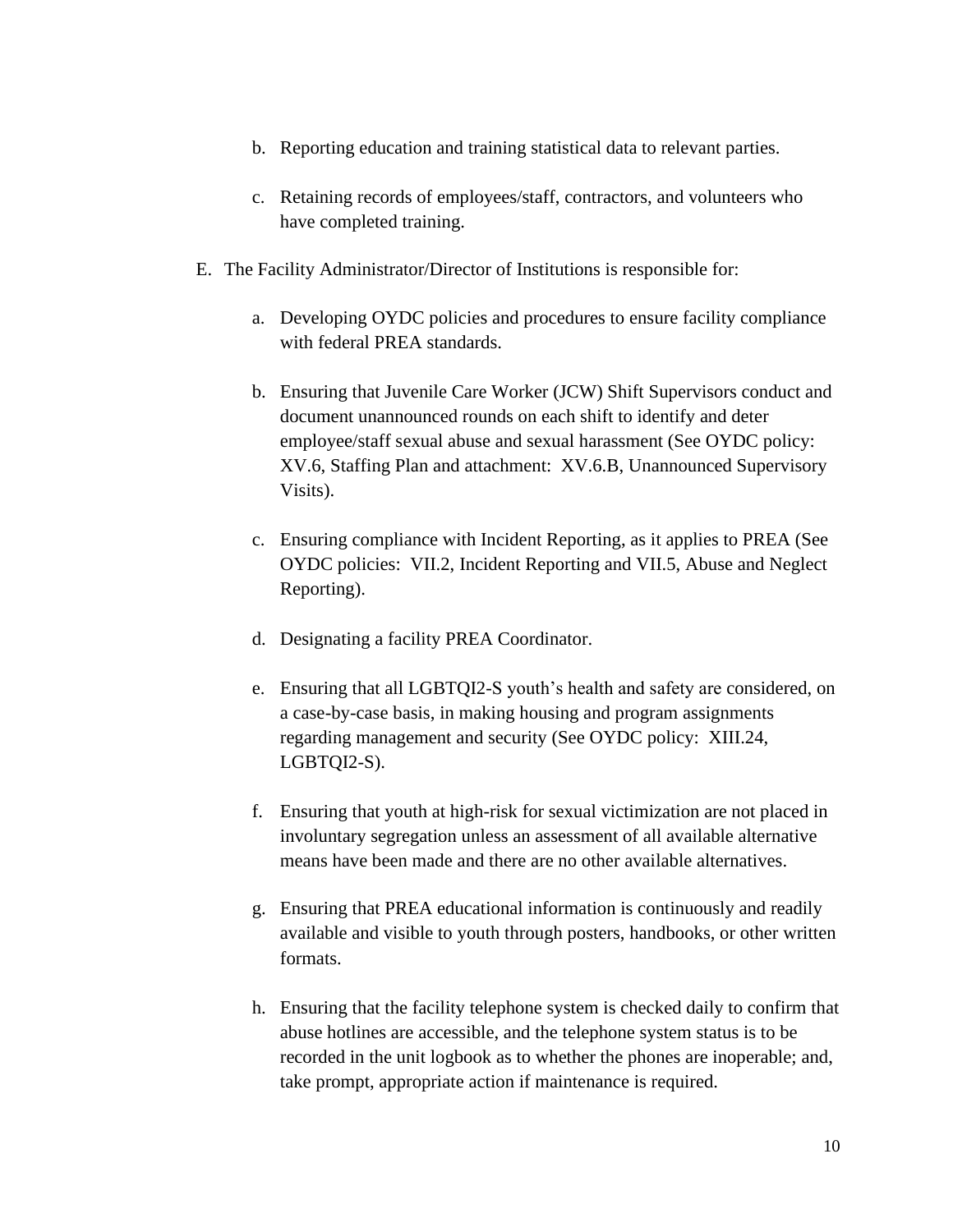- b. Reporting education and training statistical data to relevant parties.
- c. Retaining records of employees/staff, contractors, and volunteers who have completed training.
- E. The Facility Administrator/Director of Institutions is responsible for:
	- a. Developing OYDC policies and procedures to ensure facility compliance with federal PREA standards.
	- b. Ensuring that Juvenile Care Worker (JCW) Shift Supervisors conduct and document unannounced rounds on each shift to identify and deter employee/staff sexual abuse and sexual harassment (See OYDC policy: XV.6, Staffing Plan and attachment: XV.6.B, Unannounced Supervisory Visits).
	- c. Ensuring compliance with Incident Reporting, as it applies to PREA (See OYDC policies: VII.2, Incident Reporting and VII.5, Abuse and Neglect Reporting).
	- d. Designating a facility PREA Coordinator.
	- e. Ensuring that all LGBTQI2-S youth's health and safety are considered, on a case-by-case basis, in making housing and program assignments regarding management and security (See OYDC policy: XIII.24, LGBTQI2-S).
	- f. Ensuring that youth at high-risk for sexual victimization are not placed in involuntary segregation unless an assessment of all available alternative means have been made and there are no other available alternatives.
	- g. Ensuring that PREA educational information is continuously and readily available and visible to youth through posters, handbooks, or other written formats.
	- h. Ensuring that the facility telephone system is checked daily to confirm that abuse hotlines are accessible, and the telephone system status is to be recorded in the unit logbook as to whether the phones are inoperable; and, take prompt, appropriate action if maintenance is required.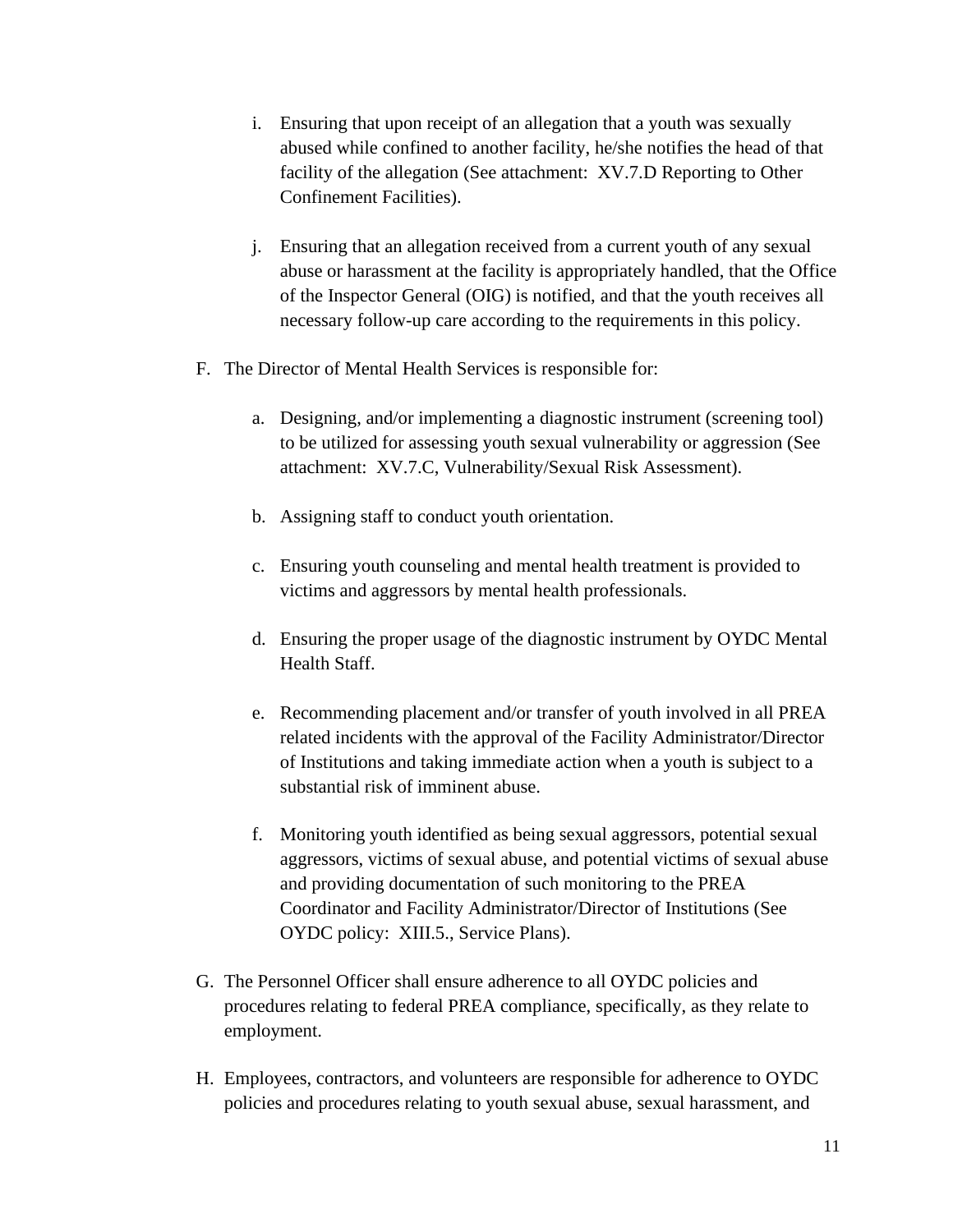- i. Ensuring that upon receipt of an allegation that a youth was sexually abused while confined to another facility, he/she notifies the head of that facility of the allegation (See attachment: XV.7.D Reporting to Other Confinement Facilities).
- j. Ensuring that an allegation received from a current youth of any sexual abuse or harassment at the facility is appropriately handled, that the Office of the Inspector General (OIG) is notified, and that the youth receives all necessary follow-up care according to the requirements in this policy.
- F. The Director of Mental Health Services is responsible for:
	- a. Designing, and/or implementing a diagnostic instrument (screening tool) to be utilized for assessing youth sexual vulnerability or aggression (See attachment: XV.7.C, Vulnerability/Sexual Risk Assessment).
	- b. Assigning staff to conduct youth orientation.
	- c. Ensuring youth counseling and mental health treatment is provided to victims and aggressors by mental health professionals.
	- d. Ensuring the proper usage of the diagnostic instrument by OYDC Mental Health Staff.
	- e. Recommending placement and/or transfer of youth involved in all PREA related incidents with the approval of the Facility Administrator/Director of Institutions and taking immediate action when a youth is subject to a substantial risk of imminent abuse.
	- f. Monitoring youth identified as being sexual aggressors, potential sexual aggressors, victims of sexual abuse, and potential victims of sexual abuse and providing documentation of such monitoring to the PREA Coordinator and Facility Administrator/Director of Institutions (See OYDC policy: XIII.5., Service Plans).
- G. The Personnel Officer shall ensure adherence to all OYDC policies and procedures relating to federal PREA compliance, specifically, as they relate to employment.
- H. Employees, contractors, and volunteers are responsible for adherence to OYDC policies and procedures relating to youth sexual abuse, sexual harassment, and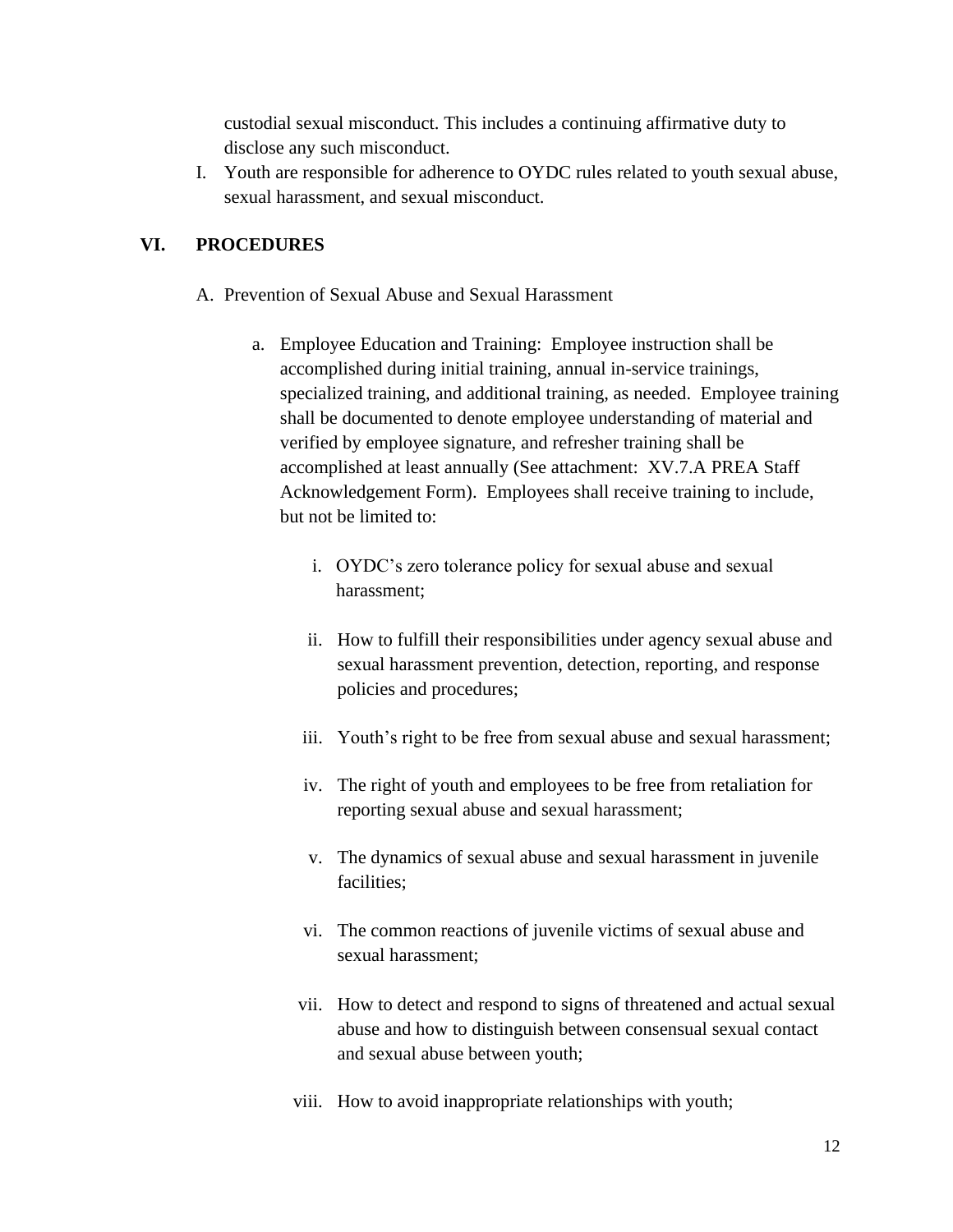custodial sexual misconduct. This includes a continuing affirmative duty to disclose any such misconduct.

I. Youth are responsible for adherence to OYDC rules related to youth sexual abuse, sexual harassment, and sexual misconduct.

## **VI. PROCEDURES**

- A. Prevention of Sexual Abuse and Sexual Harassment
	- a. Employee Education and Training: Employee instruction shall be accomplished during initial training, annual in-service trainings, specialized training, and additional training, as needed. Employee training shall be documented to denote employee understanding of material and verified by employee signature, and refresher training shall be accomplished at least annually (See attachment: XV.7.A PREA Staff Acknowledgement Form). Employees shall receive training to include, but not be limited to:
		- i. OYDC's zero tolerance policy for sexual abuse and sexual harassment;
		- ii. How to fulfill their responsibilities under agency sexual abuse and sexual harassment prevention, detection, reporting, and response policies and procedures;
		- iii. Youth's right to be free from sexual abuse and sexual harassment;
		- iv. The right of youth and employees to be free from retaliation for reporting sexual abuse and sexual harassment;
		- v. The dynamics of sexual abuse and sexual harassment in juvenile facilities;
		- vi. The common reactions of juvenile victims of sexual abuse and sexual harassment;
		- vii. How to detect and respond to signs of threatened and actual sexual abuse and how to distinguish between consensual sexual contact and sexual abuse between youth;
		- viii. How to avoid inappropriate relationships with youth;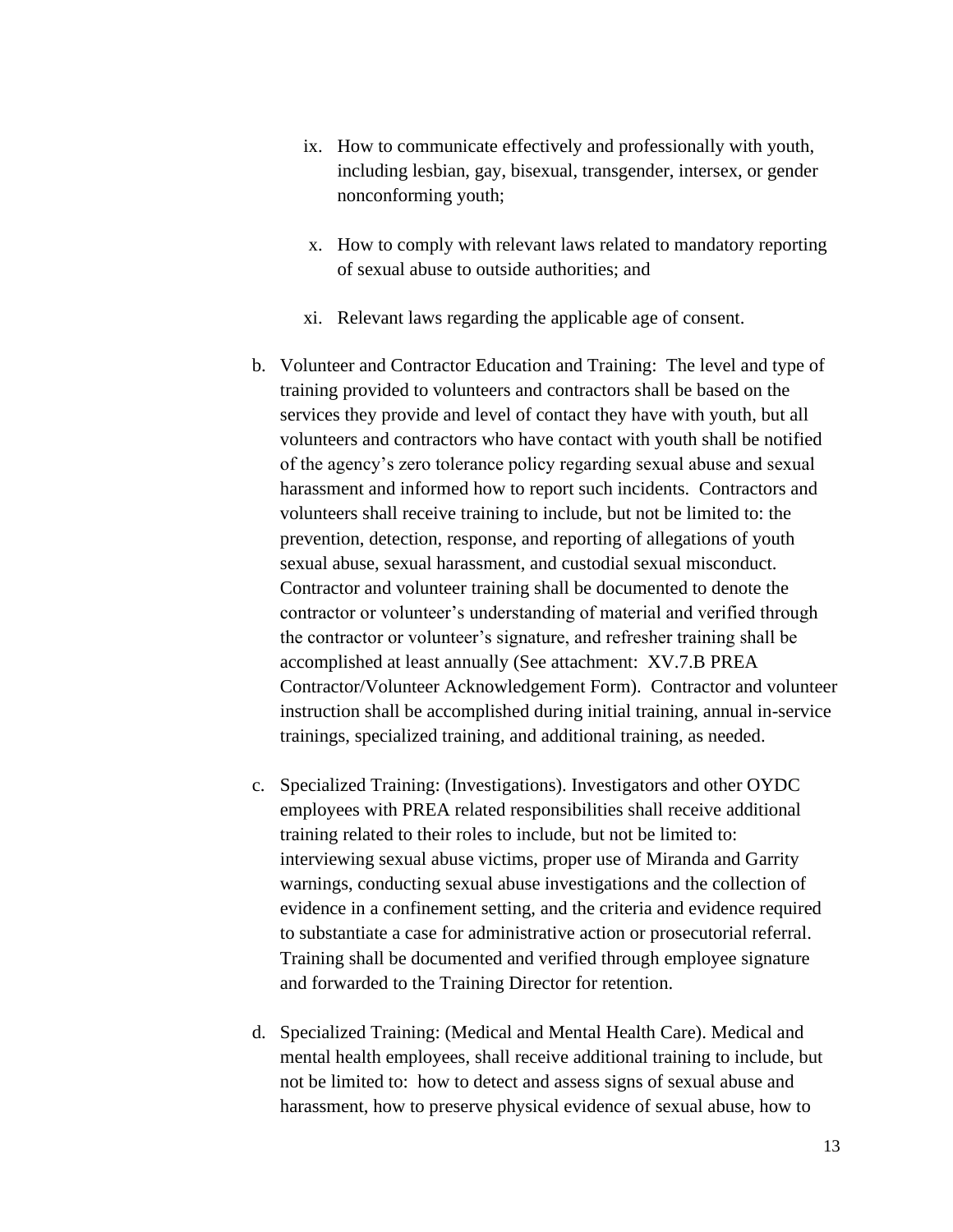- ix. How to communicate effectively and professionally with youth, including lesbian, gay, bisexual, transgender, intersex, or gender nonconforming youth;
- x. How to comply with relevant laws related to mandatory reporting of sexual abuse to outside authorities; and
- xi. Relevant laws regarding the applicable age of consent.
- b. Volunteer and Contractor Education and Training: The level and type of training provided to volunteers and contractors shall be based on the services they provide and level of contact they have with youth, but all volunteers and contractors who have contact with youth shall be notified of the agency's zero tolerance policy regarding sexual abuse and sexual harassment and informed how to report such incidents. Contractors and volunteers shall receive training to include, but not be limited to: the prevention, detection, response, and reporting of allegations of youth sexual abuse, sexual harassment, and custodial sexual misconduct. Contractor and volunteer training shall be documented to denote the contractor or volunteer's understanding of material and verified through the contractor or volunteer's signature, and refresher training shall be accomplished at least annually (See attachment: XV.7.B PREA Contractor/Volunteer Acknowledgement Form). Contractor and volunteer instruction shall be accomplished during initial training, annual in-service trainings, specialized training, and additional training, as needed.
- c. Specialized Training: (Investigations). Investigators and other OYDC employees with PREA related responsibilities shall receive additional training related to their roles to include, but not be limited to: interviewing sexual abuse victims, proper use of Miranda and Garrity warnings, conducting sexual abuse investigations and the collection of evidence in a confinement setting, and the criteria and evidence required to substantiate a case for administrative action or prosecutorial referral. Training shall be documented and verified through employee signature and forwarded to the Training Director for retention.
- d. Specialized Training: (Medical and Mental Health Care). Medical and mental health employees, shall receive additional training to include, but not be limited to: how to detect and assess signs of sexual abuse and harassment, how to preserve physical evidence of sexual abuse, how to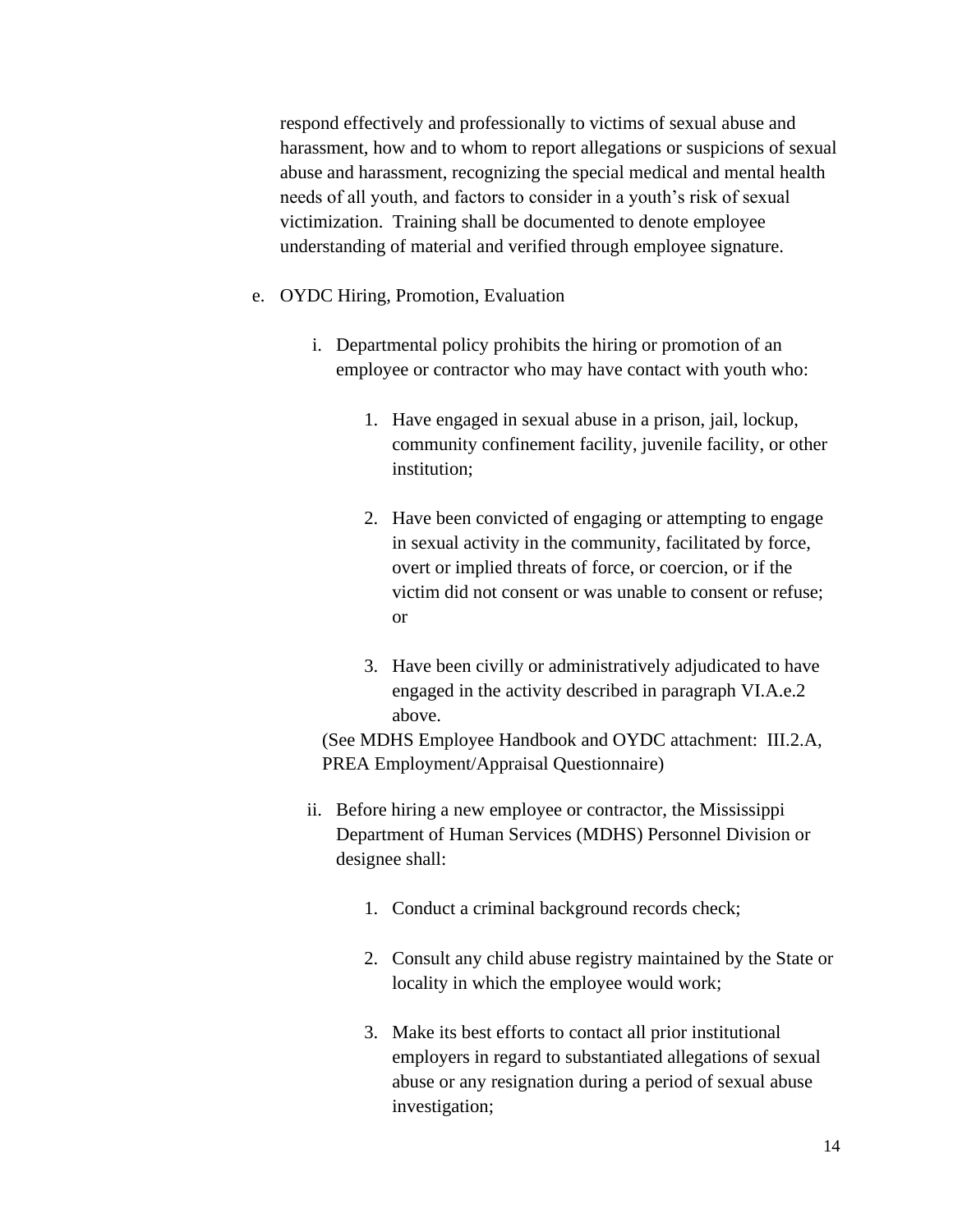respond effectively and professionally to victims of sexual abuse and harassment, how and to whom to report allegations or suspicions of sexual abuse and harassment, recognizing the special medical and mental health needs of all youth, and factors to consider in a youth's risk of sexual victimization. Training shall be documented to denote employee understanding of material and verified through employee signature.

- e. OYDC Hiring, Promotion, Evaluation
	- i. Departmental policy prohibits the hiring or promotion of an employee or contractor who may have contact with youth who:
		- 1. Have engaged in sexual abuse in a prison, jail, lockup, community confinement facility, juvenile facility, or other institution;
		- 2. Have been convicted of engaging or attempting to engage in sexual activity in the community, facilitated by force, overt or implied threats of force, or coercion, or if the victim did not consent or was unable to consent or refuse; or
		- 3. Have been civilly or administratively adjudicated to have engaged in the activity described in paragraph VI.A.e.2 above.

(See MDHS Employee Handbook and OYDC attachment: III.2.A, PREA Employment/Appraisal Questionnaire)

- ii. Before hiring a new employee or contractor, the Mississippi Department of Human Services (MDHS) Personnel Division or designee shall:
	- 1. Conduct a criminal background records check;
	- 2. Consult any child abuse registry maintained by the State or locality in which the employee would work;
	- 3. Make its best efforts to contact all prior institutional employers in regard to substantiated allegations of sexual abuse or any resignation during a period of sexual abuse investigation;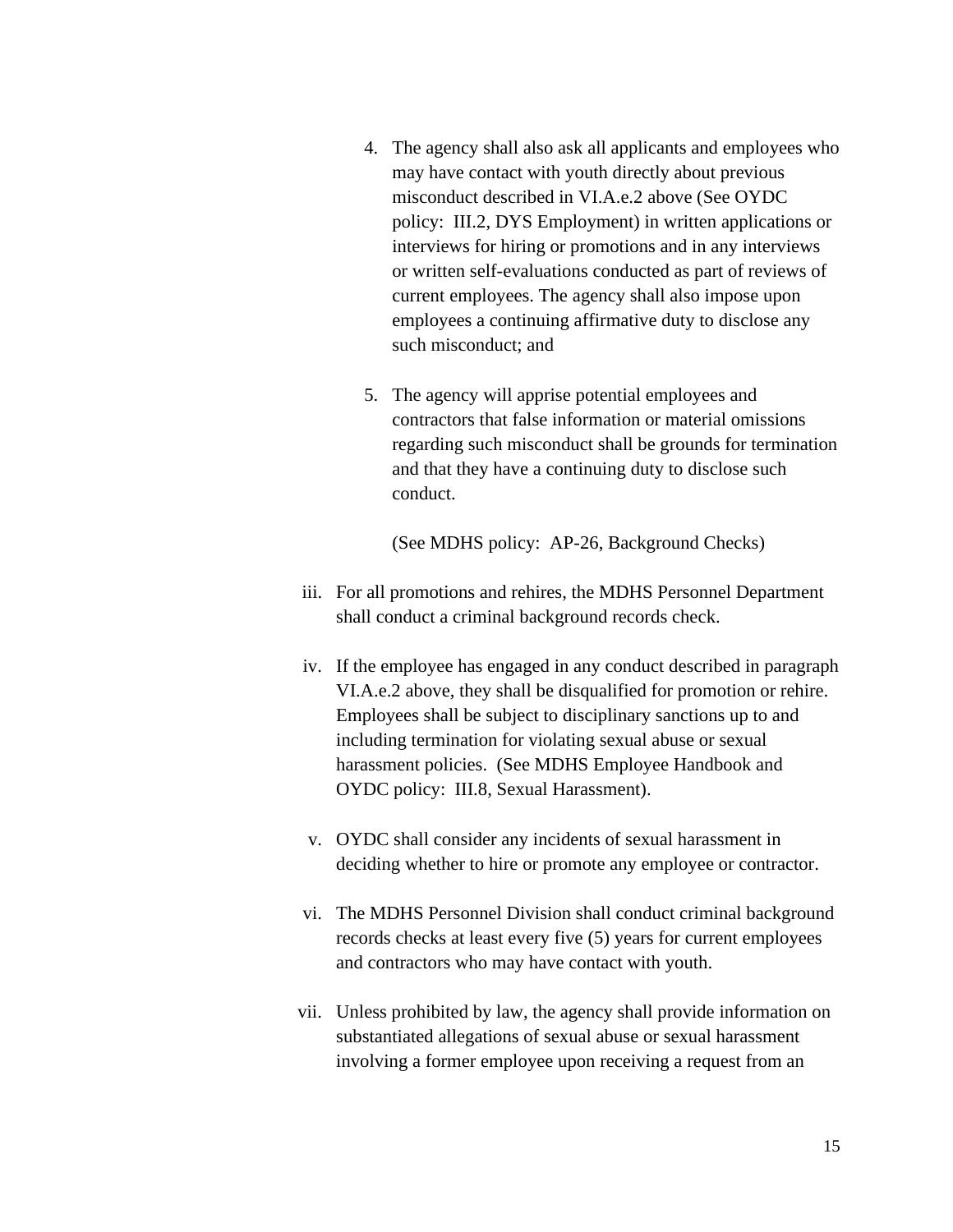- 4. The agency shall also ask all applicants and employees who may have contact with youth directly about previous misconduct described in VI.A.e.2 above (See OYDC policy: III.2, DYS Employment) in written applications or interviews for hiring or promotions and in any interviews or written self-evaluations conducted as part of reviews of current employees. The agency shall also impose upon employees a continuing affirmative duty to disclose any such misconduct; and
- 5. The agency will apprise potential employees and contractors that false information or material omissions regarding such misconduct shall be grounds for termination and that they have a continuing duty to disclose such conduct.

(See MDHS policy: AP-26, Background Checks)

- iii. For all promotions and rehires, the MDHS Personnel Department shall conduct a criminal background records check.
- iv. If the employee has engaged in any conduct described in paragraph VI.A.e.2 above, they shall be disqualified for promotion or rehire. Employees shall be subject to disciplinary sanctions up to and including termination for violating sexual abuse or sexual harassment policies. (See MDHS Employee Handbook and OYDC policy: III.8, Sexual Harassment).
- v. OYDC shall consider any incidents of sexual harassment in deciding whether to hire or promote any employee or contractor.
- vi. The MDHS Personnel Division shall conduct criminal background records checks at least every five (5) years for current employees and contractors who may have contact with youth.
- vii. Unless prohibited by law, the agency shall provide information on substantiated allegations of sexual abuse or sexual harassment involving a former employee upon receiving a request from an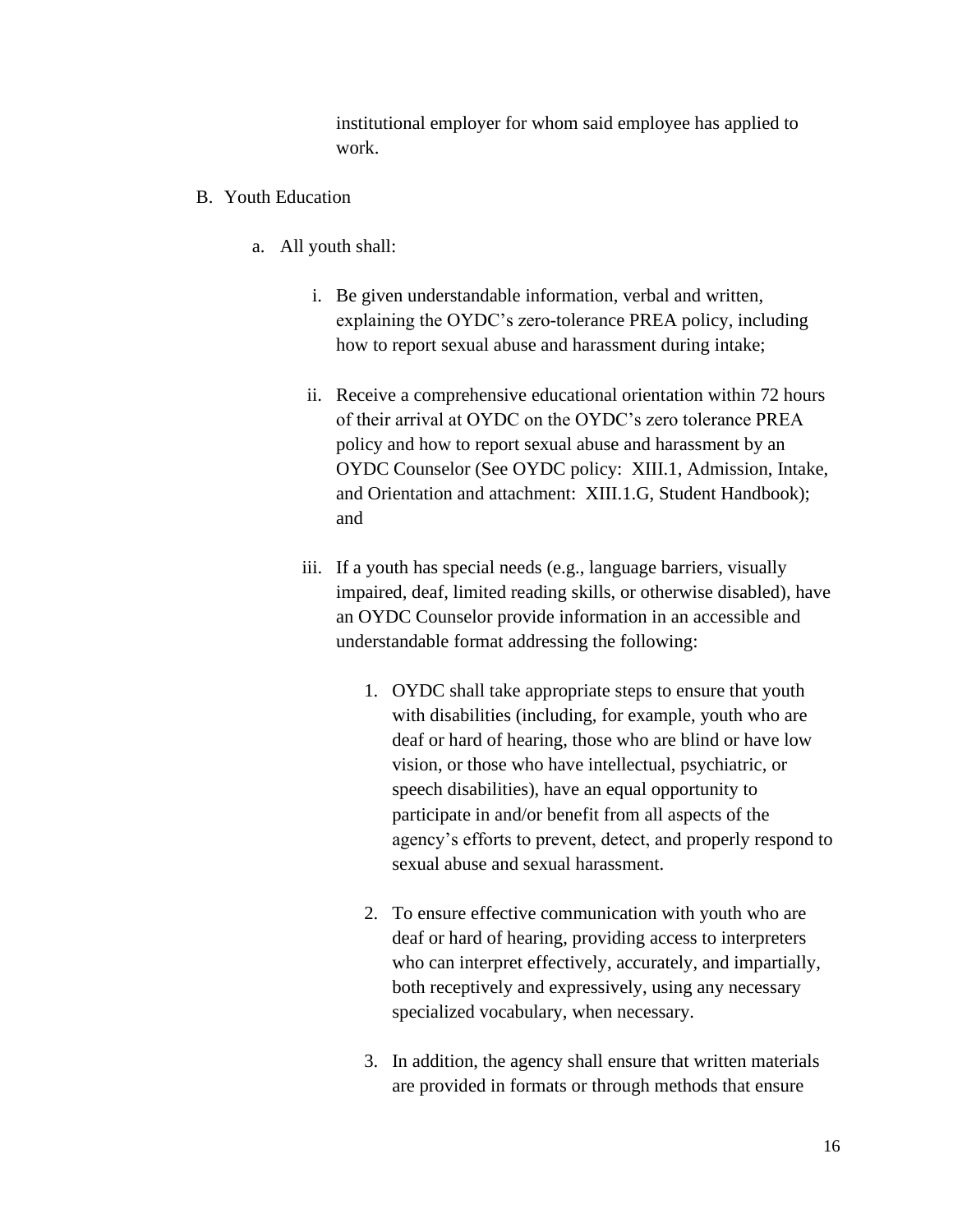institutional employer for whom said employee has applied to work.

- B. Youth Education
	- a. All youth shall:
		- i. Be given understandable information, verbal and written, explaining the OYDC's zero-tolerance PREA policy, including how to report sexual abuse and harassment during intake;
		- ii. Receive a comprehensive educational orientation within 72 hours of their arrival at OYDC on the OYDC's zero tolerance PREA policy and how to report sexual abuse and harassment by an OYDC Counselor (See OYDC policy: XIII.1, Admission, Intake, and Orientation and attachment: XIII.1.G, Student Handbook); and
		- iii. If a youth has special needs (e.g., language barriers, visually impaired, deaf, limited reading skills, or otherwise disabled), have an OYDC Counselor provide information in an accessible and understandable format addressing the following:
			- 1. OYDC shall take appropriate steps to ensure that youth with disabilities (including, for example, youth who are deaf or hard of hearing, those who are blind or have low vision, or those who have intellectual, psychiatric, or speech disabilities), have an equal opportunity to participate in and/or benefit from all aspects of the agency's efforts to prevent, detect, and properly respond to sexual abuse and sexual harassment.
			- 2. To ensure effective communication with youth who are deaf or hard of hearing, providing access to interpreters who can interpret effectively, accurately, and impartially, both receptively and expressively, using any necessary specialized vocabulary, when necessary.
			- 3. In addition, the agency shall ensure that written materials are provided in formats or through methods that ensure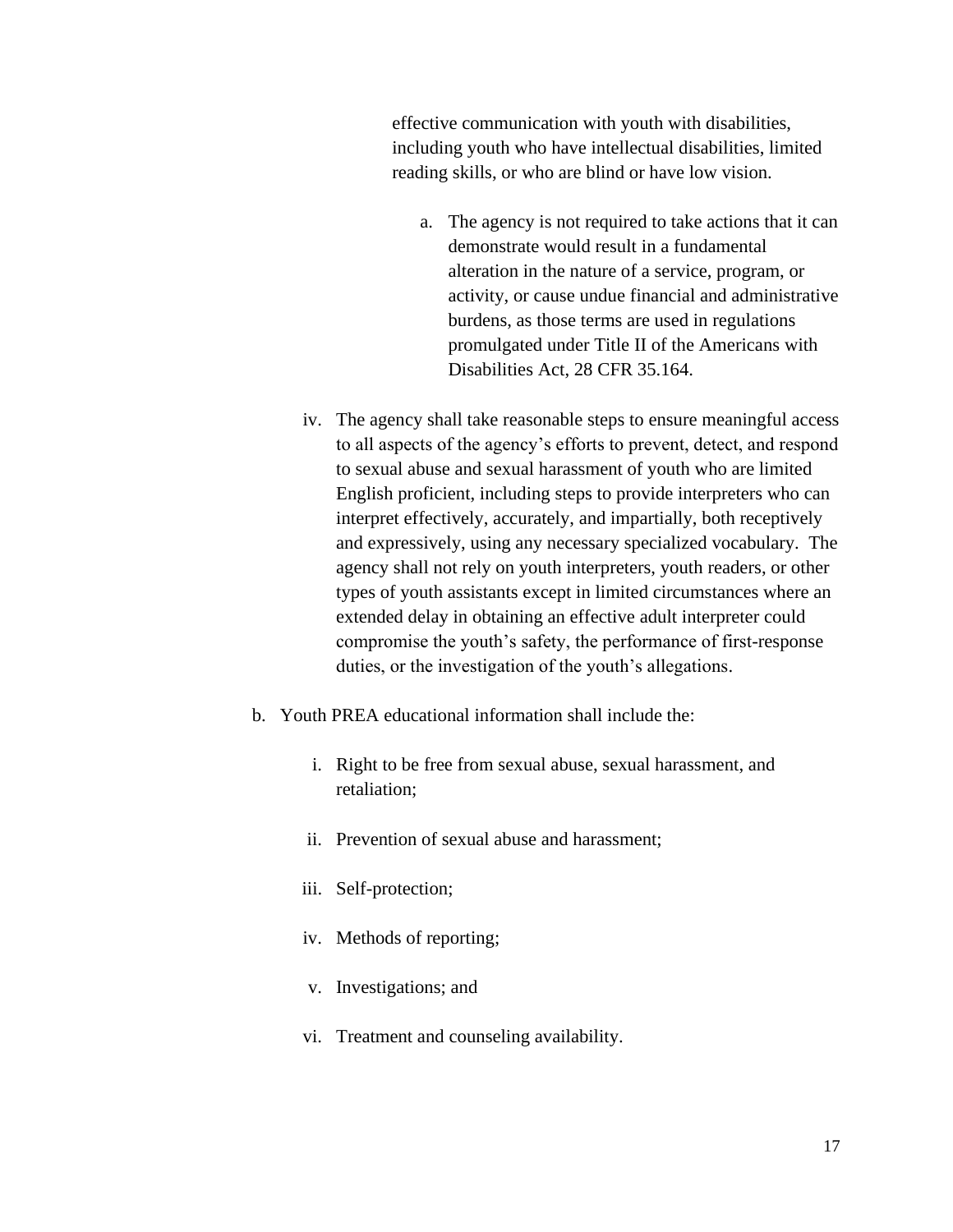effective communication with youth with disabilities, including youth who have intellectual disabilities, limited reading skills, or who are blind or have low vision.

- a. The agency is not required to take actions that it can demonstrate would result in a fundamental alteration in the nature of a service, program, or activity, or cause undue financial and administrative burdens, as those terms are used in regulations promulgated under Title II of the Americans with Disabilities Act, 28 CFR 35.164.
- iv. The agency shall take reasonable steps to ensure meaningful access to all aspects of the agency's efforts to prevent, detect, and respond to sexual abuse and sexual harassment of youth who are limited English proficient, including steps to provide interpreters who can interpret effectively, accurately, and impartially, both receptively and expressively, using any necessary specialized vocabulary. The agency shall not rely on youth interpreters, youth readers, or other types of youth assistants except in limited circumstances where an extended delay in obtaining an effective adult interpreter could compromise the youth's safety, the performance of first-response duties, or the investigation of the youth's allegations.
- b. Youth PREA educational information shall include the:
	- i. Right to be free from sexual abuse, sexual harassment, and retaliation;
	- ii. Prevention of sexual abuse and harassment;
	- iii. Self-protection;
	- iv. Methods of reporting;
	- v. Investigations; and
	- vi. Treatment and counseling availability.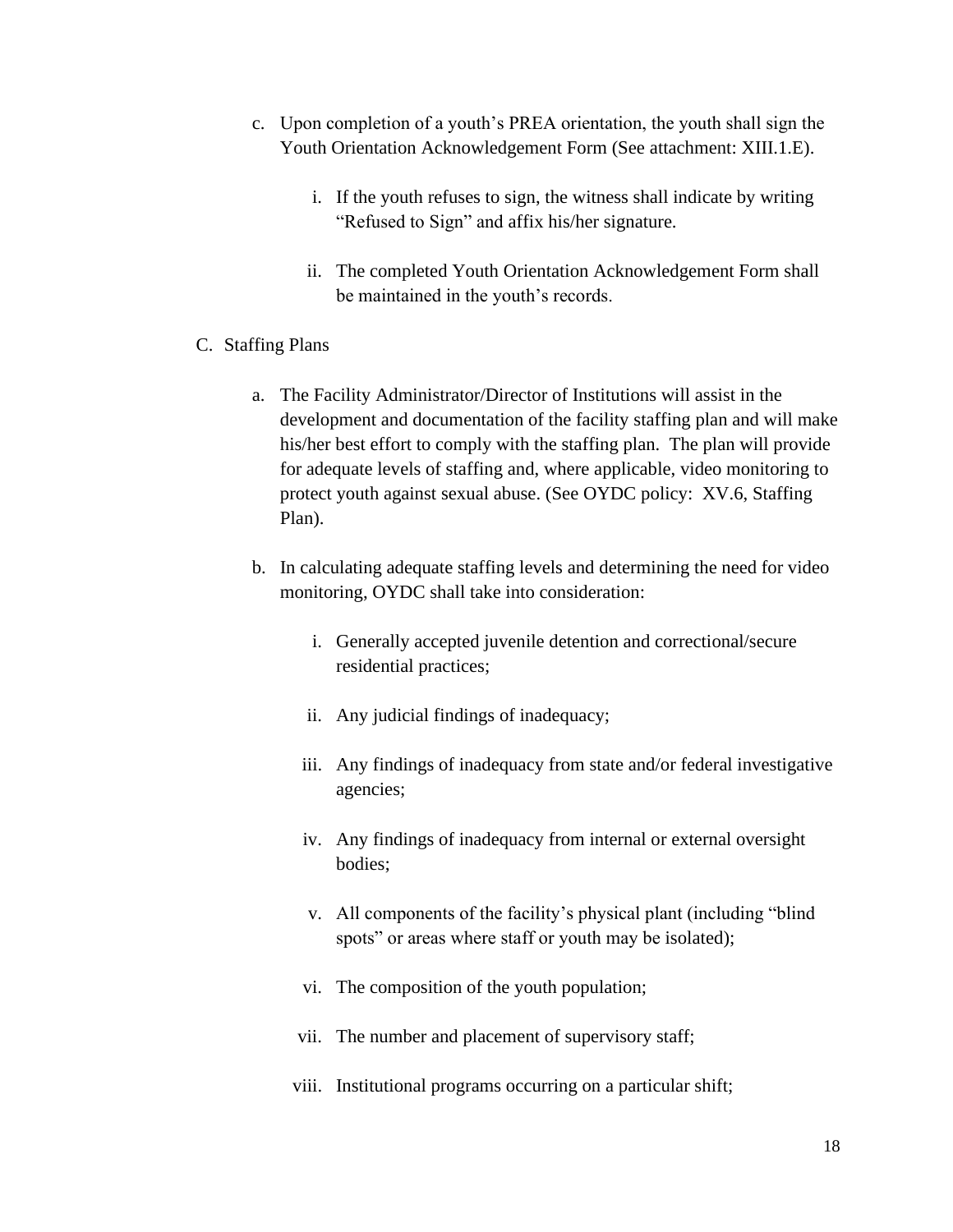- c. Upon completion of a youth's PREA orientation, the youth shall sign the Youth Orientation Acknowledgement Form (See attachment: XIII.1.E).
	- i. If the youth refuses to sign, the witness shall indicate by writing "Refused to Sign" and affix his/her signature.
	- ii. The completed Youth Orientation Acknowledgement Form shall be maintained in the youth's records.
- C. Staffing Plans
	- a. The Facility Administrator/Director of Institutions will assist in the development and documentation of the facility staffing plan and will make his/her best effort to comply with the staffing plan. The plan will provide for adequate levels of staffing and, where applicable, video monitoring to protect youth against sexual abuse. (See OYDC policy: XV.6, Staffing Plan).
	- b. In calculating adequate staffing levels and determining the need for video monitoring, OYDC shall take into consideration:
		- i. Generally accepted juvenile detention and correctional/secure residential practices;
		- ii. Any judicial findings of inadequacy;
		- iii. Any findings of inadequacy from state and/or federal investigative agencies;
		- iv. Any findings of inadequacy from internal or external oversight bodies;
		- v. All components of the facility's physical plant (including "blind spots" or areas where staff or youth may be isolated);
		- vi. The composition of the youth population;
		- vii. The number and placement of supervisory staff;
		- viii. Institutional programs occurring on a particular shift;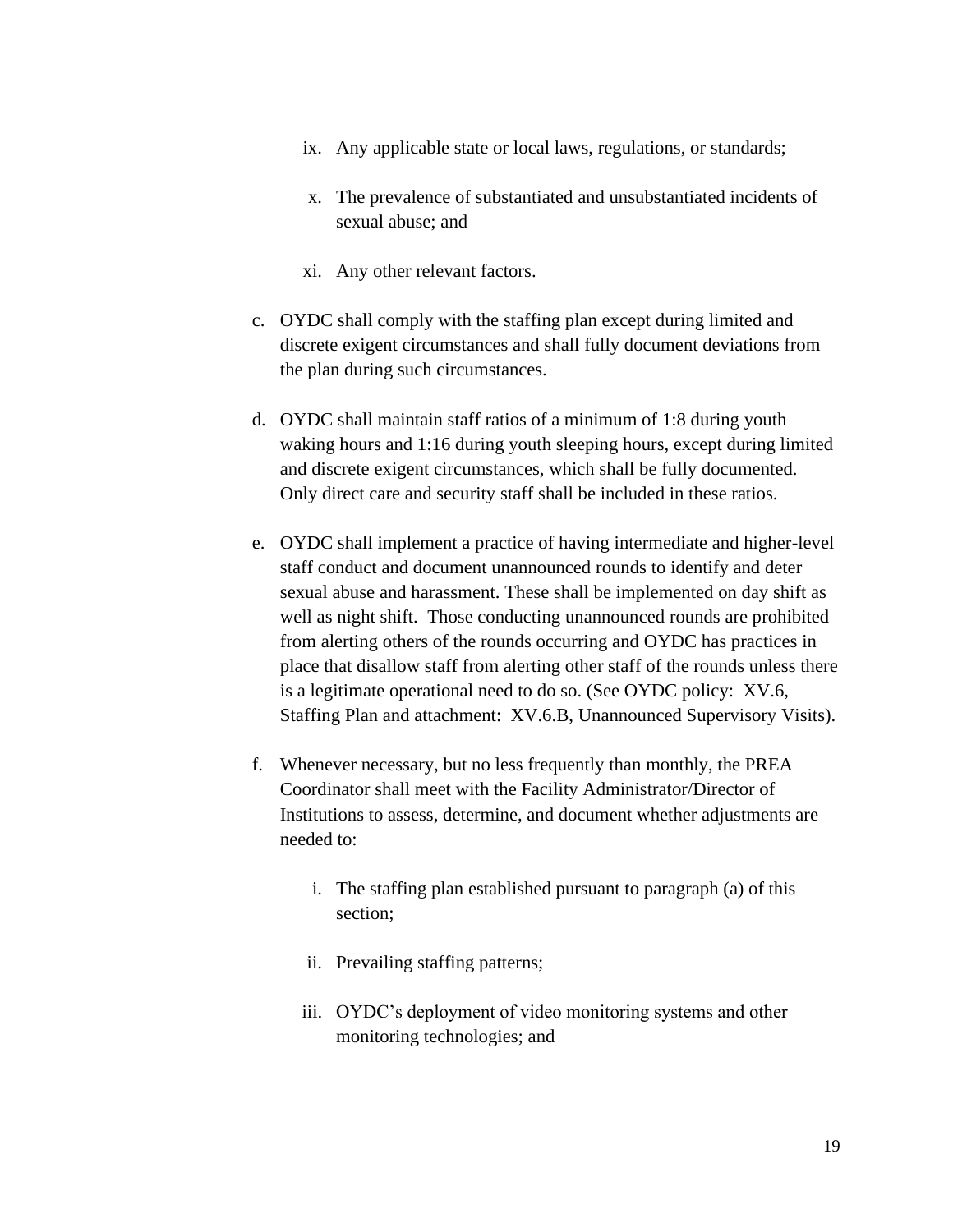- ix. Any applicable state or local laws, regulations, or standards;
- x. The prevalence of substantiated and unsubstantiated incidents of sexual abuse; and
- xi. Any other relevant factors.
- c. OYDC shall comply with the staffing plan except during limited and discrete exigent circumstances and shall fully document deviations from the plan during such circumstances.
- d. OYDC shall maintain staff ratios of a minimum of 1:8 during youth waking hours and 1:16 during youth sleeping hours, except during limited and discrete exigent circumstances, which shall be fully documented. Only direct care and security staff shall be included in these ratios.
- e. OYDC shall implement a practice of having intermediate and higher-level staff conduct and document unannounced rounds to identify and deter sexual abuse and harassment. These shall be implemented on day shift as well as night shift. Those conducting unannounced rounds are prohibited from alerting others of the rounds occurring and OYDC has practices in place that disallow staff from alerting other staff of the rounds unless there is a legitimate operational need to do so. (See OYDC policy: XV.6, Staffing Plan and attachment: XV.6.B, Unannounced Supervisory Visits).
- f. Whenever necessary, but no less frequently than monthly, the PREA Coordinator shall meet with the Facility Administrator/Director of Institutions to assess, determine, and document whether adjustments are needed to:
	- i. The staffing plan established pursuant to paragraph (a) of this section;
	- ii. Prevailing staffing patterns;
	- iii. OYDC's deployment of video monitoring systems and other monitoring technologies; and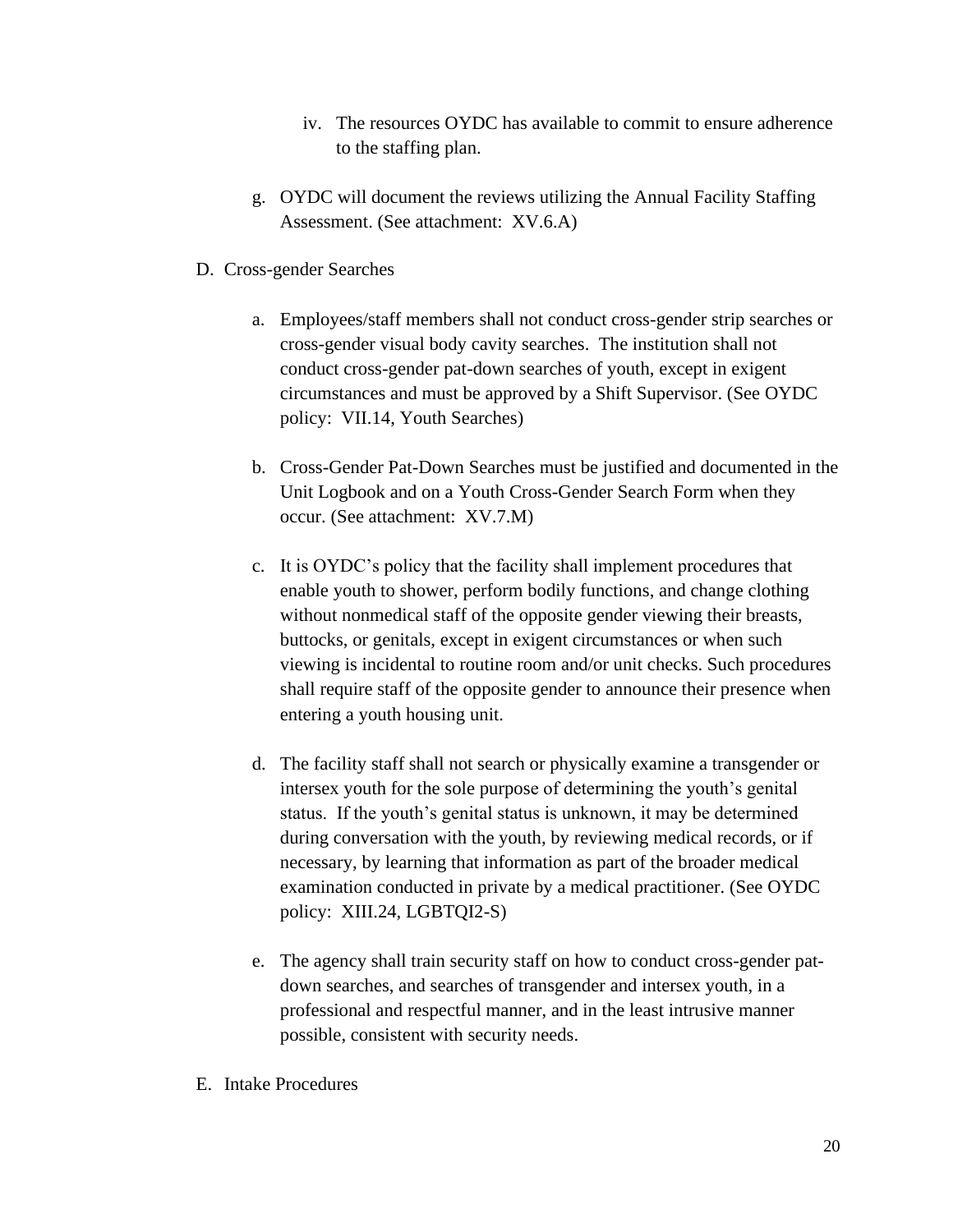- iv. The resources OYDC has available to commit to ensure adherence to the staffing plan.
- g. OYDC will document the reviews utilizing the Annual Facility Staffing Assessment. (See attachment: XV.6.A)
- D. Cross-gender Searches
	- a. Employees/staff members shall not conduct cross-gender strip searches or cross-gender visual body cavity searches. The institution shall not conduct cross-gender pat-down searches of youth, except in exigent circumstances and must be approved by a Shift Supervisor. (See OYDC policy: VII.14, Youth Searches)
	- b. Cross-Gender Pat-Down Searches must be justified and documented in the Unit Logbook and on a Youth Cross-Gender Search Form when they occur. (See attachment: XV.7.M)
	- c. It is OYDC's policy that the facility shall implement procedures that enable youth to shower, perform bodily functions, and change clothing without nonmedical staff of the opposite gender viewing their breasts, buttocks, or genitals, except in exigent circumstances or when such viewing is incidental to routine room and/or unit checks. Such procedures shall require staff of the opposite gender to announce their presence when entering a youth housing unit.
	- d. The facility staff shall not search or physically examine a transgender or intersex youth for the sole purpose of determining the youth's genital status. If the youth's genital status is unknown, it may be determined during conversation with the youth, by reviewing medical records, or if necessary, by learning that information as part of the broader medical examination conducted in private by a medical practitioner. (See OYDC policy: XIII.24, LGBTQI2-S)
	- e. The agency shall train security staff on how to conduct cross-gender patdown searches, and searches of transgender and intersex youth, in a professional and respectful manner, and in the least intrusive manner possible, consistent with security needs.
- E. Intake Procedures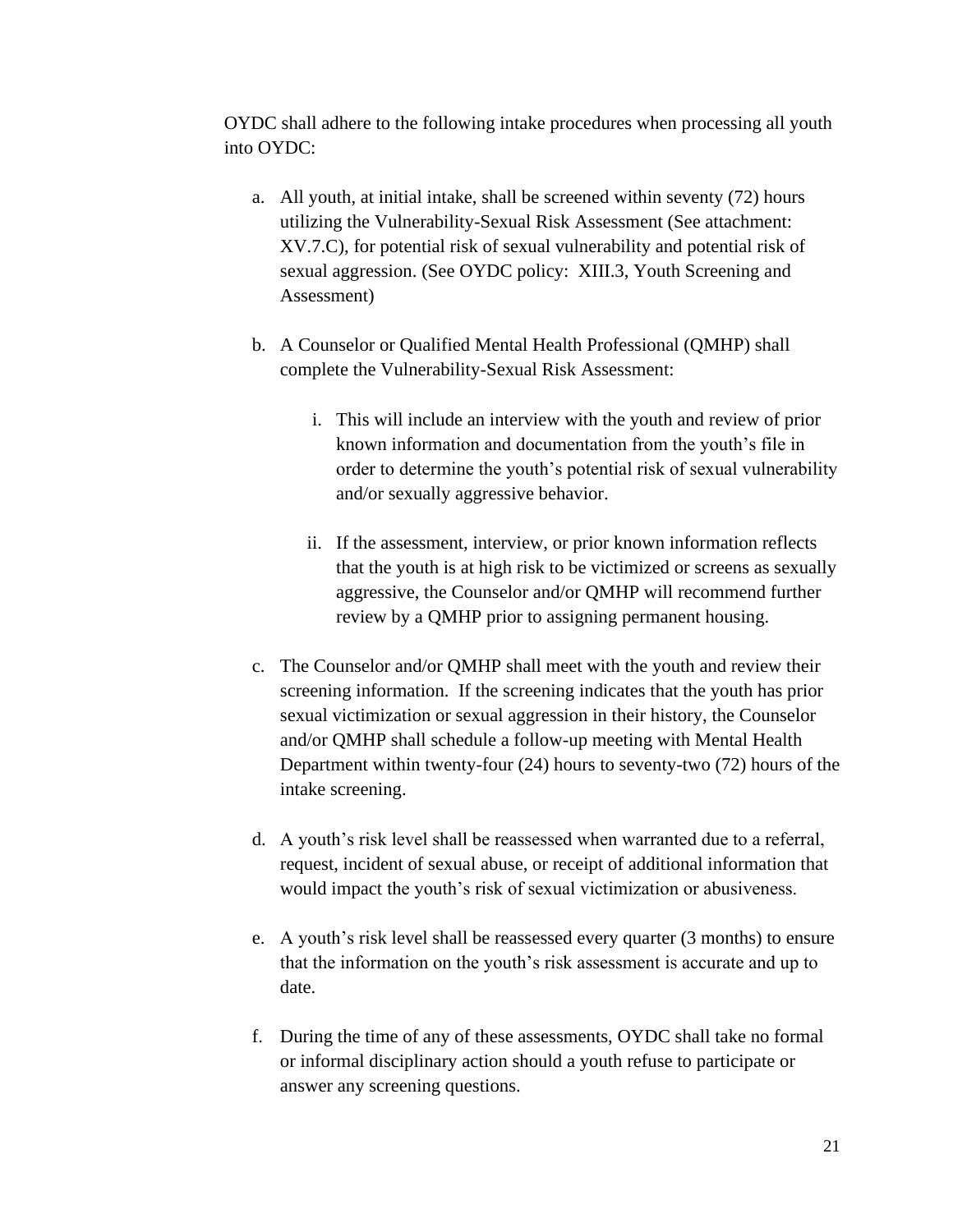OYDC shall adhere to the following intake procedures when processing all youth into OYDC:

- a. All youth, at initial intake, shall be screened within seventy (72) hours utilizing the Vulnerability-Sexual Risk Assessment (See attachment: XV.7.C), for potential risk of sexual vulnerability and potential risk of sexual aggression. (See OYDC policy: XIII.3, Youth Screening and Assessment)
- b. A Counselor or Qualified Mental Health Professional (QMHP) shall complete the Vulnerability-Sexual Risk Assessment:
	- i. This will include an interview with the youth and review of prior known information and documentation from the youth's file in order to determine the youth's potential risk of sexual vulnerability and/or sexually aggressive behavior.
	- ii. If the assessment, interview, or prior known information reflects that the youth is at high risk to be victimized or screens as sexually aggressive, the Counselor and/or QMHP will recommend further review by a QMHP prior to assigning permanent housing.
- c. The Counselor and/or QMHP shall meet with the youth and review their screening information. If the screening indicates that the youth has prior sexual victimization or sexual aggression in their history, the Counselor and/or QMHP shall schedule a follow-up meeting with Mental Health Department within twenty-four (24) hours to seventy-two (72) hours of the intake screening.
- d. A youth's risk level shall be reassessed when warranted due to a referral, request, incident of sexual abuse, or receipt of additional information that would impact the youth's risk of sexual victimization or abusiveness.
- e. A youth's risk level shall be reassessed every quarter (3 months) to ensure that the information on the youth's risk assessment is accurate and up to date.
- f. During the time of any of these assessments, OYDC shall take no formal or informal disciplinary action should a youth refuse to participate or answer any screening questions.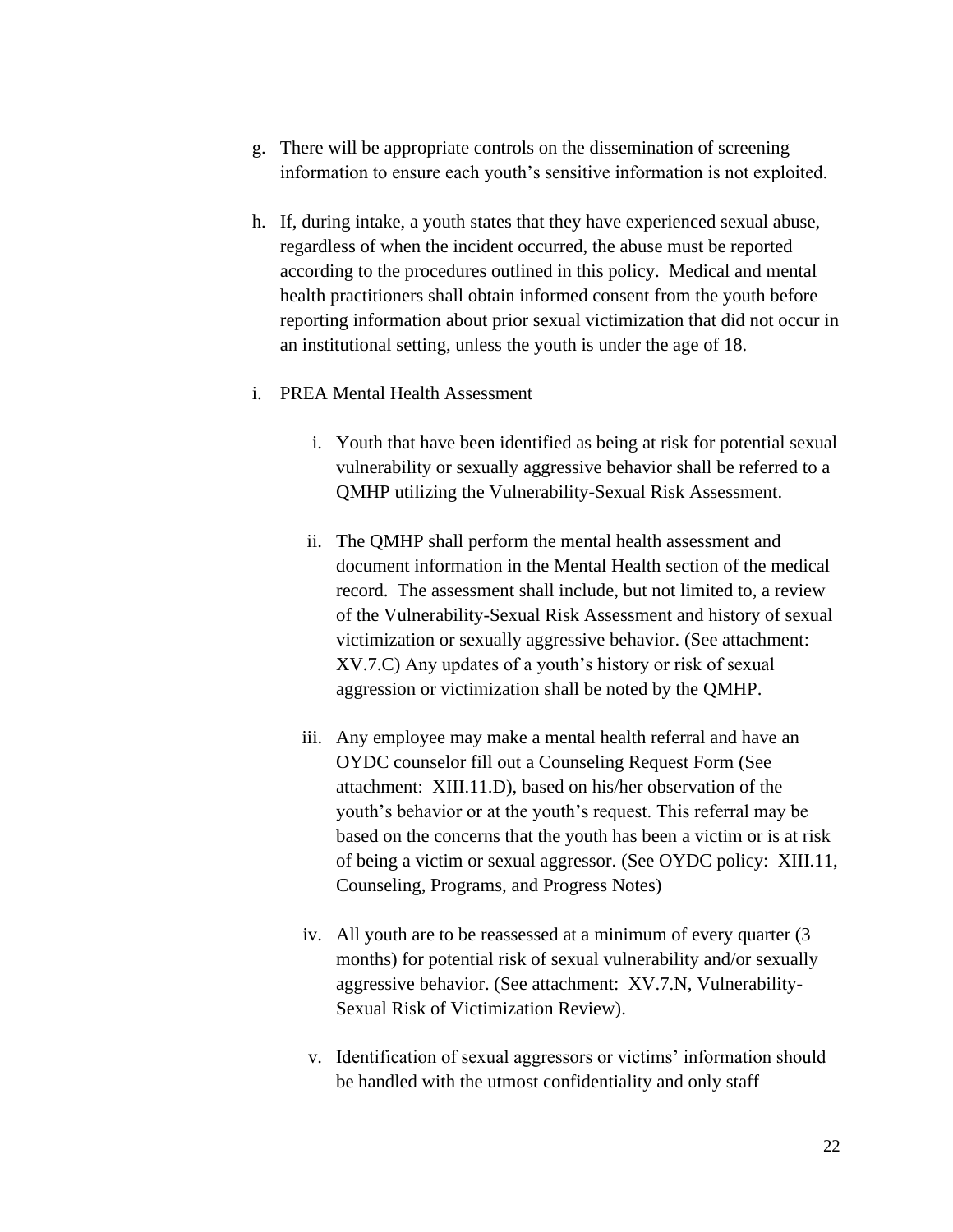- g. There will be appropriate controls on the dissemination of screening information to ensure each youth's sensitive information is not exploited.
- h. If, during intake, a youth states that they have experienced sexual abuse, regardless of when the incident occurred, the abuse must be reported according to the procedures outlined in this policy. Medical and mental health practitioners shall obtain informed consent from the youth before reporting information about prior sexual victimization that did not occur in an institutional setting, unless the youth is under the age of 18.
- i. PREA Mental Health Assessment
	- i. Youth that have been identified as being at risk for potential sexual vulnerability or sexually aggressive behavior shall be referred to a QMHP utilizing the Vulnerability-Sexual Risk Assessment.
	- ii. The QMHP shall perform the mental health assessment and document information in the Mental Health section of the medical record. The assessment shall include, but not limited to, a review of the Vulnerability-Sexual Risk Assessment and history of sexual victimization or sexually aggressive behavior. (See attachment: XV.7.C) Any updates of a youth's history or risk of sexual aggression or victimization shall be noted by the QMHP.
	- iii. Any employee may make a mental health referral and have an OYDC counselor fill out a Counseling Request Form (See attachment: XIII.11.D), based on his/her observation of the youth's behavior or at the youth's request. This referral may be based on the concerns that the youth has been a victim or is at risk of being a victim or sexual aggressor. (See OYDC policy: XIII.11, Counseling, Programs, and Progress Notes)
	- iv. All youth are to be reassessed at a minimum of every quarter (3 months) for potential risk of sexual vulnerability and/or sexually aggressive behavior. (See attachment: XV.7.N, Vulnerability-Sexual Risk of Victimization Review).
	- v. Identification of sexual aggressors or victims' information should be handled with the utmost confidentiality and only staff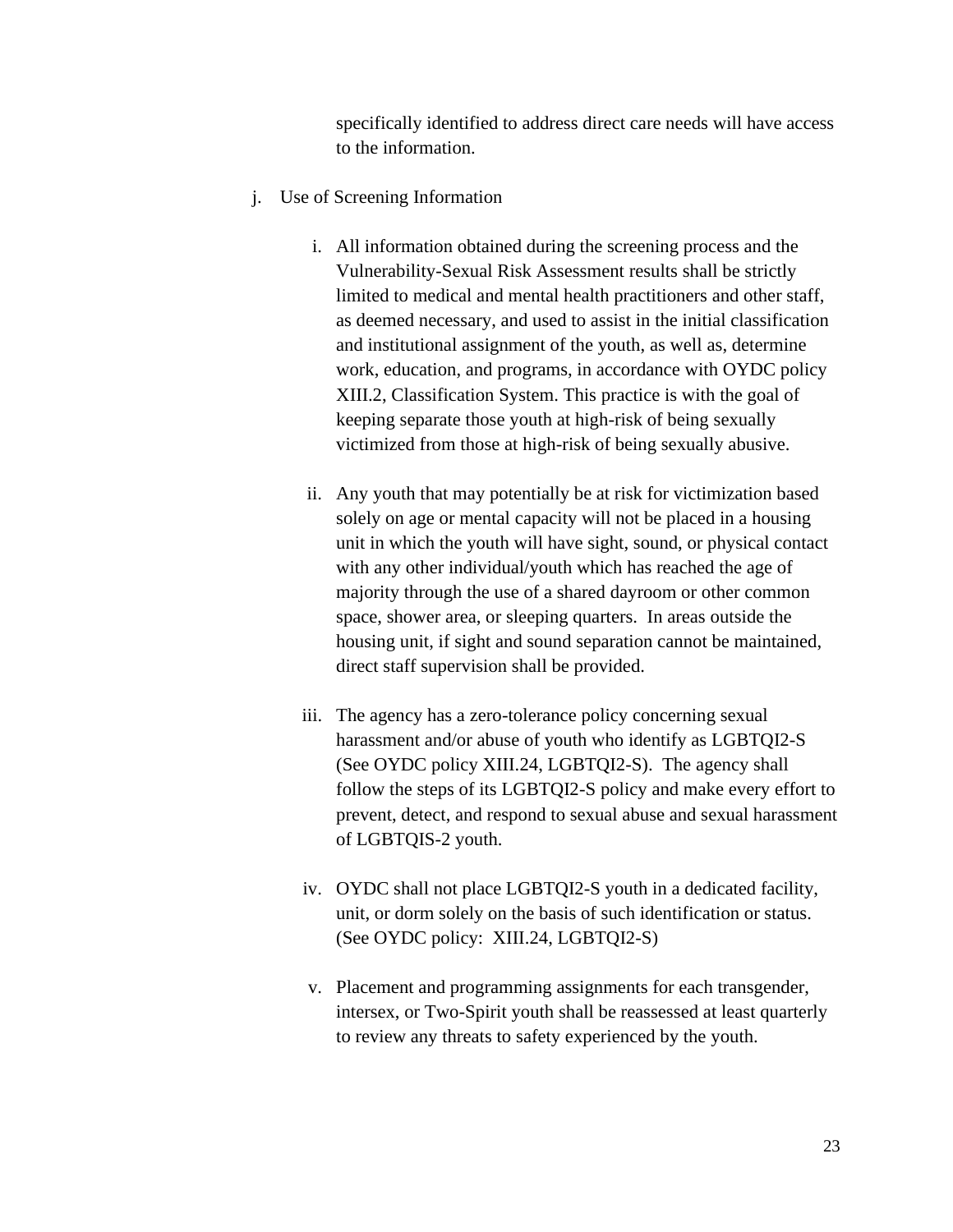specifically identified to address direct care needs will have access to the information.

- j. Use of Screening Information
	- i. All information obtained during the screening process and the Vulnerability-Sexual Risk Assessment results shall be strictly limited to medical and mental health practitioners and other staff, as deemed necessary, and used to assist in the initial classification and institutional assignment of the youth, as well as, determine work, education, and programs, in accordance with OYDC policy XIII.2, Classification System. This practice is with the goal of keeping separate those youth at high-risk of being sexually victimized from those at high-risk of being sexually abusive.
	- ii. Any youth that may potentially be at risk for victimization based solely on age or mental capacity will not be placed in a housing unit in which the youth will have sight, sound, or physical contact with any other individual/youth which has reached the age of majority through the use of a shared dayroom or other common space, shower area, or sleeping quarters. In areas outside the housing unit, if sight and sound separation cannot be maintained, direct staff supervision shall be provided.
	- iii. The agency has a zero-tolerance policy concerning sexual harassment and/or abuse of youth who identify as LGBTQI2-S (See OYDC policy XIII.24, LGBTQI2-S). The agency shall follow the steps of its LGBTQI2-S policy and make every effort to prevent, detect, and respond to sexual abuse and sexual harassment of LGBTQIS-2 youth.
	- iv. OYDC shall not place LGBTQI2-S youth in a dedicated facility, unit, or dorm solely on the basis of such identification or status. (See OYDC policy: XIII.24, LGBTQI2-S)
	- v. Placement and programming assignments for each transgender, intersex, or Two-Spirit youth shall be reassessed at least quarterly to review any threats to safety experienced by the youth.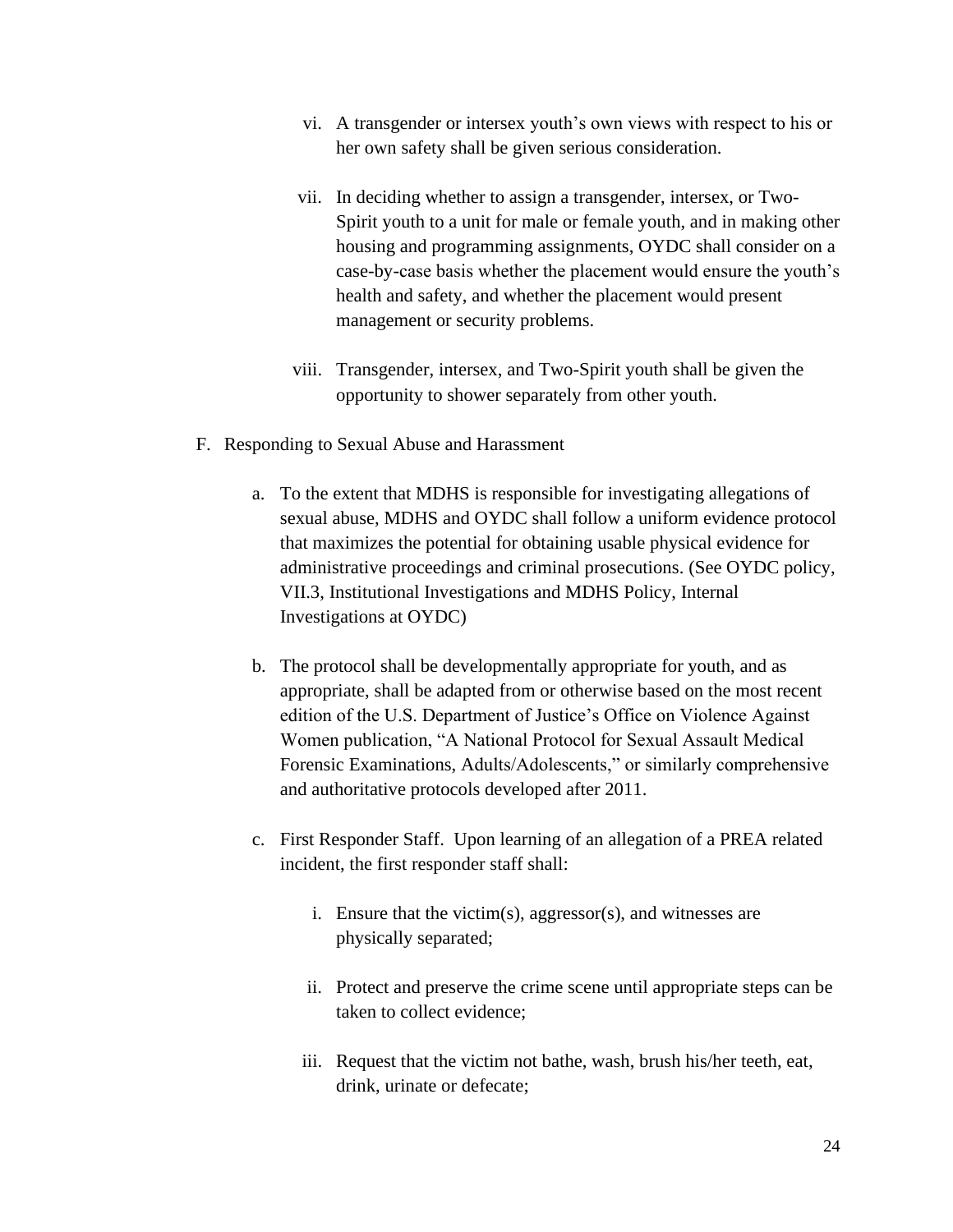- vi. A transgender or intersex youth's own views with respect to his or her own safety shall be given serious consideration.
- vii. In deciding whether to assign a transgender, intersex, or Two-Spirit youth to a unit for male or female youth, and in making other housing and programming assignments, OYDC shall consider on a case-by-case basis whether the placement would ensure the youth's health and safety, and whether the placement would present management or security problems.
- viii. Transgender, intersex, and Two-Spirit youth shall be given the opportunity to shower separately from other youth.
- F. Responding to Sexual Abuse and Harassment
	- a. To the extent that MDHS is responsible for investigating allegations of sexual abuse, MDHS and OYDC shall follow a uniform evidence protocol that maximizes the potential for obtaining usable physical evidence for administrative proceedings and criminal prosecutions. (See OYDC policy, VII.3, Institutional Investigations and MDHS Policy, Internal Investigations at OYDC)
	- b. The protocol shall be developmentally appropriate for youth, and as appropriate, shall be adapted from or otherwise based on the most recent edition of the U.S. Department of Justice's Office on Violence Against Women publication, "A National Protocol for Sexual Assault Medical Forensic Examinations, Adults/Adolescents," or similarly comprehensive and authoritative protocols developed after 2011.
	- c. First Responder Staff. Upon learning of an allegation of a PREA related incident, the first responder staff shall:
		- i. Ensure that the victim(s), aggressor(s), and witnesses are physically separated;
		- ii. Protect and preserve the crime scene until appropriate steps can be taken to collect evidence;
		- iii. Request that the victim not bathe, wash, brush his/her teeth, eat, drink, urinate or defecate;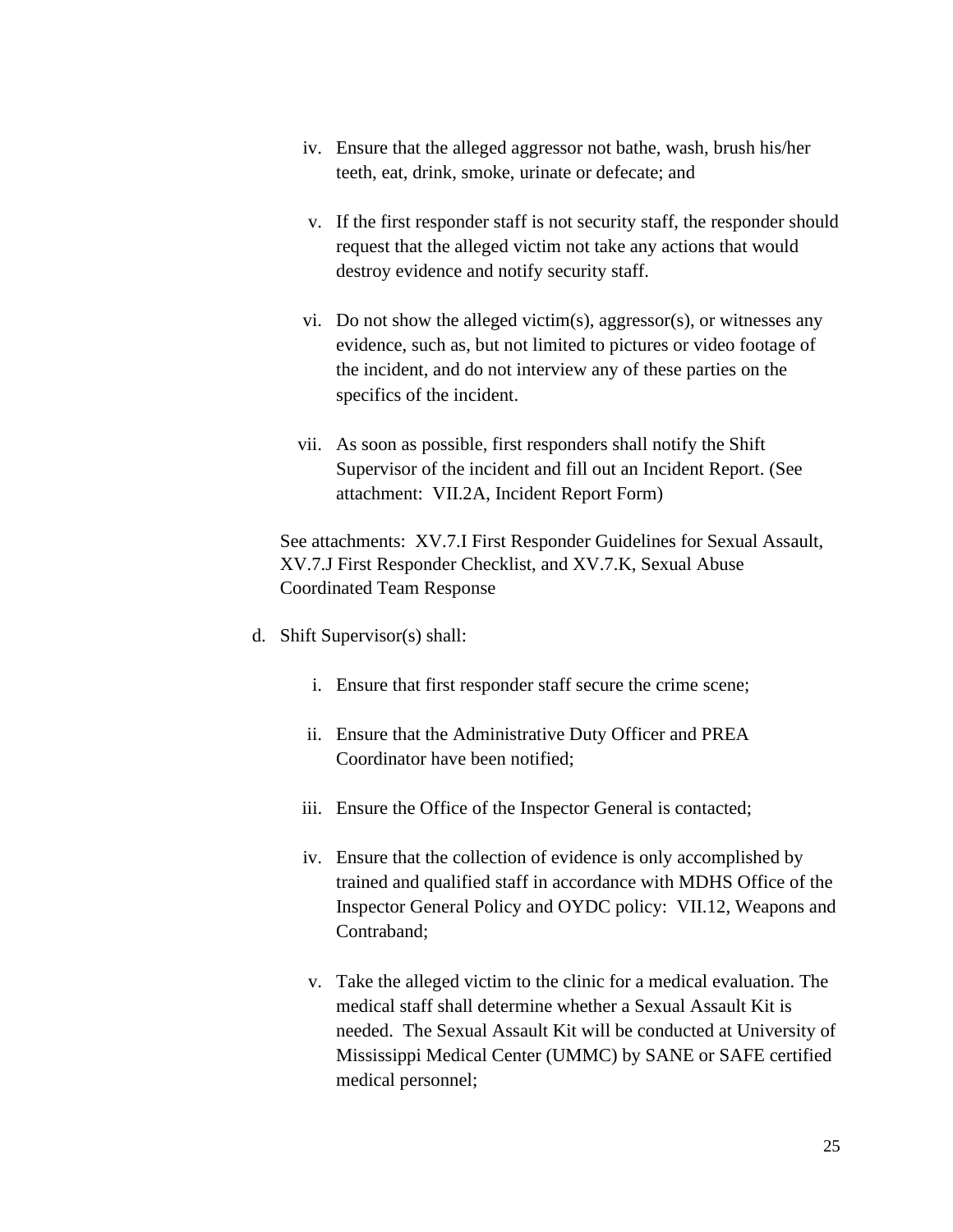- iv. Ensure that the alleged aggressor not bathe, wash, brush his/her teeth, eat, drink, smoke, urinate or defecate; and
- v. If the first responder staff is not security staff, the responder should request that the alleged victim not take any actions that would destroy evidence and notify security staff.
- vi. Do not show the alleged victim(s), aggressor(s), or witnesses any evidence, such as, but not limited to pictures or video footage of the incident, and do not interview any of these parties on the specifics of the incident.
- vii. As soon as possible, first responders shall notify the Shift Supervisor of the incident and fill out an Incident Report. (See attachment: VII.2A, Incident Report Form)

See attachments: XV.7.I First Responder Guidelines for Sexual Assault, XV.7.J First Responder Checklist, and XV.7.K, Sexual Abuse Coordinated Team Response

- d. Shift Supervisor(s) shall:
	- i. Ensure that first responder staff secure the crime scene;
	- ii. Ensure that the Administrative Duty Officer and PREA Coordinator have been notified;
	- iii. Ensure the Office of the Inspector General is contacted;
	- iv. Ensure that the collection of evidence is only accomplished by trained and qualified staff in accordance with MDHS Office of the Inspector General Policy and OYDC policy: VII.12, Weapons and Contraband;
	- v. Take the alleged victim to the clinic for a medical evaluation. The medical staff shall determine whether a Sexual Assault Kit is needed. The Sexual Assault Kit will be conducted at University of Mississippi Medical Center (UMMC) by SANE or SAFE certified medical personnel;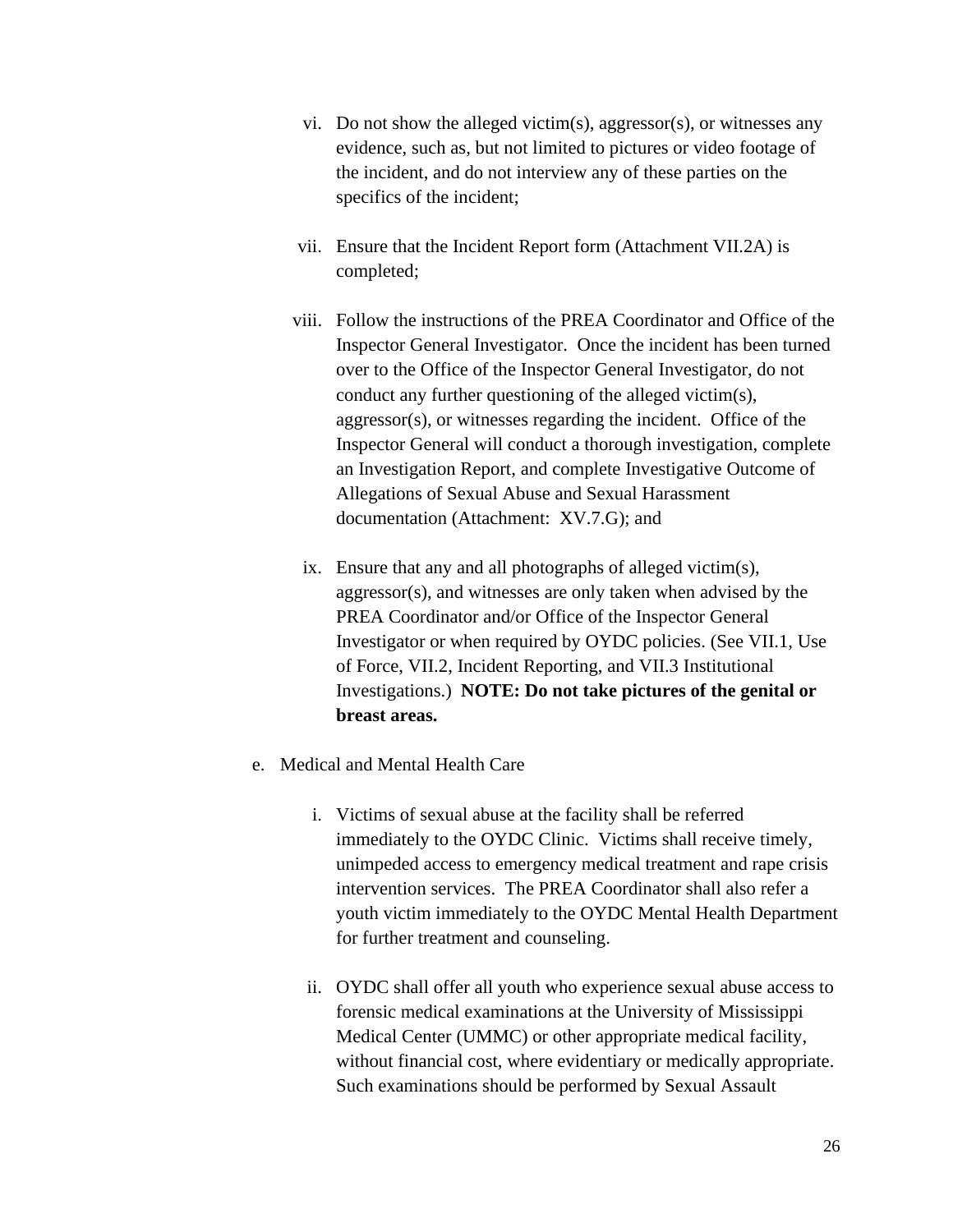- vi. Do not show the alleged victim(s), aggressor(s), or witnesses any evidence, such as, but not limited to pictures or video footage of the incident, and do not interview any of these parties on the specifics of the incident;
- vii. Ensure that the Incident Report form (Attachment VII.2A) is completed;
- viii. Follow the instructions of the PREA Coordinator and Office of the Inspector General Investigator. Once the incident has been turned over to the Office of the Inspector General Investigator, do not conduct any further questioning of the alleged victim(s), aggressor(s), or witnesses regarding the incident. Office of the Inspector General will conduct a thorough investigation, complete an Investigation Report, and complete Investigative Outcome of Allegations of Sexual Abuse and Sexual Harassment documentation (Attachment: XV.7.G); and
- ix. Ensure that any and all photographs of alleged victim(s), aggressor(s), and witnesses are only taken when advised by the PREA Coordinator and/or Office of the Inspector General Investigator or when required by OYDC policies. (See VII.1, Use of Force, VII.2, Incident Reporting, and VII.3 Institutional Investigations.) **NOTE: Do not take pictures of the genital or breast areas.**
- e. Medical and Mental Health Care
	- i. Victims of sexual abuse at the facility shall be referred immediately to the OYDC Clinic. Victims shall receive timely, unimpeded access to emergency medical treatment and rape crisis intervention services. The PREA Coordinator shall also refer a youth victim immediately to the OYDC Mental Health Department for further treatment and counseling.
	- ii. OYDC shall offer all youth who experience sexual abuse access to forensic medical examinations at the University of Mississippi Medical Center (UMMC) or other appropriate medical facility, without financial cost, where evidentiary or medically appropriate. Such examinations should be performed by Sexual Assault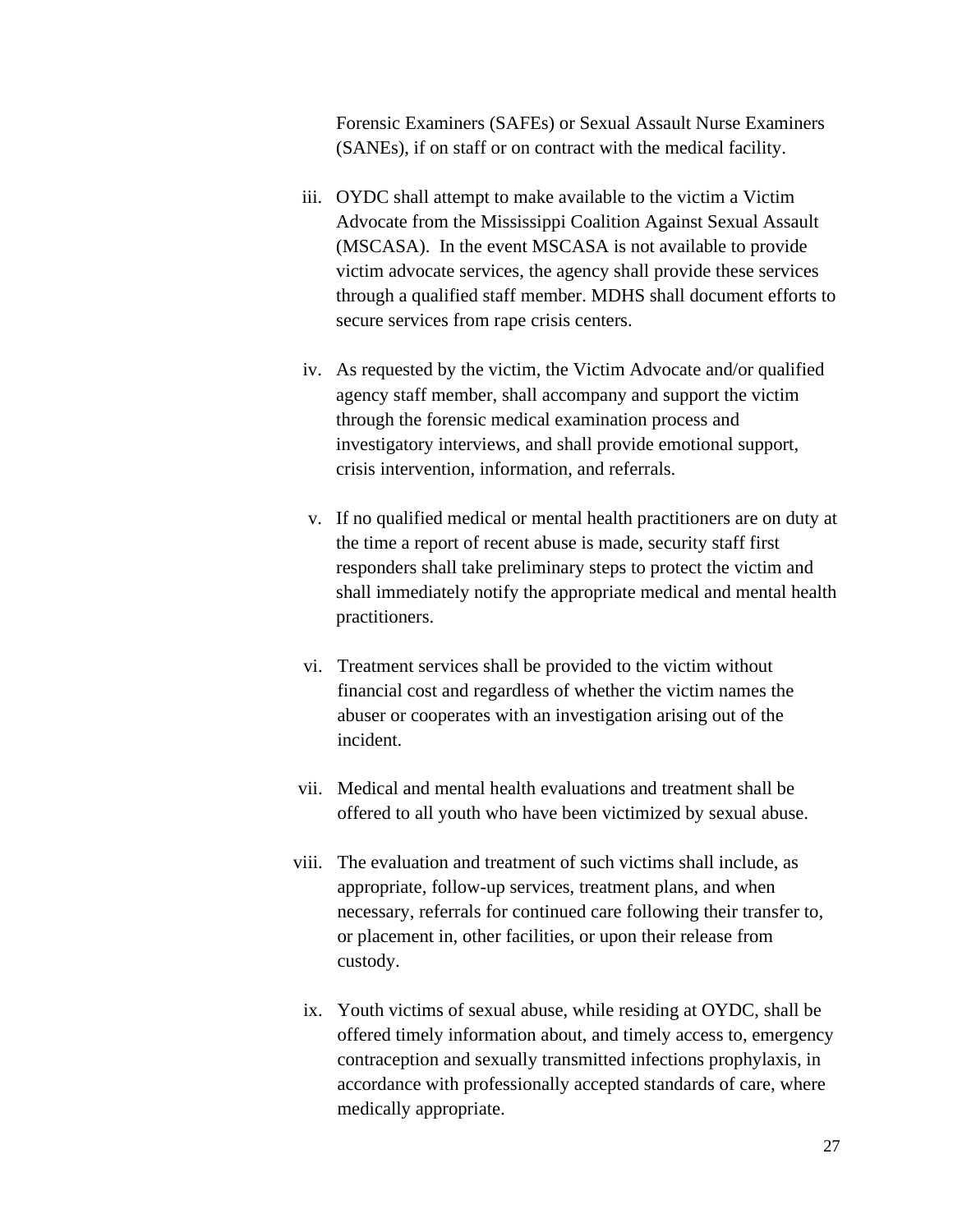Forensic Examiners (SAFEs) or Sexual Assault Nurse Examiners (SANEs), if on staff or on contract with the medical facility.

- iii. OYDC shall attempt to make available to the victim a Victim Advocate from the Mississippi Coalition Against Sexual Assault (MSCASA). In the event MSCASA is not available to provide victim advocate services, the agency shall provide these services through a qualified staff member. MDHS shall document efforts to secure services from rape crisis centers.
- iv. As requested by the victim, the Victim Advocate and/or qualified agency staff member, shall accompany and support the victim through the forensic medical examination process and investigatory interviews, and shall provide emotional support, crisis intervention, information, and referrals.
- v. If no qualified medical or mental health practitioners are on duty at the time a report of recent abuse is made, security staff first responders shall take preliminary steps to protect the victim and shall immediately notify the appropriate medical and mental health practitioners.
- vi. Treatment services shall be provided to the victim without financial cost and regardless of whether the victim names the abuser or cooperates with an investigation arising out of the incident.
- vii. Medical and mental health evaluations and treatment shall be offered to all youth who have been victimized by sexual abuse.
- viii. The evaluation and treatment of such victims shall include, as appropriate, follow-up services, treatment plans, and when necessary, referrals for continued care following their transfer to, or placement in, other facilities, or upon their release from custody.
	- ix. Youth victims of sexual abuse, while residing at OYDC, shall be offered timely information about, and timely access to, emergency contraception and sexually transmitted infections prophylaxis, in accordance with professionally accepted standards of care, where medically appropriate.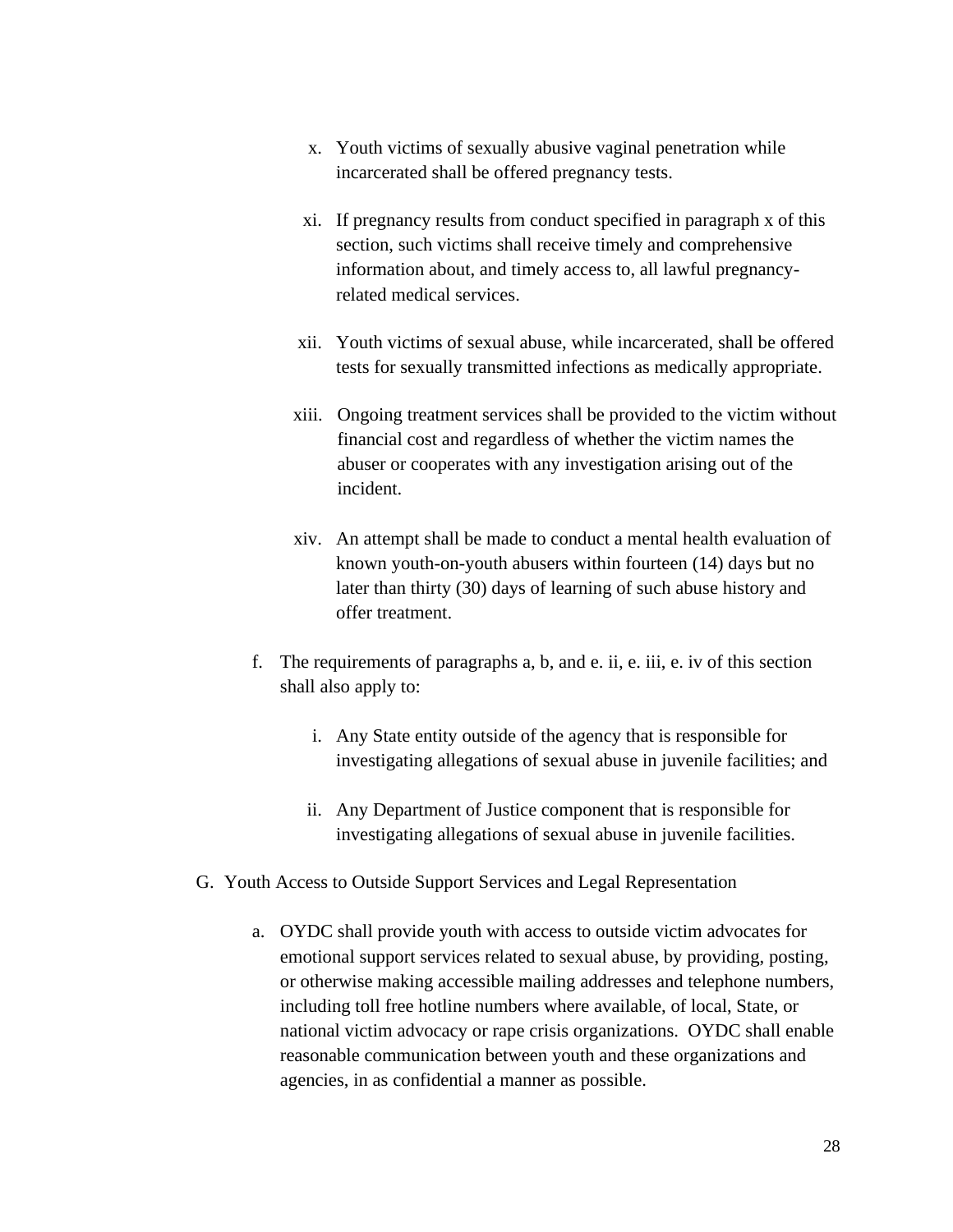- x. Youth victims of sexually abusive vaginal penetration while incarcerated shall be offered pregnancy tests.
- xi. If pregnancy results from conduct specified in paragraph x of this section, such victims shall receive timely and comprehensive information about, and timely access to, all lawful pregnancyrelated medical services.
- xii. Youth victims of sexual abuse, while incarcerated, shall be offered tests for sexually transmitted infections as medically appropriate.
- xiii. Ongoing treatment services shall be provided to the victim without financial cost and regardless of whether the victim names the abuser or cooperates with any investigation arising out of the incident.
- xiv. An attempt shall be made to conduct a mental health evaluation of known youth-on-youth abusers within fourteen (14) days but no later than thirty (30) days of learning of such abuse history and offer treatment.
- f. The requirements of paragraphs a, b, and e. ii, e. iii, e. iv of this section shall also apply to:
	- i. Any State entity outside of the agency that is responsible for investigating allegations of sexual abuse in juvenile facilities; and
	- ii. Any Department of Justice component that is responsible for investigating allegations of sexual abuse in juvenile facilities.
- G. Youth Access to Outside Support Services and Legal Representation
	- a. OYDC shall provide youth with access to outside victim advocates for emotional support services related to sexual abuse, by providing, posting, or otherwise making accessible mailing addresses and telephone numbers, including toll free hotline numbers where available, of local, State, or national victim advocacy or rape crisis organizations. OYDC shall enable reasonable communication between youth and these organizations and agencies, in as confidential a manner as possible.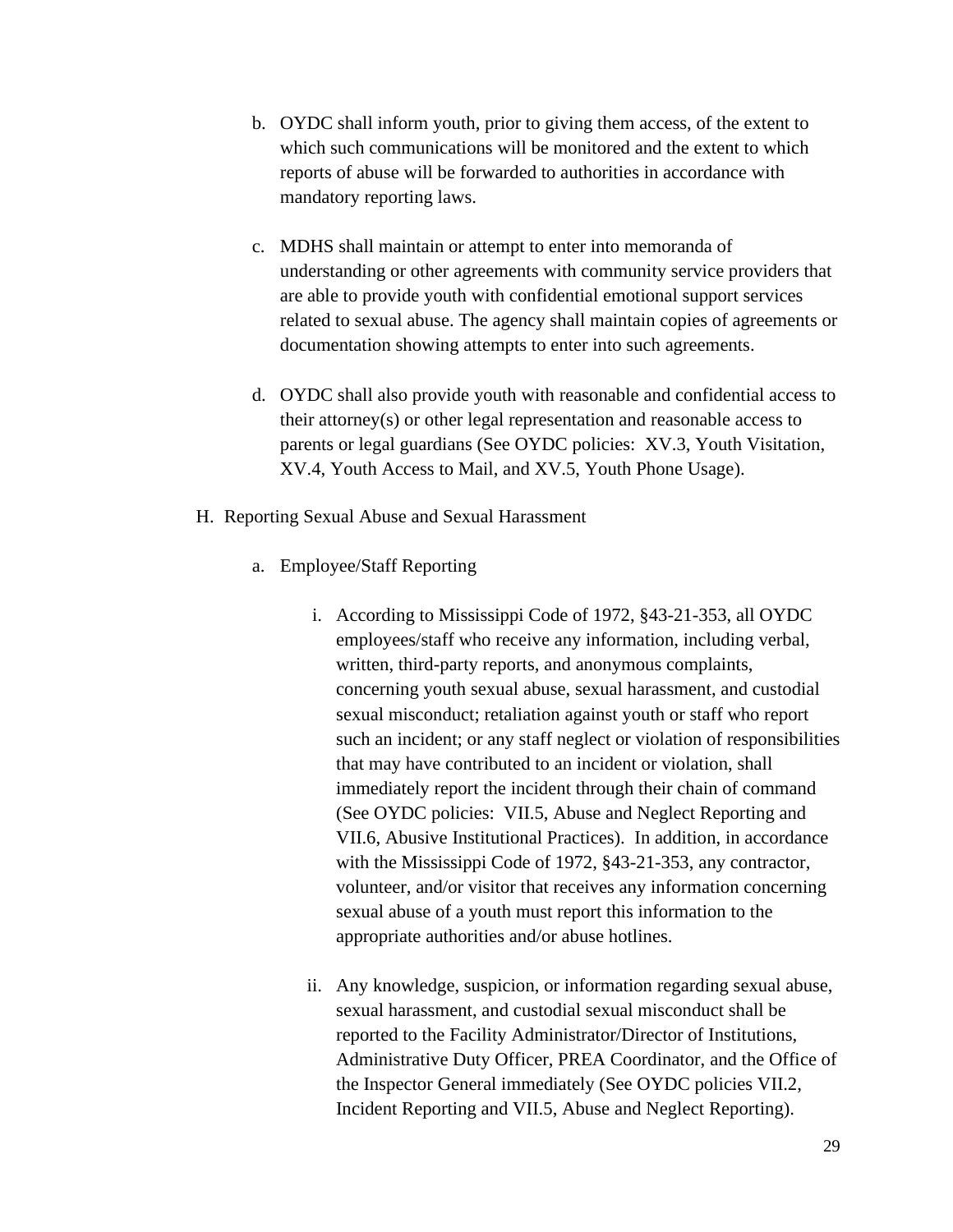- b. OYDC shall inform youth, prior to giving them access, of the extent to which such communications will be monitored and the extent to which reports of abuse will be forwarded to authorities in accordance with mandatory reporting laws.
- c. MDHS shall maintain or attempt to enter into memoranda of understanding or other agreements with community service providers that are able to provide youth with confidential emotional support services related to sexual abuse. The agency shall maintain copies of agreements or documentation showing attempts to enter into such agreements.
- d. OYDC shall also provide youth with reasonable and confidential access to their attorney(s) or other legal representation and reasonable access to parents or legal guardians (See OYDC policies: XV.3, Youth Visitation, XV.4, Youth Access to Mail, and XV.5, Youth Phone Usage).
- H. Reporting Sexual Abuse and Sexual Harassment
	- a. Employee/Staff Reporting
		- i. According to Mississippi Code of 1972, §43-21-353, all OYDC employees/staff who receive any information, including verbal, written, third-party reports, and anonymous complaints, concerning youth sexual abuse, sexual harassment, and custodial sexual misconduct; retaliation against youth or staff who report such an incident; or any staff neglect or violation of responsibilities that may have contributed to an incident or violation, shall immediately report the incident through their chain of command (See OYDC policies: VII.5, Abuse and Neglect Reporting and VII.6, Abusive Institutional Practices). In addition, in accordance with the Mississippi Code of 1972, §43-21-353, any contractor, volunteer, and/or visitor that receives any information concerning sexual abuse of a youth must report this information to the appropriate authorities and/or abuse hotlines.
		- ii. Any knowledge, suspicion, or information regarding sexual abuse, sexual harassment, and custodial sexual misconduct shall be reported to the Facility Administrator/Director of Institutions, Administrative Duty Officer, PREA Coordinator, and the Office of the Inspector General immediately (See OYDC policies VII.2, Incident Reporting and VII.5, Abuse and Neglect Reporting).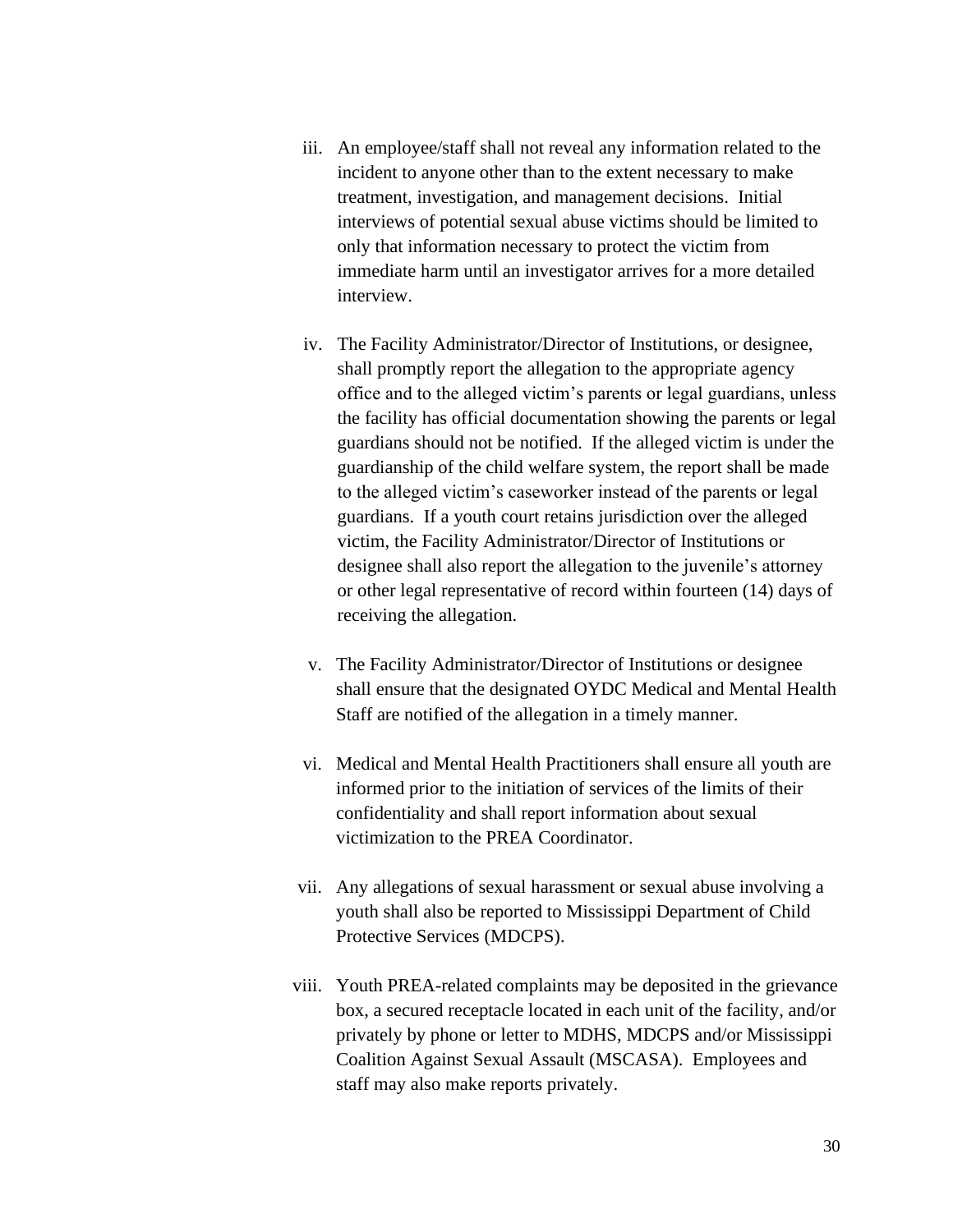- iii. An employee/staff shall not reveal any information related to the incident to anyone other than to the extent necessary to make treatment, investigation, and management decisions. Initial interviews of potential sexual abuse victims should be limited to only that information necessary to protect the victim from immediate harm until an investigator arrives for a more detailed interview.
- iv. The Facility Administrator/Director of Institutions, or designee, shall promptly report the allegation to the appropriate agency office and to the alleged victim's parents or legal guardians, unless the facility has official documentation showing the parents or legal guardians should not be notified. If the alleged victim is under the guardianship of the child welfare system, the report shall be made to the alleged victim's caseworker instead of the parents or legal guardians. If a youth court retains jurisdiction over the alleged victim, the Facility Administrator/Director of Institutions or designee shall also report the allegation to the juvenile's attorney or other legal representative of record within fourteen (14) days of receiving the allegation.
- v. The Facility Administrator/Director of Institutions or designee shall ensure that the designated OYDC Medical and Mental Health Staff are notified of the allegation in a timely manner.
- vi. Medical and Mental Health Practitioners shall ensure all youth are informed prior to the initiation of services of the limits of their confidentiality and shall report information about sexual victimization to the PREA Coordinator.
- vii. Any allegations of sexual harassment or sexual abuse involving a youth shall also be reported to Mississippi Department of Child Protective Services (MDCPS).
- viii. Youth PREA-related complaints may be deposited in the grievance box, a secured receptacle located in each unit of the facility, and/or privately by phone or letter to MDHS, MDCPS and/or Mississippi Coalition Against Sexual Assault (MSCASA). Employees and staff may also make reports privately.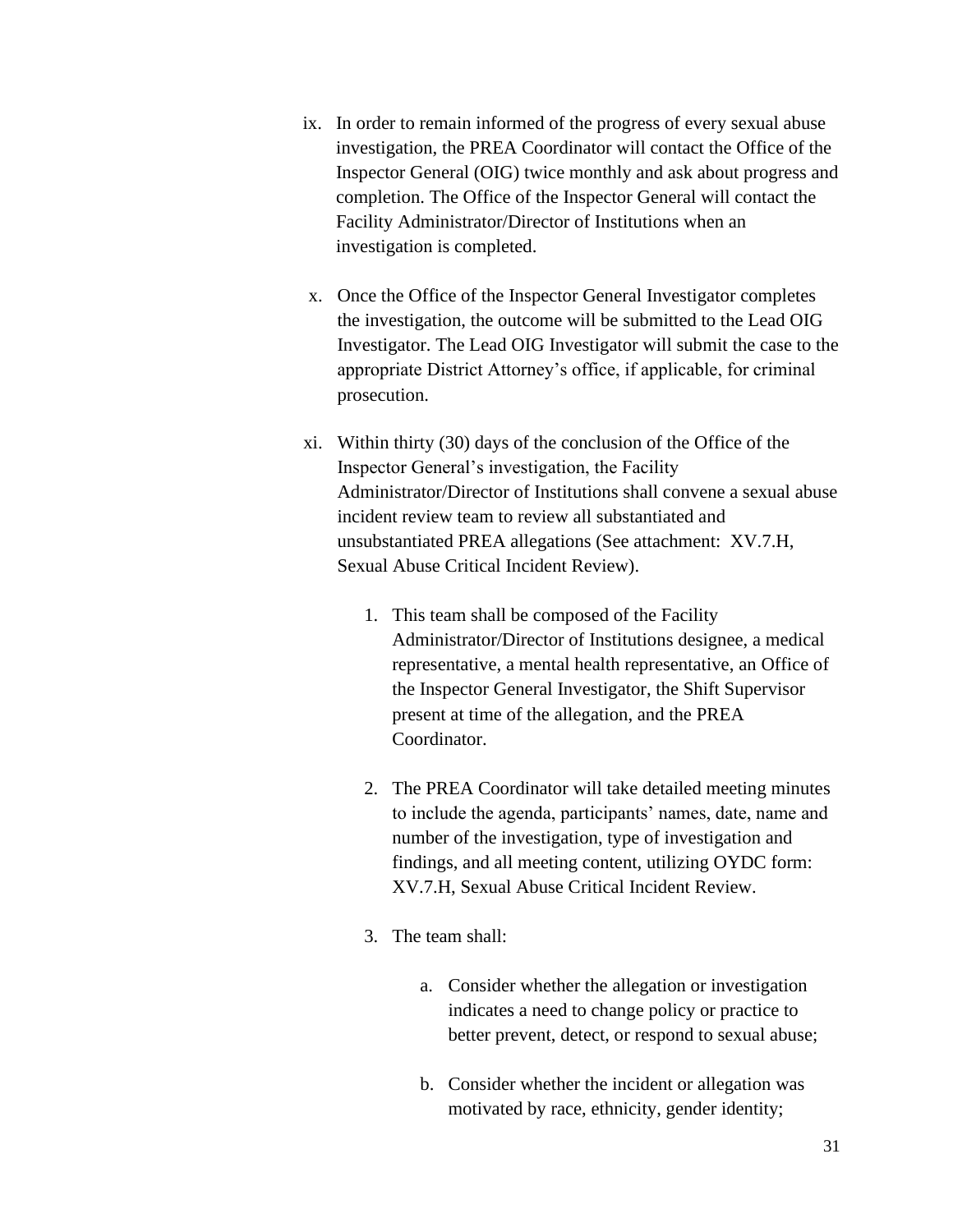- ix. In order to remain informed of the progress of every sexual abuse investigation, the PREA Coordinator will contact the Office of the Inspector General (OIG) twice monthly and ask about progress and completion. The Office of the Inspector General will contact the Facility Administrator/Director of Institutions when an investigation is completed.
- x. Once the Office of the Inspector General Investigator completes the investigation, the outcome will be submitted to the Lead OIG Investigator. The Lead OIG Investigator will submit the case to the appropriate District Attorney's office, if applicable, for criminal prosecution.
- xi. Within thirty (30) days of the conclusion of the Office of the Inspector General's investigation, the Facility Administrator/Director of Institutions shall convene a sexual abuse incident review team to review all substantiated and unsubstantiated PREA allegations (See attachment: XV.7.H, Sexual Abuse Critical Incident Review).
	- 1. This team shall be composed of the Facility Administrator/Director of Institutions designee, a medical representative, a mental health representative, an Office of the Inspector General Investigator, the Shift Supervisor present at time of the allegation, and the PREA Coordinator.
	- 2. The PREA Coordinator will take detailed meeting minutes to include the agenda, participants' names, date, name and number of the investigation, type of investigation and findings, and all meeting content, utilizing OYDC form: XV.7.H, Sexual Abuse Critical Incident Review.
	- 3. The team shall:
		- a. Consider whether the allegation or investigation indicates a need to change policy or practice to better prevent, detect, or respond to sexual abuse;
		- b. Consider whether the incident or allegation was motivated by race, ethnicity, gender identity;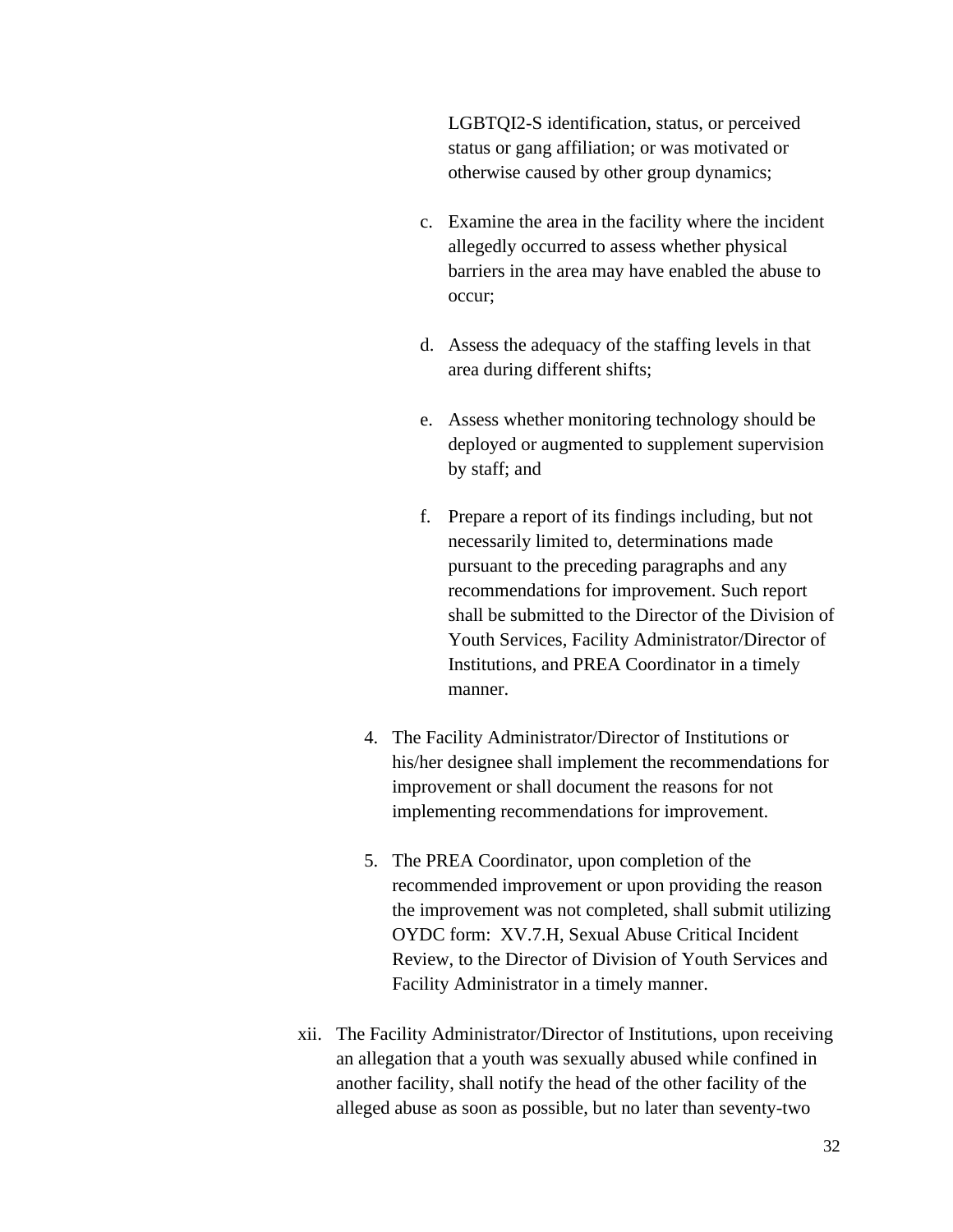LGBTQI2-S identification, status, or perceived status or gang affiliation; or was motivated or otherwise caused by other group dynamics;

- c. Examine the area in the facility where the incident allegedly occurred to assess whether physical barriers in the area may have enabled the abuse to occur;
- d. Assess the adequacy of the staffing levels in that area during different shifts;
- e. Assess whether monitoring technology should be deployed or augmented to supplement supervision by staff; and
- f. Prepare a report of its findings including, but not necessarily limited to, determinations made pursuant to the preceding paragraphs and any recommendations for improvement. Such report shall be submitted to the Director of the Division of Youth Services, Facility Administrator/Director of Institutions, and PREA Coordinator in a timely manner.
- 4. The Facility Administrator/Director of Institutions or his/her designee shall implement the recommendations for improvement or shall document the reasons for not implementing recommendations for improvement.
- 5. The PREA Coordinator, upon completion of the recommended improvement or upon providing the reason the improvement was not completed, shall submit utilizing OYDC form: XV.7.H, Sexual Abuse Critical Incident Review, to the Director of Division of Youth Services and Facility Administrator in a timely manner.
- xii. The Facility Administrator/Director of Institutions, upon receiving an allegation that a youth was sexually abused while confined in another facility, shall notify the head of the other facility of the alleged abuse as soon as possible, but no later than seventy-two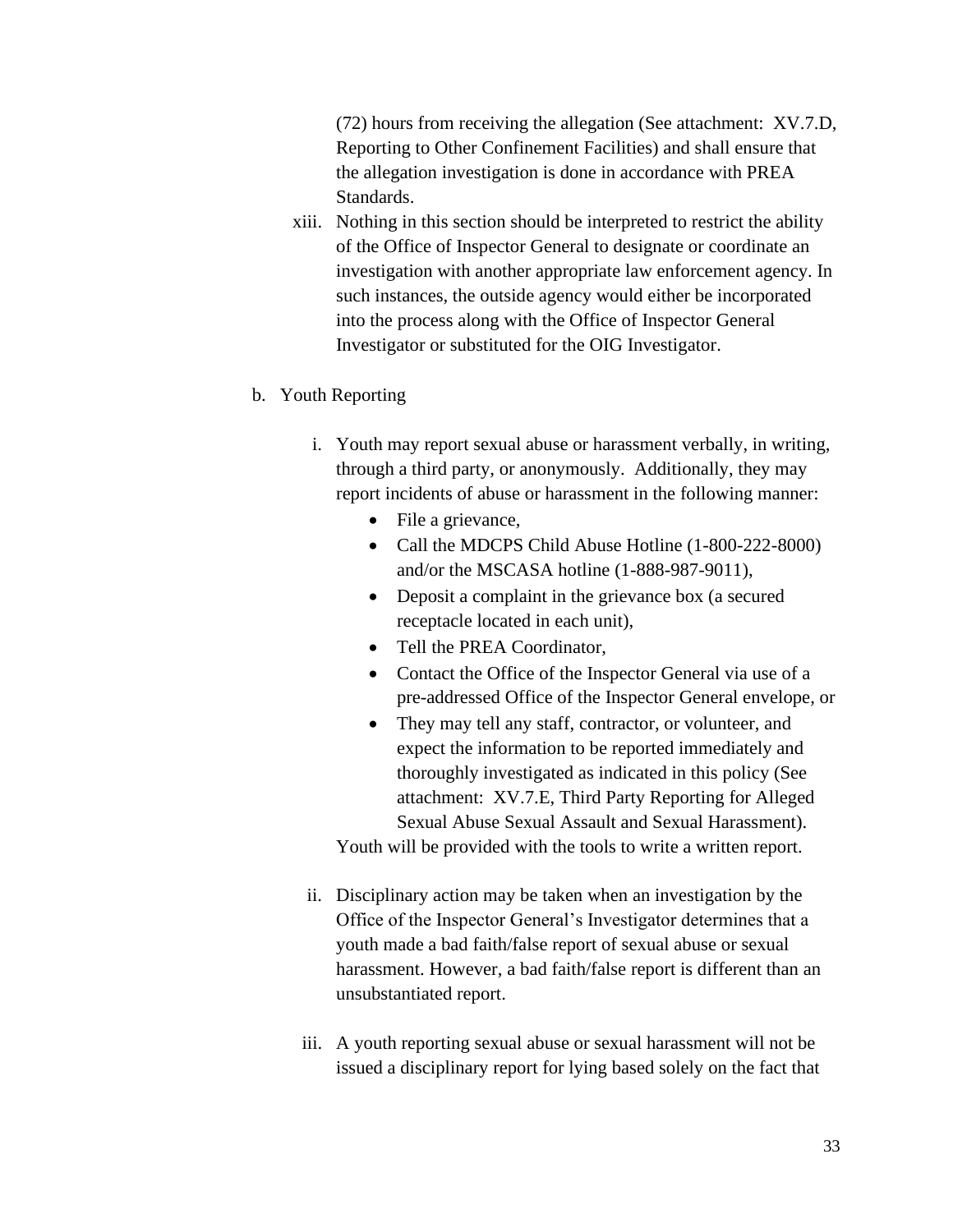(72) hours from receiving the allegation (See attachment: XV.7.D, Reporting to Other Confinement Facilities) and shall ensure that the allegation investigation is done in accordance with PREA Standards.

- xiii. Nothing in this section should be interpreted to restrict the ability of the Office of Inspector General to designate or coordinate an investigation with another appropriate law enforcement agency. In such instances, the outside agency would either be incorporated into the process along with the Office of Inspector General Investigator or substituted for the OIG Investigator.
- b. Youth Reporting
	- i. Youth may report sexual abuse or harassment verbally, in writing, through a third party, or anonymously. Additionally, they may report incidents of abuse or harassment in the following manner:
		- File a grievance,
		- Call the MDCPS Child Abuse Hotline (1-800-222-8000) and/or the MSCASA hotline (1-888-987-9011),
		- Deposit a complaint in the grievance box (a secured receptacle located in each unit),
		- Tell the PREA Coordinator,
		- Contact the Office of the Inspector General via use of a pre-addressed Office of the Inspector General envelope, or
		- They may tell any staff, contractor, or volunteer, and expect the information to be reported immediately and thoroughly investigated as indicated in this policy (See attachment: XV.7.E, Third Party Reporting for Alleged Sexual Abuse Sexual Assault and Sexual Harassment).

Youth will be provided with the tools to write a written report.

- ii. Disciplinary action may be taken when an investigation by the Office of the Inspector General's Investigator determines that a youth made a bad faith/false report of sexual abuse or sexual harassment. However, a bad faith/false report is different than an unsubstantiated report.
- iii. A youth reporting sexual abuse or sexual harassment will not be issued a disciplinary report for lying based solely on the fact that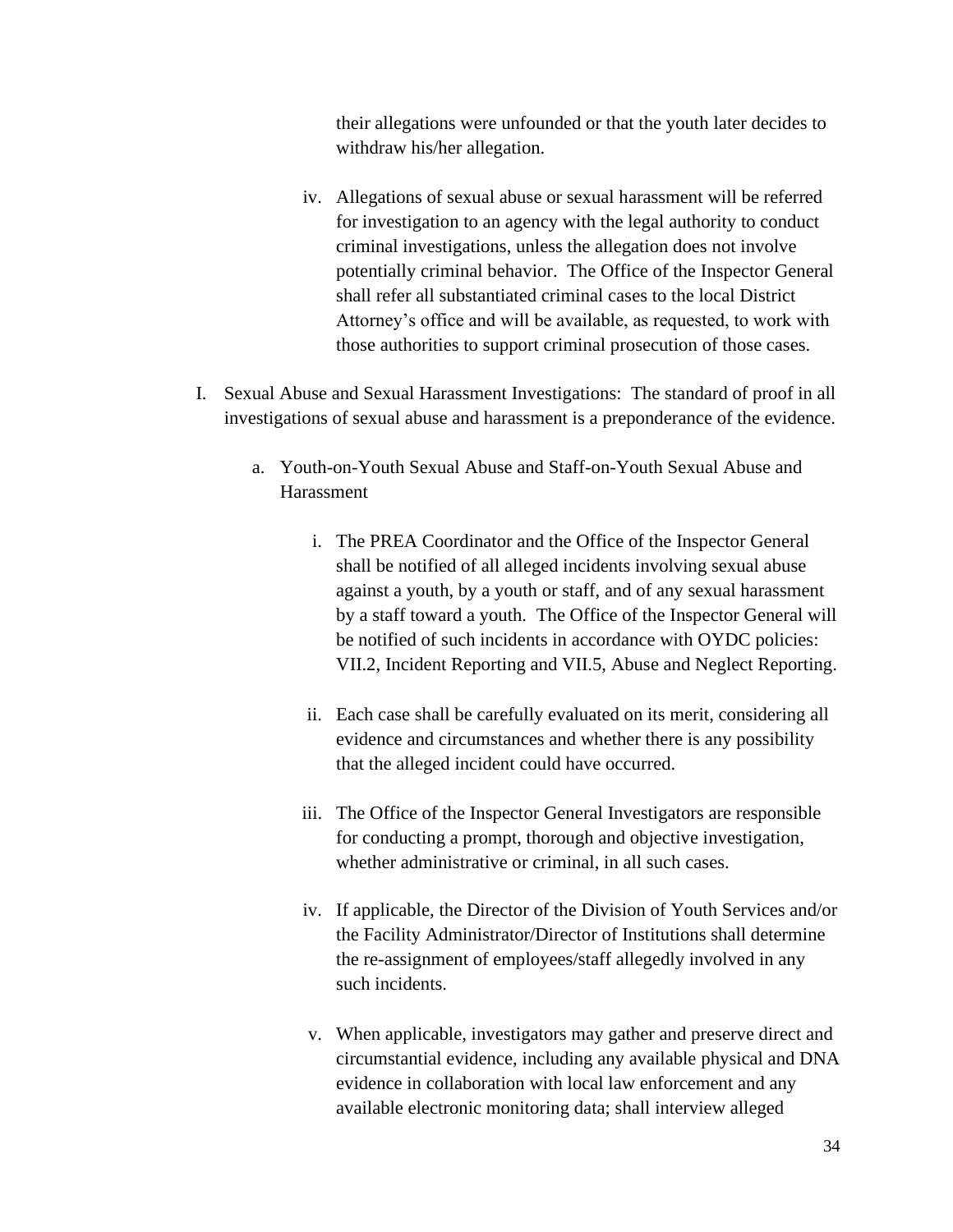their allegations were unfounded or that the youth later decides to withdraw his/her allegation.

- iv. Allegations of sexual abuse or sexual harassment will be referred for investigation to an agency with the legal authority to conduct criminal investigations, unless the allegation does not involve potentially criminal behavior. The Office of the Inspector General shall refer all substantiated criminal cases to the local District Attorney's office and will be available, as requested, to work with those authorities to support criminal prosecution of those cases.
- I. Sexual Abuse and Sexual Harassment Investigations: The standard of proof in all investigations of sexual abuse and harassment is a preponderance of the evidence.
	- a. Youth-on-Youth Sexual Abuse and Staff-on-Youth Sexual Abuse and Harassment
		- i. The PREA Coordinator and the Office of the Inspector General shall be notified of all alleged incidents involving sexual abuse against a youth, by a youth or staff, and of any sexual harassment by a staff toward a youth. The Office of the Inspector General will be notified of such incidents in accordance with OYDC policies: VII.2, Incident Reporting and VII.5, Abuse and Neglect Reporting.
		- ii. Each case shall be carefully evaluated on its merit, considering all evidence and circumstances and whether there is any possibility that the alleged incident could have occurred.
		- iii. The Office of the Inspector General Investigators are responsible for conducting a prompt, thorough and objective investigation, whether administrative or criminal, in all such cases.
		- iv. If applicable, the Director of the Division of Youth Services and/or the Facility Administrator/Director of Institutions shall determine the re-assignment of employees/staff allegedly involved in any such incidents.
		- v. When applicable, investigators may gather and preserve direct and circumstantial evidence, including any available physical and DNA evidence in collaboration with local law enforcement and any available electronic monitoring data; shall interview alleged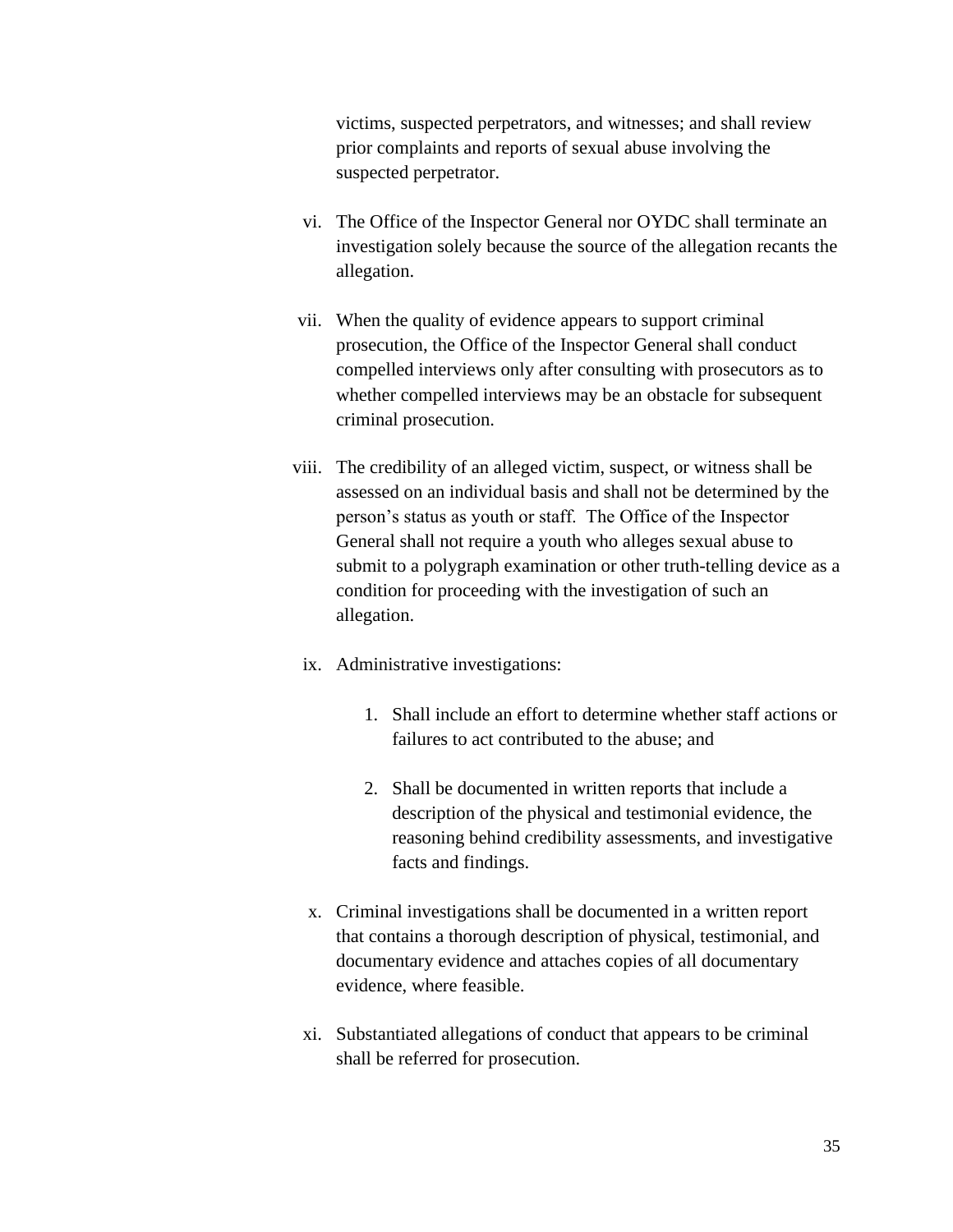victims, suspected perpetrators, and witnesses; and shall review prior complaints and reports of sexual abuse involving the suspected perpetrator.

- vi. The Office of the Inspector General nor OYDC shall terminate an investigation solely because the source of the allegation recants the allegation.
- vii. When the quality of evidence appears to support criminal prosecution, the Office of the Inspector General shall conduct compelled interviews only after consulting with prosecutors as to whether compelled interviews may be an obstacle for subsequent criminal prosecution.
- viii. The credibility of an alleged victim, suspect, or witness shall be assessed on an individual basis and shall not be determined by the person's status as youth or staff. The Office of the Inspector General shall not require a youth who alleges sexual abuse to submit to a polygraph examination or other truth-telling device as a condition for proceeding with the investigation of such an allegation.
- ix. Administrative investigations:
	- 1. Shall include an effort to determine whether staff actions or failures to act contributed to the abuse; and
	- 2. Shall be documented in written reports that include a description of the physical and testimonial evidence, the reasoning behind credibility assessments, and investigative facts and findings.
- x. Criminal investigations shall be documented in a written report that contains a thorough description of physical, testimonial, and documentary evidence and attaches copies of all documentary evidence, where feasible.
- xi. Substantiated allegations of conduct that appears to be criminal shall be referred for prosecution.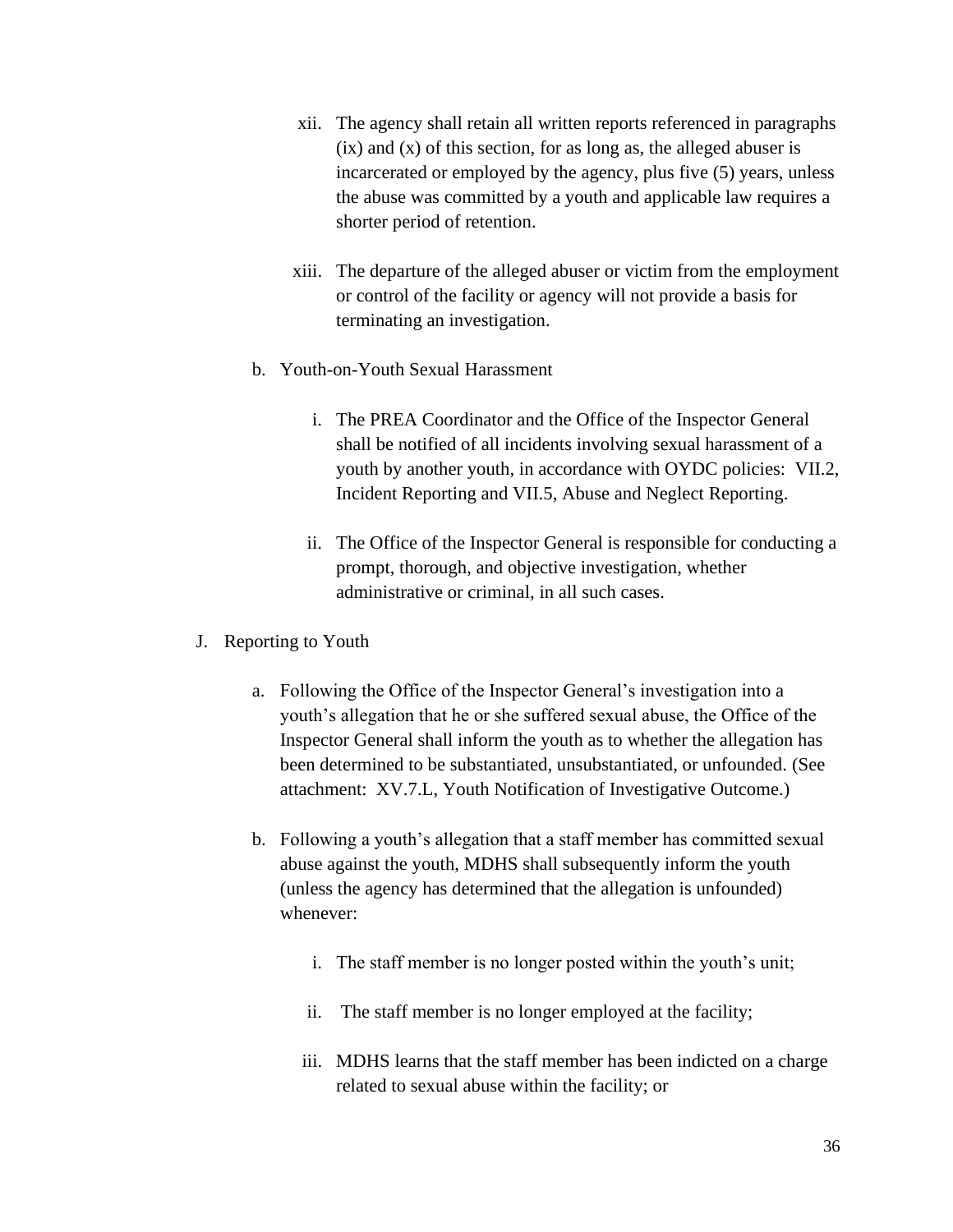- xii. The agency shall retain all written reports referenced in paragraphs  $(ix)$  and  $(x)$  of this section, for as long as, the alleged abuser is incarcerated or employed by the agency, plus five (5) years, unless the abuse was committed by a youth and applicable law requires a shorter period of retention.
- xiii. The departure of the alleged abuser or victim from the employment or control of the facility or agency will not provide a basis for terminating an investigation.
- b. Youth-on-Youth Sexual Harassment
	- i. The PREA Coordinator and the Office of the Inspector General shall be notified of all incidents involving sexual harassment of a youth by another youth, in accordance with OYDC policies: VII.2, Incident Reporting and VII.5, Abuse and Neglect Reporting.
	- ii. The Office of the Inspector General is responsible for conducting a prompt, thorough, and objective investigation, whether administrative or criminal, in all such cases.
- J. Reporting to Youth
	- a. Following the Office of the Inspector General's investigation into a youth's allegation that he or she suffered sexual abuse, the Office of the Inspector General shall inform the youth as to whether the allegation has been determined to be substantiated, unsubstantiated, or unfounded. (See attachment: XV.7.L, Youth Notification of Investigative Outcome.)
	- b. Following a youth's allegation that a staff member has committed sexual abuse against the youth, MDHS shall subsequently inform the youth (unless the agency has determined that the allegation is unfounded) whenever:
		- i. The staff member is no longer posted within the youth's unit;
		- ii. The staff member is no longer employed at the facility;
		- iii. MDHS learns that the staff member has been indicted on a charge related to sexual abuse within the facility; or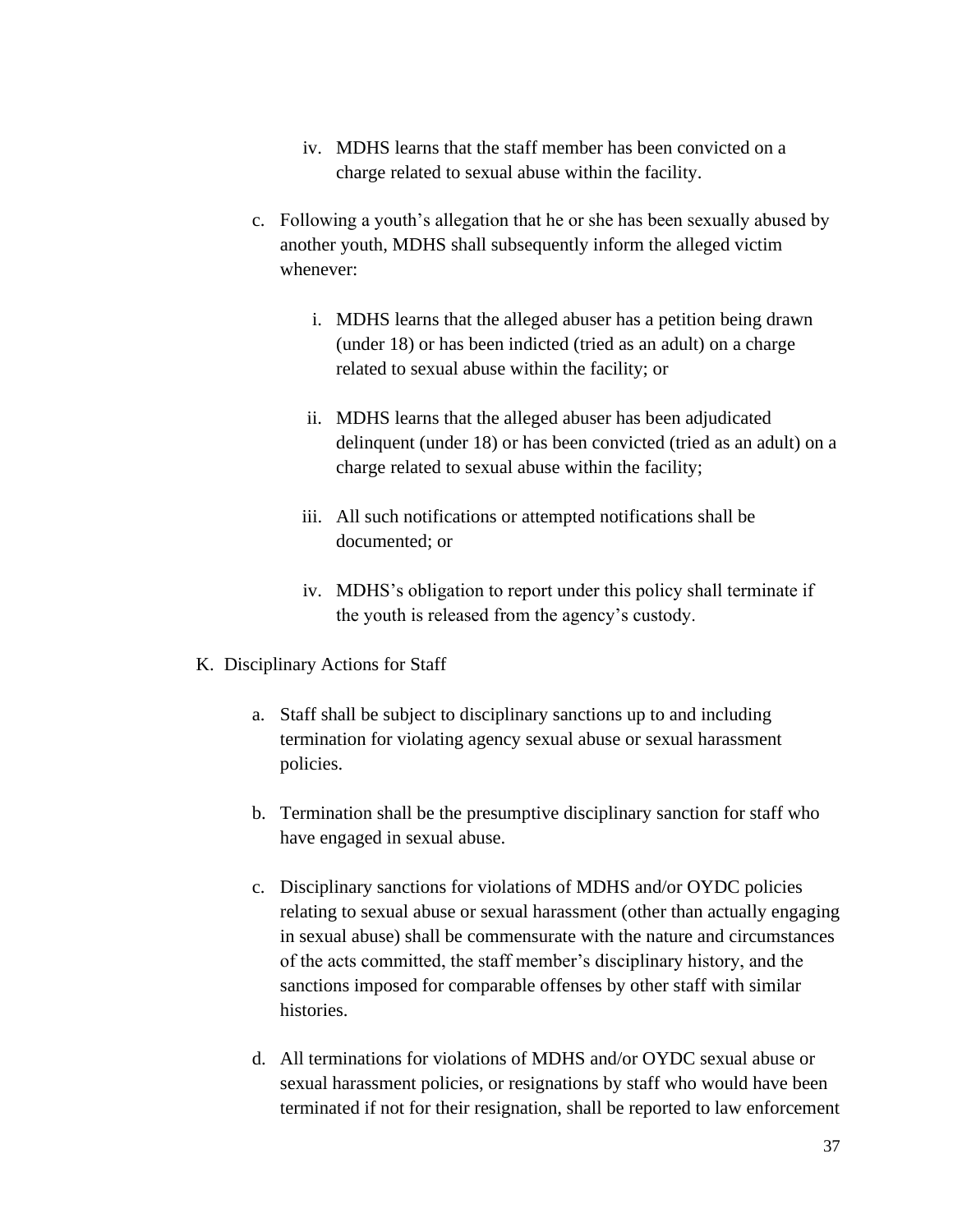- iv. MDHS learns that the staff member has been convicted on a charge related to sexual abuse within the facility.
- c. Following a youth's allegation that he or she has been sexually abused by another youth, MDHS shall subsequently inform the alleged victim whenever:
	- i. MDHS learns that the alleged abuser has a petition being drawn (under 18) or has been indicted (tried as an adult) on a charge related to sexual abuse within the facility; or
	- ii. MDHS learns that the alleged abuser has been adjudicated delinquent (under 18) or has been convicted (tried as an adult) on a charge related to sexual abuse within the facility;
	- iii. All such notifications or attempted notifications shall be documented; or
	- iv. MDHS's obligation to report under this policy shall terminate if the youth is released from the agency's custody.
- K. Disciplinary Actions for Staff
	- a. Staff shall be subject to disciplinary sanctions up to and including termination for violating agency sexual abuse or sexual harassment policies.
	- b. Termination shall be the presumptive disciplinary sanction for staff who have engaged in sexual abuse.
	- c. Disciplinary sanctions for violations of MDHS and/or OYDC policies relating to sexual abuse or sexual harassment (other than actually engaging in sexual abuse) shall be commensurate with the nature and circumstances of the acts committed, the staff member's disciplinary history, and the sanctions imposed for comparable offenses by other staff with similar histories.
	- d. All terminations for violations of MDHS and/or OYDC sexual abuse or sexual harassment policies, or resignations by staff who would have been terminated if not for their resignation, shall be reported to law enforcement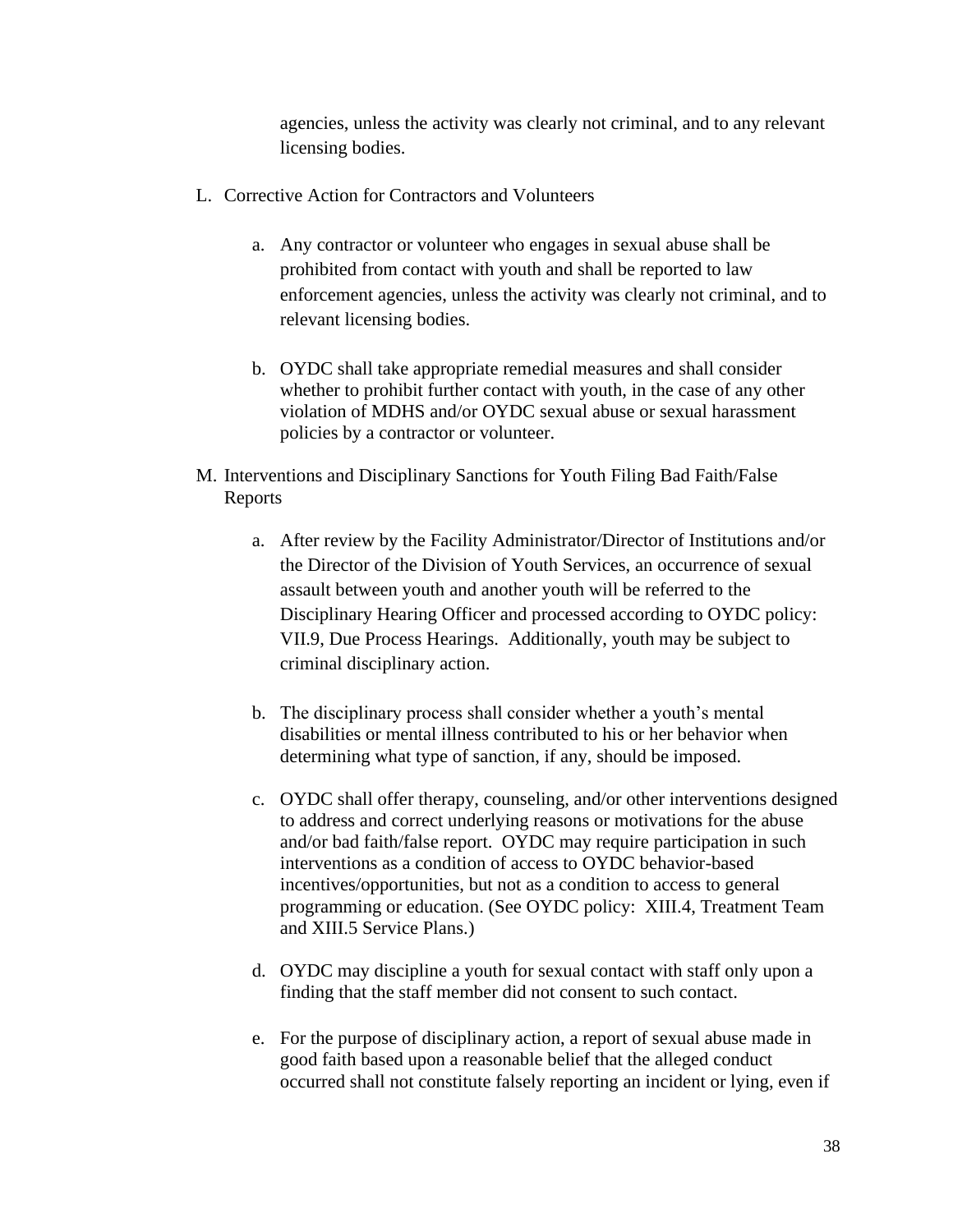agencies, unless the activity was clearly not criminal, and to any relevant licensing bodies.

- L. Corrective Action for Contractors and Volunteers
	- a. Any contractor or volunteer who engages in sexual abuse shall be prohibited from contact with youth and shall be reported to law enforcement agencies, unless the activity was clearly not criminal, and to relevant licensing bodies.
	- b. OYDC shall take appropriate remedial measures and shall consider whether to prohibit further contact with youth, in the case of any other violation of MDHS and/or OYDC sexual abuse or sexual harassment policies by a contractor or volunteer.
- M. Interventions and Disciplinary Sanctions for Youth Filing Bad Faith/False Reports
	- a. After review by the Facility Administrator/Director of Institutions and/or the Director of the Division of Youth Services, an occurrence of sexual assault between youth and another youth will be referred to the Disciplinary Hearing Officer and processed according to OYDC policy: VII.9, Due Process Hearings. Additionally, youth may be subject to criminal disciplinary action.
	- b. The disciplinary process shall consider whether a youth's mental disabilities or mental illness contributed to his or her behavior when determining what type of sanction, if any, should be imposed.
	- c. OYDC shall offer therapy, counseling, and/or other interventions designed to address and correct underlying reasons or motivations for the abuse and/or bad faith/false report. OYDC may require participation in such interventions as a condition of access to OYDC behavior-based incentives/opportunities, but not as a condition to access to general programming or education. (See OYDC policy: XIII.4, Treatment Team and XIII.5 Service Plans.)
	- d. OYDC may discipline a youth for sexual contact with staff only upon a finding that the staff member did not consent to such contact.
	- e. For the purpose of disciplinary action, a report of sexual abuse made in good faith based upon a reasonable belief that the alleged conduct occurred shall not constitute falsely reporting an incident or lying, even if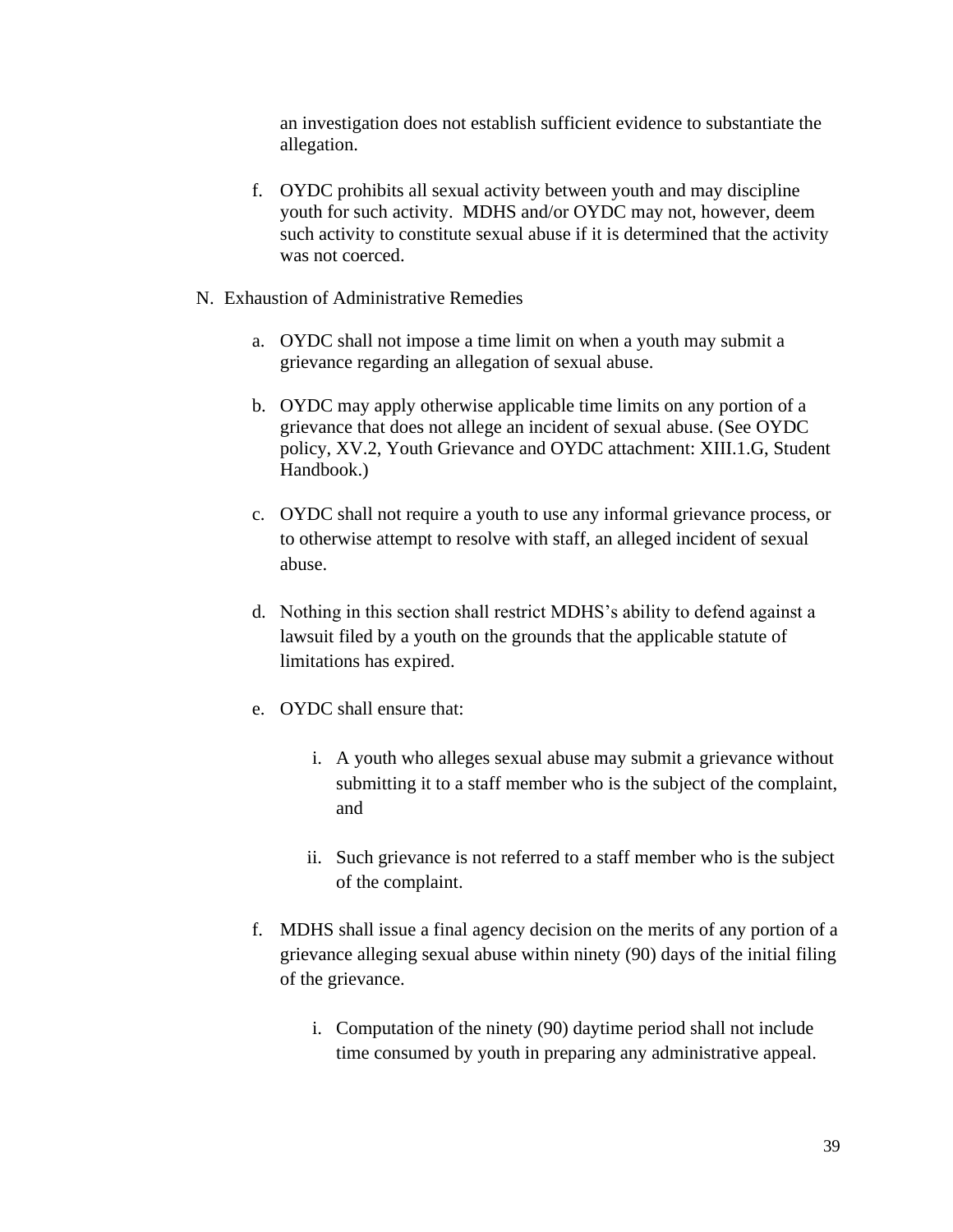an investigation does not establish sufficient evidence to substantiate the allegation.

- f. OYDC prohibits all sexual activity between youth and may discipline youth for such activity. MDHS and/or OYDC may not, however, deem such activity to constitute sexual abuse if it is determined that the activity was not coerced.
- N. Exhaustion of Administrative Remedies
	- a. OYDC shall not impose a time limit on when a youth may submit a grievance regarding an allegation of sexual abuse.
	- b. OYDC may apply otherwise applicable time limits on any portion of a grievance that does not allege an incident of sexual abuse. (See OYDC policy, XV.2, Youth Grievance and OYDC attachment: XIII.1.G, Student Handbook.)
	- c. OYDC shall not require a youth to use any informal grievance process, or to otherwise attempt to resolve with staff, an alleged incident of sexual abuse.
	- d. Nothing in this section shall restrict MDHS's ability to defend against a lawsuit filed by a youth on the grounds that the applicable statute of limitations has expired.
	- e. OYDC shall ensure that:
		- i. A youth who alleges sexual abuse may submit a grievance without submitting it to a staff member who is the subject of the complaint, and
		- ii. Such grievance is not referred to a staff member who is the subject of the complaint.
	- f. MDHS shall issue a final agency decision on the merits of any portion of a grievance alleging sexual abuse within ninety (90) days of the initial filing of the grievance.
		- i. Computation of the ninety (90) daytime period shall not include time consumed by youth in preparing any administrative appeal.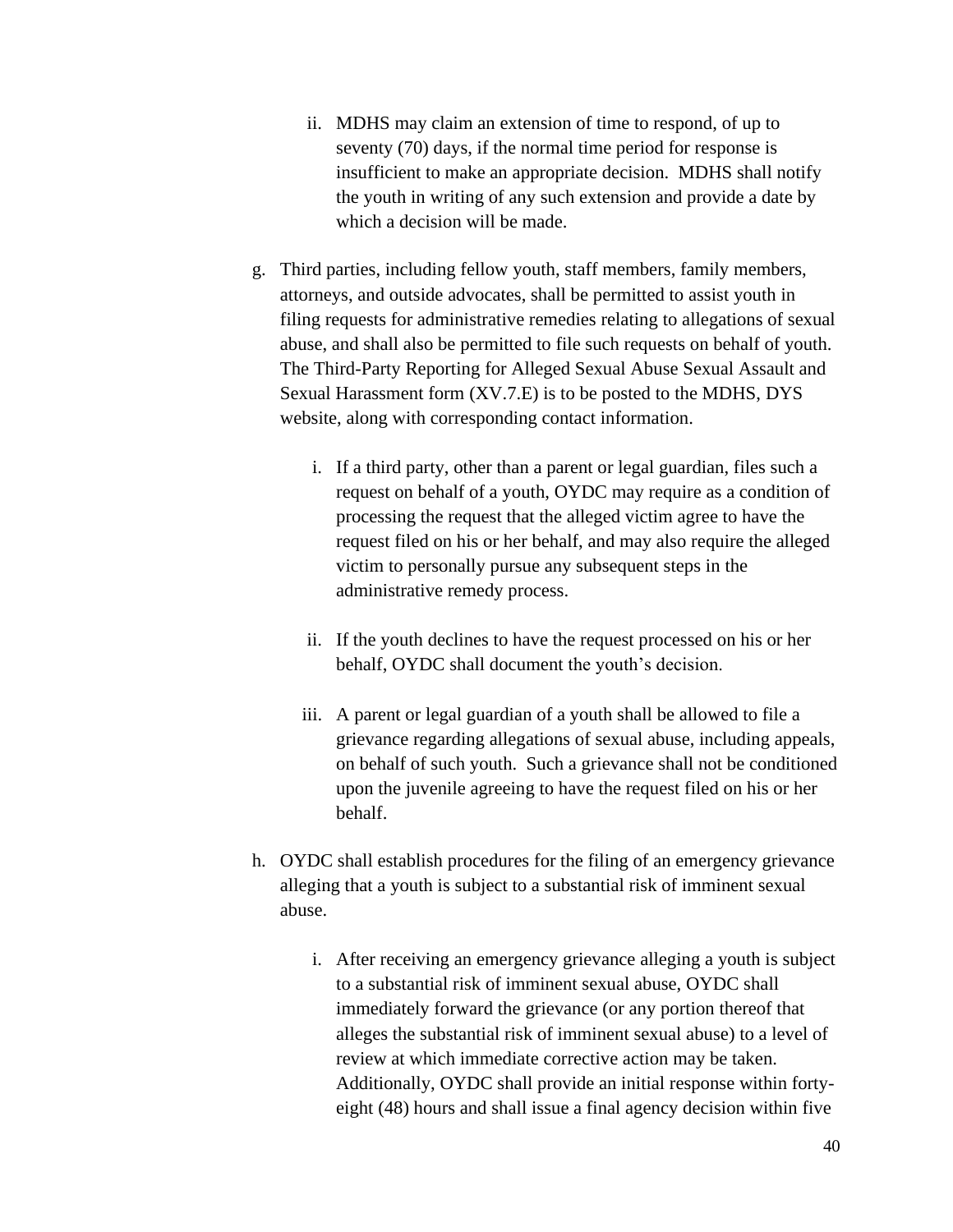- ii. MDHS may claim an extension of time to respond, of up to seventy (70) days, if the normal time period for response is insufficient to make an appropriate decision. MDHS shall notify the youth in writing of any such extension and provide a date by which a decision will be made.
- g. Third parties, including fellow youth, staff members, family members, attorneys, and outside advocates, shall be permitted to assist youth in filing requests for administrative remedies relating to allegations of sexual abuse, and shall also be permitted to file such requests on behalf of youth. The Third-Party Reporting for Alleged Sexual Abuse Sexual Assault and Sexual Harassment form (XV.7.E) is to be posted to the MDHS, DYS website, along with corresponding contact information.
	- i. If a third party, other than a parent or legal guardian, files such a request on behalf of a youth, OYDC may require as a condition of processing the request that the alleged victim agree to have the request filed on his or her behalf, and may also require the alleged victim to personally pursue any subsequent steps in the administrative remedy process.
	- ii. If the youth declines to have the request processed on his or her behalf, OYDC shall document the youth's decision.
	- iii. A parent or legal guardian of a youth shall be allowed to file a grievance regarding allegations of sexual abuse, including appeals, on behalf of such youth. Such a grievance shall not be conditioned upon the juvenile agreeing to have the request filed on his or her behalf.
- h. OYDC shall establish procedures for the filing of an emergency grievance alleging that a youth is subject to a substantial risk of imminent sexual abuse.
	- i. After receiving an emergency grievance alleging a youth is subject to a substantial risk of imminent sexual abuse, OYDC shall immediately forward the grievance (or any portion thereof that alleges the substantial risk of imminent sexual abuse) to a level of review at which immediate corrective action may be taken. Additionally, OYDC shall provide an initial response within fortyeight (48) hours and shall issue a final agency decision within five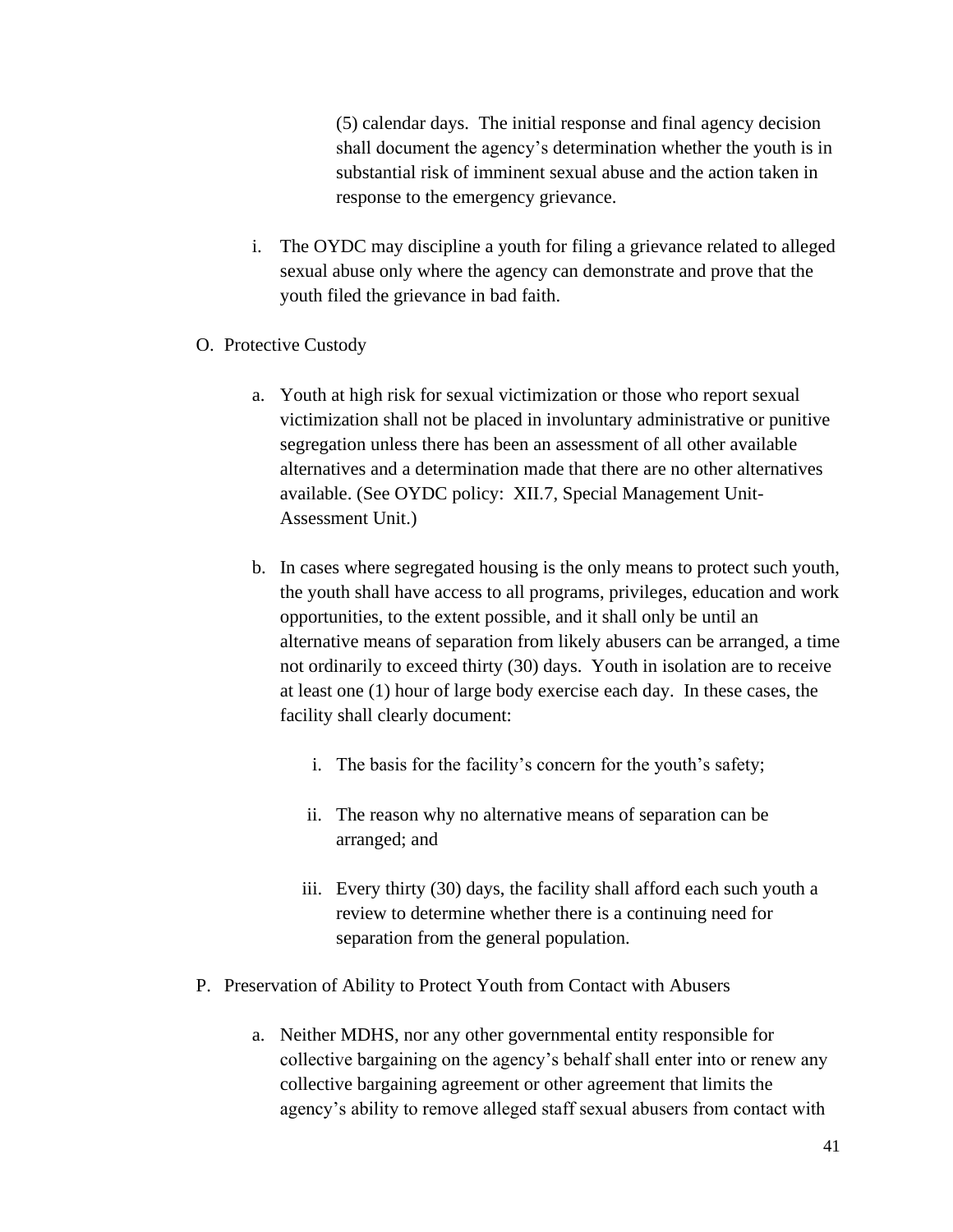(5) calendar days. The initial response and final agency decision shall document the agency's determination whether the youth is in substantial risk of imminent sexual abuse and the action taken in response to the emergency grievance.

- i. The OYDC may discipline a youth for filing a grievance related to alleged sexual abuse only where the agency can demonstrate and prove that the youth filed the grievance in bad faith.
- O. Protective Custody
	- a. Youth at high risk for sexual victimization or those who report sexual victimization shall not be placed in involuntary administrative or punitive segregation unless there has been an assessment of all other available alternatives and a determination made that there are no other alternatives available. (See OYDC policy: XII.7, Special Management Unit-Assessment Unit.)
	- b. In cases where segregated housing is the only means to protect such youth, the youth shall have access to all programs, privileges, education and work opportunities, to the extent possible, and it shall only be until an alternative means of separation from likely abusers can be arranged, a time not ordinarily to exceed thirty (30) days. Youth in isolation are to receive at least one (1) hour of large body exercise each day. In these cases, the facility shall clearly document:
		- i. The basis for the facility's concern for the youth's safety;
		- ii. The reason why no alternative means of separation can be arranged; and
		- iii. Every thirty (30) days, the facility shall afford each such youth a review to determine whether there is a continuing need for separation from the general population.
- P. Preservation of Ability to Protect Youth from Contact with Abusers
	- a. Neither MDHS, nor any other governmental entity responsible for collective bargaining on the agency's behalf shall enter into or renew any collective bargaining agreement or other agreement that limits the agency's ability to remove alleged staff sexual abusers from contact with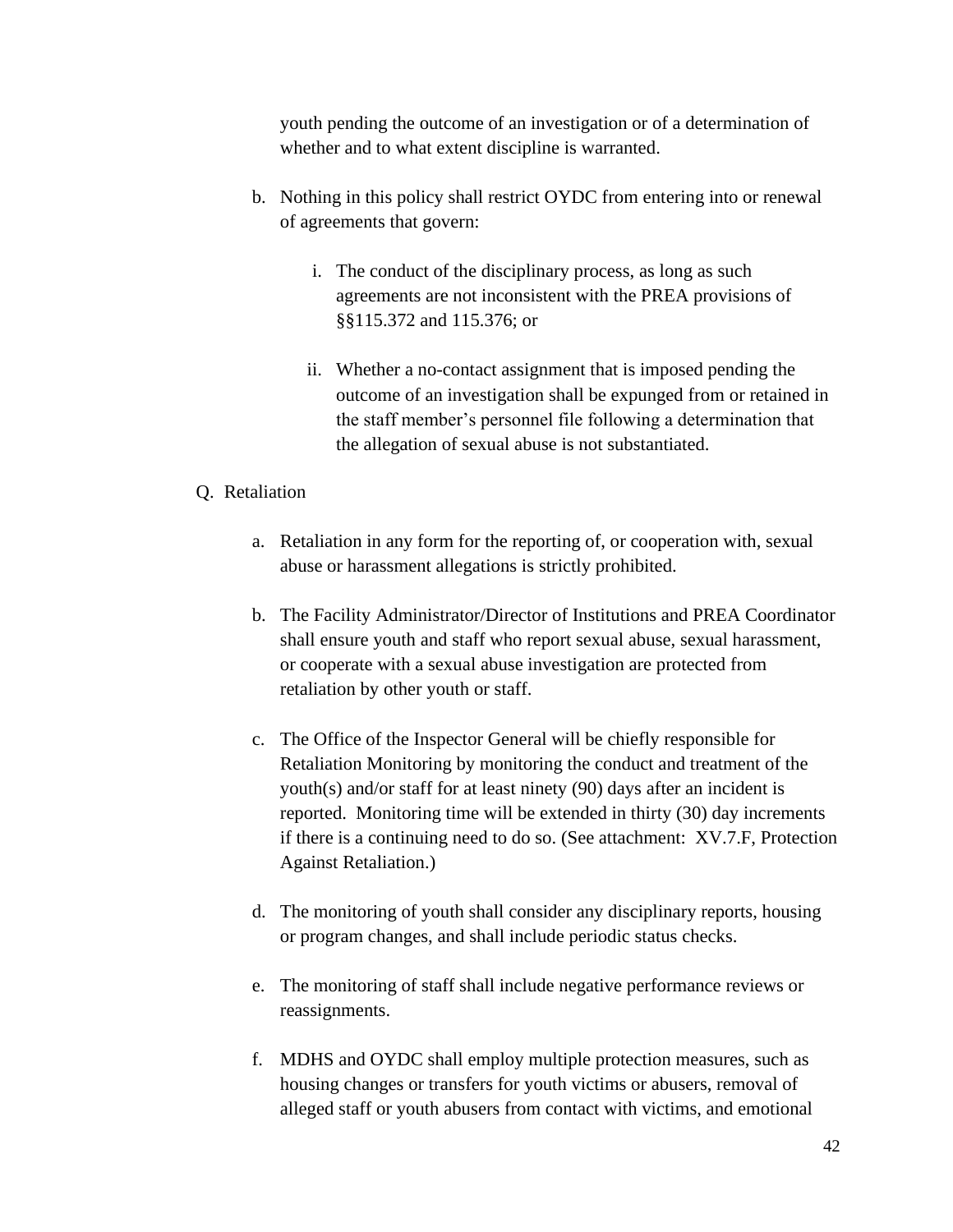youth pending the outcome of an investigation or of a determination of whether and to what extent discipline is warranted.

- b. Nothing in this policy shall restrict OYDC from entering into or renewal of agreements that govern:
	- i. The conduct of the disciplinary process, as long as such agreements are not inconsistent with the PREA provisions of §§115.372 and 115.376; or
	- ii. Whether a no-contact assignment that is imposed pending the outcome of an investigation shall be expunged from or retained in the staff member's personnel file following a determination that the allegation of sexual abuse is not substantiated.

## Q. Retaliation

- a. Retaliation in any form for the reporting of, or cooperation with, sexual abuse or harassment allegations is strictly prohibited.
- b. The Facility Administrator/Director of Institutions and PREA Coordinator shall ensure youth and staff who report sexual abuse, sexual harassment, or cooperate with a sexual abuse investigation are protected from retaliation by other youth or staff.
- c. The Office of the Inspector General will be chiefly responsible for Retaliation Monitoring by monitoring the conduct and treatment of the youth(s) and/or staff for at least ninety (90) days after an incident is reported. Monitoring time will be extended in thirty (30) day increments if there is a continuing need to do so. (See attachment: XV.7.F, Protection Against Retaliation.)
- d. The monitoring of youth shall consider any disciplinary reports, housing or program changes, and shall include periodic status checks.
- e. The monitoring of staff shall include negative performance reviews or reassignments.
- f. MDHS and OYDC shall employ multiple protection measures, such as housing changes or transfers for youth victims or abusers, removal of alleged staff or youth abusers from contact with victims, and emotional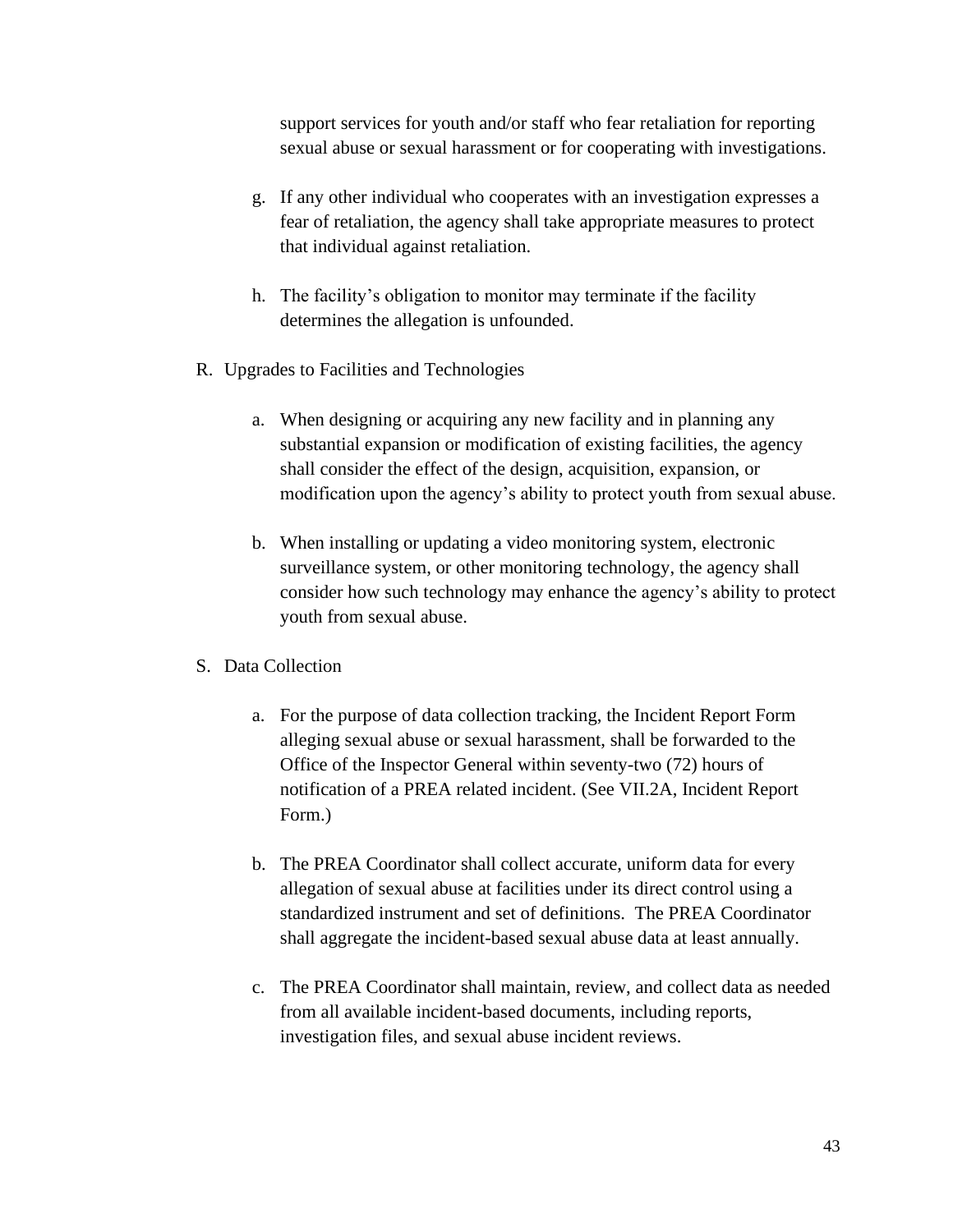support services for youth and/or staff who fear retaliation for reporting sexual abuse or sexual harassment or for cooperating with investigations.

- g. If any other individual who cooperates with an investigation expresses a fear of retaliation, the agency shall take appropriate measures to protect that individual against retaliation.
- h. The facility's obligation to monitor may terminate if the facility determines the allegation is unfounded.
- R. Upgrades to Facilities and Technologies
	- a. When designing or acquiring any new facility and in planning any substantial expansion or modification of existing facilities, the agency shall consider the effect of the design, acquisition, expansion, or modification upon the agency's ability to protect youth from sexual abuse.
	- b. When installing or updating a video monitoring system, electronic surveillance system, or other monitoring technology, the agency shall consider how such technology may enhance the agency's ability to protect youth from sexual abuse.

#### S. Data Collection

- a. For the purpose of data collection tracking, the Incident Report Form alleging sexual abuse or sexual harassment, shall be forwarded to the Office of the Inspector General within seventy-two (72) hours of notification of a PREA related incident. (See VII.2A, Incident Report Form.)
- b. The PREA Coordinator shall collect accurate, uniform data for every allegation of sexual abuse at facilities under its direct control using a standardized instrument and set of definitions. The PREA Coordinator shall aggregate the incident-based sexual abuse data at least annually.
- c. The PREA Coordinator shall maintain, review, and collect data as needed from all available incident-based documents, including reports, investigation files, and sexual abuse incident reviews.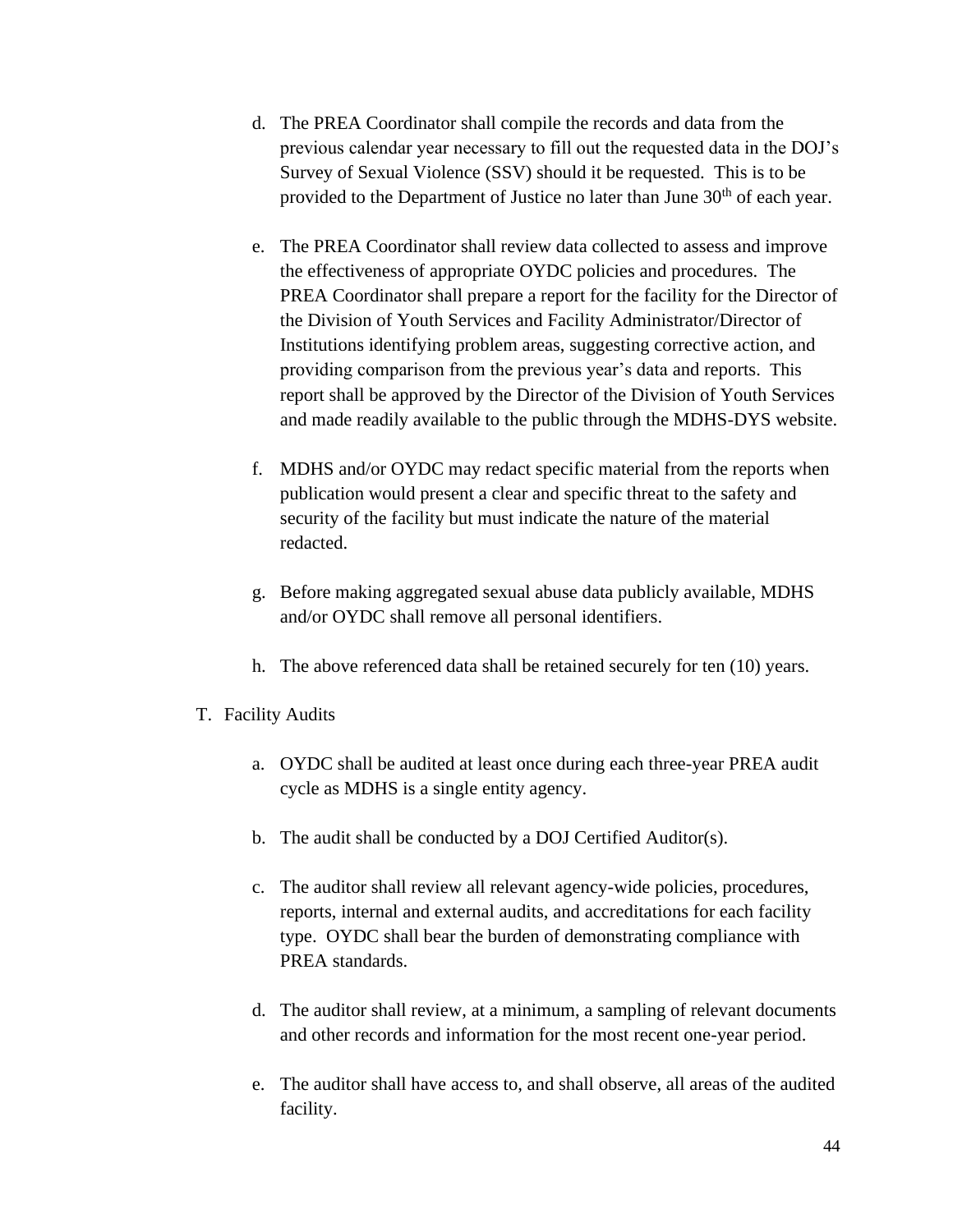- d. The PREA Coordinator shall compile the records and data from the previous calendar year necessary to fill out the requested data in the DOJ's Survey of Sexual Violence (SSV) should it be requested. This is to be provided to the Department of Justice no later than June 30<sup>th</sup> of each vear.
- e. The PREA Coordinator shall review data collected to assess and improve the effectiveness of appropriate OYDC policies and procedures. The PREA Coordinator shall prepare a report for the facility for the Director of the Division of Youth Services and Facility Administrator/Director of Institutions identifying problem areas, suggesting corrective action, and providing comparison from the previous year's data and reports. This report shall be approved by the Director of the Division of Youth Services and made readily available to the public through the MDHS-DYS website.
- f. MDHS and/or OYDC may redact specific material from the reports when publication would present a clear and specific threat to the safety and security of the facility but must indicate the nature of the material redacted.
- g. Before making aggregated sexual abuse data publicly available, MDHS and/or OYDC shall remove all personal identifiers.
- h. The above referenced data shall be retained securely for ten (10) years.
- T. Facility Audits
	- a. OYDC shall be audited at least once during each three-year PREA audit cycle as MDHS is a single entity agency.
	- b. The audit shall be conducted by a DOJ Certified Auditor(s).
	- c. The auditor shall review all relevant agency-wide policies, procedures, reports, internal and external audits, and accreditations for each facility type. OYDC shall bear the burden of demonstrating compliance with PREA standards.
	- d. The auditor shall review, at a minimum, a sampling of relevant documents and other records and information for the most recent one-year period.
	- e. The auditor shall have access to, and shall observe, all areas of the audited facility.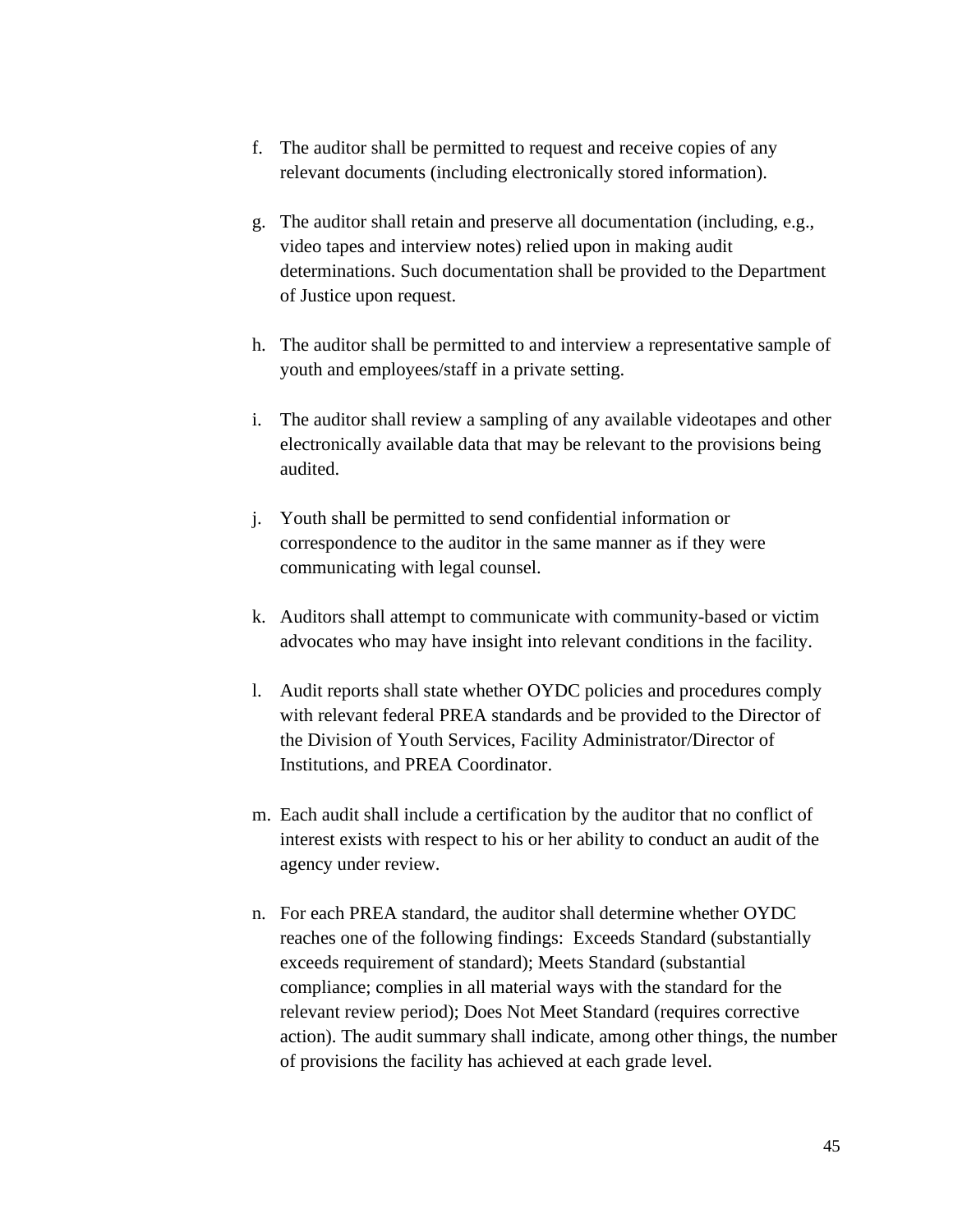- f. The auditor shall be permitted to request and receive copies of any relevant documents (including electronically stored information).
- g. The auditor shall retain and preserve all documentation (including, e.g., video tapes and interview notes) relied upon in making audit determinations. Such documentation shall be provided to the Department of Justice upon request.
- h. The auditor shall be permitted to and interview a representative sample of youth and employees/staff in a private setting.
- i. The auditor shall review a sampling of any available videotapes and other electronically available data that may be relevant to the provisions being audited.
- j. Youth shall be permitted to send confidential information or correspondence to the auditor in the same manner as if they were communicating with legal counsel.
- k. Auditors shall attempt to communicate with community-based or victim advocates who may have insight into relevant conditions in the facility.
- l. Audit reports shall state whether OYDC policies and procedures comply with relevant federal PREA standards and be provided to the Director of the Division of Youth Services, Facility Administrator/Director of Institutions, and PREA Coordinator.
- m. Each audit shall include a certification by the auditor that no conflict of interest exists with respect to his or her ability to conduct an audit of the agency under review.
- n. For each PREA standard, the auditor shall determine whether OYDC reaches one of the following findings: Exceeds Standard (substantially exceeds requirement of standard); Meets Standard (substantial compliance; complies in all material ways with the standard for the relevant review period); Does Not Meet Standard (requires corrective action). The audit summary shall indicate, among other things, the number of provisions the facility has achieved at each grade level.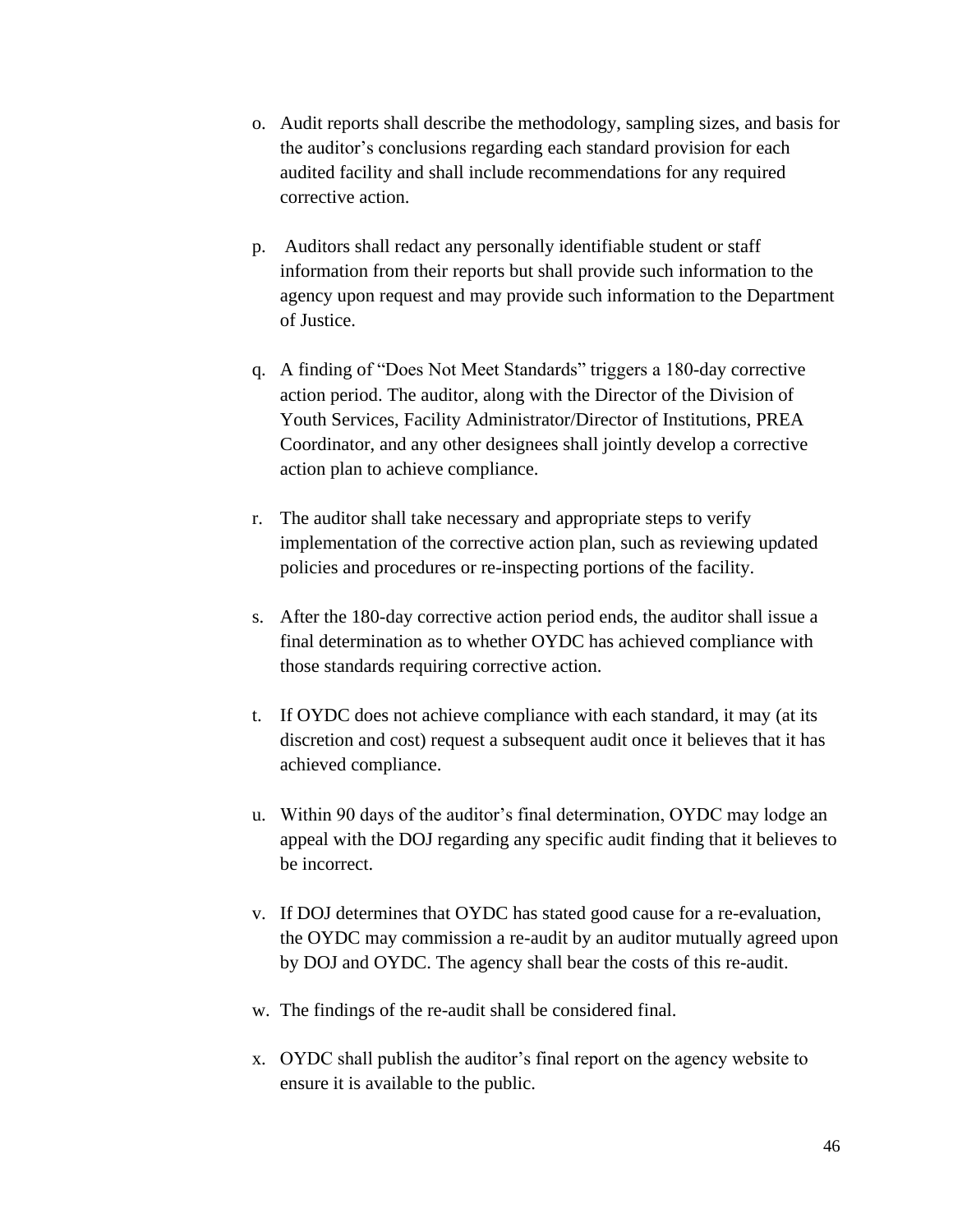- o. Audit reports shall describe the methodology, sampling sizes, and basis for the auditor's conclusions regarding each standard provision for each audited facility and shall include recommendations for any required corrective action.
- p. Auditors shall redact any personally identifiable student or staff information from their reports but shall provide such information to the agency upon request and may provide such information to the Department of Justice.
- q. A finding of "Does Not Meet Standards" triggers a 180-day corrective action period. The auditor, along with the Director of the Division of Youth Services, Facility Administrator/Director of Institutions, PREA Coordinator, and any other designees shall jointly develop a corrective action plan to achieve compliance.
- r. The auditor shall take necessary and appropriate steps to verify implementation of the corrective action plan, such as reviewing updated policies and procedures or re-inspecting portions of the facility.
- s. After the 180-day corrective action period ends, the auditor shall issue a final determination as to whether OYDC has achieved compliance with those standards requiring corrective action.
- t. If OYDC does not achieve compliance with each standard, it may (at its discretion and cost) request a subsequent audit once it believes that it has achieved compliance.
- u. Within 90 days of the auditor's final determination, OYDC may lodge an appeal with the DOJ regarding any specific audit finding that it believes to be incorrect.
- v. If DOJ determines that OYDC has stated good cause for a re-evaluation, the OYDC may commission a re-audit by an auditor mutually agreed upon by DOJ and OYDC. The agency shall bear the costs of this re-audit.
- w. The findings of the re-audit shall be considered final.
- x. OYDC shall publish the auditor's final report on the agency website to ensure it is available to the public.